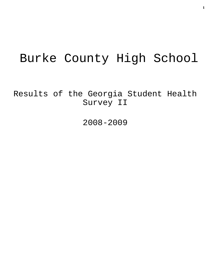# Burke County High School

Results of the Georgia Student Health Survey II

2008-2009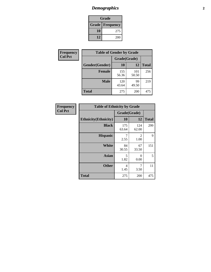## *Demographics* **2**

| Grade                    |     |  |  |  |
|--------------------------|-----|--|--|--|
| <b>Grade   Frequency</b> |     |  |  |  |
| 10                       | 275 |  |  |  |
| 12                       | 200 |  |  |  |

| <b>Frequency</b> | <b>Table of Gender by Grade</b> |              |              |              |  |
|------------------|---------------------------------|--------------|--------------|--------------|--|
| <b>Col Pct</b>   |                                 | Grade(Grade) |              |              |  |
|                  | Gender(Gender)                  | 10           | 12           | <b>Total</b> |  |
|                  | <b>Female</b>                   | 155<br>56.36 | 101<br>50.50 | 256          |  |
|                  | <b>Male</b>                     | 120<br>43.64 | 99<br>49.50  | 219          |  |
|                  | <b>Total</b>                    | 275          | 200          | 475          |  |

| <b>Frequency</b> |
|------------------|
| <b>Col Pct</b>   |

| <b>Table of Ethnicity by Grade</b> |              |              |              |  |  |  |
|------------------------------------|--------------|--------------|--------------|--|--|--|
|                                    | Grade(Grade) |              |              |  |  |  |
| <b>Ethnicity</b> (Ethnicity)       | 10           | 12           | <b>Total</b> |  |  |  |
| <b>Black</b>                       | 175<br>63.64 | 124<br>62.00 | 299          |  |  |  |
| <b>Hispanic</b>                    | 7<br>2.55    | 2<br>1.00    | 9            |  |  |  |
| White                              | 84<br>30.55  | 67<br>33.50  | 151          |  |  |  |
| <b>Asian</b>                       | 5<br>1.82    | 0<br>0.00    | 5            |  |  |  |
| <b>Other</b>                       | 4<br>1.45    | 7<br>3.50    | 11           |  |  |  |
| <b>Total</b>                       | 275          | 200          | 475          |  |  |  |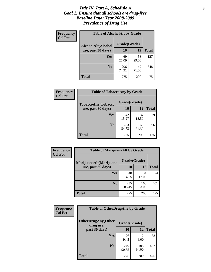#### *Title IV, Part A, Schedule A* **3** *Goal 1: Ensure that all schools are drug-free Baseline Data: Year 2008-2009 Prevalence of Drug Use*

| Frequency<br><b>Col Pct</b> | <b>Table of AlcoholAlt by Grade</b> |              |              |              |  |  |
|-----------------------------|-------------------------------------|--------------|--------------|--------------|--|--|
|                             | AlcoholAlt(Alcohol                  | Grade(Grade) |              |              |  |  |
|                             | use, past 30 days)                  | 10           | 12           | <b>Total</b> |  |  |
|                             | <b>Yes</b>                          | 69<br>25.09  | 58<br>29.00  | 127          |  |  |
|                             | N <sub>0</sub>                      | 206<br>74.91 | 142<br>71.00 | 348          |  |  |
|                             | Total                               | 275          | 200          | 475          |  |  |

| Frequency      | <b>Table of TobaccoAny by Grade</b> |              |              |              |  |
|----------------|-------------------------------------|--------------|--------------|--------------|--|
| <b>Col Pct</b> | TobaccoAny(Tobacco                  | Grade(Grade) |              |              |  |
|                | use, past 30 days)                  | 10           | 12           | <b>Total</b> |  |
|                | <b>Yes</b>                          | 42<br>15.27  | 37<br>18.50  | 79           |  |
|                | N <sub>0</sub>                      | 233<br>84.73 | 163<br>81.50 | 396          |  |
|                | Total                               | 275          | 200          | 475          |  |

| Frequency<br><b>Col Pct</b> | <b>Table of MarijuanaAlt by Grade</b> |              |              |              |  |
|-----------------------------|---------------------------------------|--------------|--------------|--------------|--|
|                             | MarijuanaAlt(Marijuana                | Grade(Grade) |              |              |  |
|                             | use, past 30 days)                    | 10           | 12           | <b>Total</b> |  |
|                             | <b>Yes</b>                            | 40<br>14.55  | 34<br>17.00  | 74           |  |
|                             | N <sub>0</sub>                        | 235<br>85.45 | 166<br>83.00 | 401          |  |
|                             | <b>Total</b>                          | 275          | 200          | 475          |  |

| Frequency<br><b>Col Pct</b> | <b>Table of OtherDrugAny by Grade</b>  |              |              |              |  |
|-----------------------------|----------------------------------------|--------------|--------------|--------------|--|
|                             | <b>OtherDrugAny(Other</b><br>drug use, | Grade(Grade) |              |              |  |
|                             | past 30 days)                          | <b>10</b>    | 12           | <b>Total</b> |  |
|                             | <b>Yes</b>                             | 26<br>9.45   | 12<br>6.00   | 38           |  |
|                             | N <sub>0</sub>                         | 249<br>90.55 | 188<br>94.00 | 437          |  |
|                             | <b>Total</b>                           | 275          | 200          | 475          |  |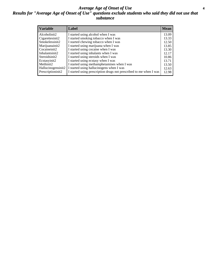#### *Average Age of Onset of Use* **4** *Results for "Average Age of Onset of Use" questions exclude students who said they did not use that substance*

| <b>Variable</b>    | Label                                                              | <b>Mean</b> |
|--------------------|--------------------------------------------------------------------|-------------|
| Alcoholinit2       | I started using alcohol when I was                                 | 13.09       |
| Cigarettesinit2    | I started smoking tobacco when I was                               | 13.33       |
| Smokelessinit2     | I started chewing tobacco when I was                               | 12.50       |
| Marijuanainit2     | I started using marijuana when I was                               | 13.85       |
| Cocaineinit2       | I started using cocaine when I was                                 | 13.30       |
| Inhalantsinit2     | I started using inhalants when I was                               | 12.17       |
| Steroidsinit2      | I started using steroids when I was                                | 10.86       |
| Ecstasyinit2       | I started using ecstasy when I was                                 | 13.71       |
| Methinit2          | I started using methamphetamines when I was                        | 13.50       |
| Hallucinogensinit2 | I started using hallucinogens when I was                           | 12.63       |
| Prescriptioninit2  | I started using prescription drugs not prescribed to me when I was | 12.98       |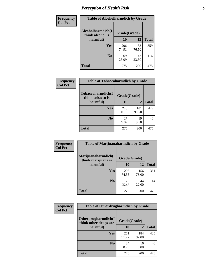### *Perception of Health Risk* **5**

| Frequency      | <b>Table of Alcoholharmdich by Grade</b> |              |              |              |  |
|----------------|------------------------------------------|--------------|--------------|--------------|--|
| <b>Col Pct</b> | Alcoholharmdich(I<br>think alcohol is    | Grade(Grade) |              |              |  |
|                | harmful)                                 | 10           | 12           | <b>Total</b> |  |
|                | <b>Yes</b>                               | 206<br>74.91 | 153<br>76.50 | 359          |  |
|                | N <sub>0</sub>                           | 69<br>25.09  | 47<br>23.50  | 116          |  |
|                | <b>Total</b>                             | 275          | 200          | 475          |  |

| Frequency      | <b>Table of Tobaccoharmdich by Grade</b> |              |              |              |  |
|----------------|------------------------------------------|--------------|--------------|--------------|--|
| <b>Col Pct</b> | Tobaccoharmdich(I<br>think tobacco is    | Grade(Grade) |              |              |  |
|                | harmful)                                 | 10           | 12           | <b>Total</b> |  |
|                | Yes                                      | 248<br>90.18 | 181<br>90.50 | 429          |  |
|                | N <sub>0</sub>                           | 27<br>9.82   | 19<br>9.50   | 46           |  |
|                | <b>Total</b>                             | 275          | 200          | 475          |  |

| Frequency<br><b>Col Pct</b> | <b>Table of Marijuanaharmdich by Grade</b> |              |              |              |  |
|-----------------------------|--------------------------------------------|--------------|--------------|--------------|--|
|                             | Marijuanaharmdich(I<br>think marijuana is  | Grade(Grade) |              |              |  |
|                             | harmful)                                   | 10           | 12           | <b>Total</b> |  |
|                             | <b>Yes</b>                                 | 205<br>74.55 | 156<br>78.00 | 361          |  |
|                             | N <sub>0</sub>                             | 70<br>25.45  | 44<br>22.00  | 114          |  |
|                             | <b>Total</b>                               | 275          | 200          | 475          |  |

| Frequency      | <b>Table of Otherdrugharmdich by Grade</b>   |              |              |              |  |  |  |  |
|----------------|----------------------------------------------|--------------|--------------|--------------|--|--|--|--|
| <b>Col Pct</b> | Otherdrugharmdich(I<br>think other drugs are | Grade(Grade) |              |              |  |  |  |  |
|                | harmful)                                     | 10           | 12           | <b>Total</b> |  |  |  |  |
|                | <b>Yes</b>                                   | 251<br>91.27 | 184<br>92.00 | 435          |  |  |  |  |
|                | N <sub>0</sub>                               | 24<br>8.73   | 16<br>8.00   | 40           |  |  |  |  |
|                | <b>Total</b>                                 | 275          | 200          | 475          |  |  |  |  |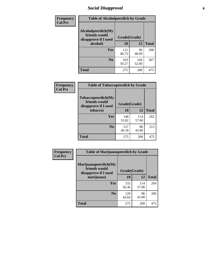### *Social Disapproval* **6**

| Frequency      | <b>Table of Alcoholpeerdich by Grade</b>                    |              |              |              |
|----------------|-------------------------------------------------------------|--------------|--------------|--------------|
| <b>Col Pct</b> | Alcoholpeerdich(My<br>friends would<br>disapprove if I used | Grade(Grade) |              |              |
|                | alcohol)                                                    | 10           | 12           | <b>Total</b> |
|                | <b>Yes</b>                                                  | 112<br>40.73 | 96<br>48.00  | 208          |
|                | N <sub>0</sub>                                              | 163<br>59.27 | 104<br>52.00 | 267          |
|                | <b>Total</b>                                                | 275          | 200          | 475          |

| <b>Frequency</b> |
|------------------|
| <b>Col Pct</b>   |

| <b>Table of Tobaccopeerdich by Grade</b>                    |              |              |              |  |  |  |  |
|-------------------------------------------------------------|--------------|--------------|--------------|--|--|--|--|
| Tobaccopeerdich(My<br>friends would<br>disapprove if I used | Grade(Grade) |              |              |  |  |  |  |
| tobacco)                                                    | 10           | 12           | <b>Total</b> |  |  |  |  |
| Yes                                                         | 148<br>53.82 | 114<br>57.00 | 262          |  |  |  |  |
| $\bf N$ <sub>0</sub>                                        | 127<br>46.18 | 86<br>43.00  | 213          |  |  |  |  |
| <b>Total</b>                                                | 275          | 200          | 475          |  |  |  |  |

| Frequency      | <b>Table of Marijuanapeerdich by Grade</b>                    |              |              |              |  |  |  |  |
|----------------|---------------------------------------------------------------|--------------|--------------|--------------|--|--|--|--|
| <b>Col Pct</b> | Marijuanapeerdich(My<br>friends would<br>disapprove if I used | Grade(Grade) |              |              |  |  |  |  |
|                | marijuana)                                                    | 10           | 12           | <b>Total</b> |  |  |  |  |
|                | <b>Yes</b>                                                    | 155<br>56.36 | 114<br>57.00 | 269          |  |  |  |  |
|                | N <sub>0</sub>                                                | 120<br>43.64 | 86<br>43.00  | 206          |  |  |  |  |
|                | <b>Total</b>                                                  | 275          | 200          | 475          |  |  |  |  |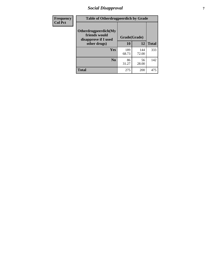### *Social Disapproval* **7**

| Frequency      | <b>Table of Otherdrugpeerdich by Grade</b>                    |              |              |              |  |  |  |  |
|----------------|---------------------------------------------------------------|--------------|--------------|--------------|--|--|--|--|
| <b>Col Pct</b> | Otherdrugpeerdich(My<br>friends would<br>disapprove if I used | Grade(Grade) |              |              |  |  |  |  |
|                | other drugs)                                                  | 10           | 12           | <b>Total</b> |  |  |  |  |
|                | Yes                                                           | 189<br>68.73 | 144<br>72.00 | 333          |  |  |  |  |
|                | N <sub>0</sub>                                                | 86<br>31.27  | 56<br>28.00  | 142          |  |  |  |  |
|                | <b>Total</b>                                                  | 275          | 200          | 475          |  |  |  |  |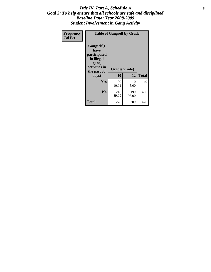#### Title IV, Part A, Schedule A **8** *Goal 2: To help ensure that all schools are safe and disciplined Baseline Data: Year 2008-2009 Student Involvement in Gang Activity*

| Frequency      | <b>Table of Gangself by Grade</b>                                                                 |                    |              |              |
|----------------|---------------------------------------------------------------------------------------------------|--------------------|--------------|--------------|
| <b>Col Pct</b> | Gangself(I<br>have<br>participated<br>in illegal<br>gang<br>activities in<br>the past 30<br>days) | Grade(Grade)<br>10 | 12           | <b>Total</b> |
|                | Yes                                                                                               | 30<br>10.91        | 10<br>5.00   | 40           |
|                | N <sub>0</sub>                                                                                    | 245<br>89.09       | 190<br>95.00 | 435          |
|                | <b>Total</b>                                                                                      | 275                | 200          | 475          |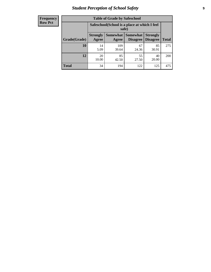### *Student Perception of School Safety* **9**

| <b>Frequency</b><br>Row Pct |
|-----------------------------|
|                             |

| <b>Table of Grade by Safeschool</b> |                                                                                                                            |                                                        |             |             |     |  |  |  |
|-------------------------------------|----------------------------------------------------------------------------------------------------------------------------|--------------------------------------------------------|-------------|-------------|-----|--|--|--|
|                                     |                                                                                                                            | Safeschool (School is a place at which I feel<br>safe) |             |             |     |  |  |  |
| Grade(Grade)                        | Somewhat   Somewhat<br><b>Strongly</b><br><b>Strongly</b><br><b>Disagree</b><br>Agree<br>Disagree<br><b>Total</b><br>Agree |                                                        |             |             |     |  |  |  |
| 10                                  | 14<br>5.09                                                                                                                 | 109<br>39.64                                           | 67<br>24.36 | 85<br>30.91 | 275 |  |  |  |
| 12                                  | 20<br>10.00                                                                                                                | 85<br>42.50                                            | 55<br>27.50 | 40<br>20.00 | 200 |  |  |  |
| <b>Total</b>                        | 34                                                                                                                         | 194                                                    | 122         | 125         | 475 |  |  |  |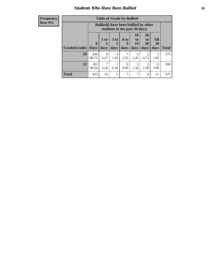#### *Students Who Have Been Bullied* **10**

| <b>Frequency</b> |
|------------------|
| Row Pct          |

| <b>Table of Grade by Bullied</b> |                            |                                                                               |                              |                          |                        |                        |                   |              |
|----------------------------------|----------------------------|-------------------------------------------------------------------------------|------------------------------|--------------------------|------------------------|------------------------|-------------------|--------------|
|                                  |                            | <b>Bullied</b> (I have been bullied by other<br>students in the past 30 days) |                              |                          |                        |                        |                   |              |
| Grade(Grade)                     | $\mathbf 0$<br><b>Days</b> | 1 or<br>2<br>days                                                             | 3 <sub>to</sub><br>5<br>days | <b>6 to</b><br>9<br>days | 10<br>to<br>19<br>days | 20<br>to<br>29<br>days | All<br>30<br>days | <b>Total</b> |
| 10                               | 244<br>88.73               | 9<br>3.27                                                                     | 4<br>1.45                    | 7<br>2.55                | 4<br>1.45              | $\overline{2}$<br>0.73 | 5<br>1.82         | 275          |
| 12                               | 181<br>90.50               | 7<br>3.50                                                                     | 0.50                         | $\Omega$<br>0.00         | 3<br>1.50              | 2<br>1.00              | 6<br>3.00         | 200          |
| <b>Total</b>                     | 425                        | 16                                                                            | 5                            | 7                        | 7                      | $\overline{4}$         | 11                | 475          |

 $\blacksquare$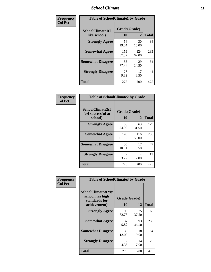### *School Climate* **11**

| Frequency      | <b>Table of SchoolClimate1 by Grade</b> |                    |              |              |  |  |  |
|----------------|-----------------------------------------|--------------------|--------------|--------------|--|--|--|
| <b>Col Pct</b> | SchoolClimate1(I<br>like school)        | Grade(Grade)<br>10 | 12           | <b>Total</b> |  |  |  |
|                | <b>Strongly Agree</b>                   | 54<br>19.64        | 30<br>15.00  | 84           |  |  |  |
|                | <b>Somewhat Agree</b>                   | 159<br>57.82       | 124<br>62.00 | 283          |  |  |  |
|                | <b>Somewhat Disagree</b>                | 35<br>12.73        | 29<br>14.50  | 64           |  |  |  |
|                | <b>Strongly Disagree</b>                | 27<br>9.82         | 17<br>8.50   | 44           |  |  |  |
|                | Total                                   | 275                | 200          | 475          |  |  |  |

| Frequency      | <b>Table of SchoolClimate2 by Grade</b>           |                    |              |              |
|----------------|---------------------------------------------------|--------------------|--------------|--------------|
| <b>Col Pct</b> | SchoolClimate2(I<br>feel successful at<br>school) | Grade(Grade)<br>10 | 12           | <b>Total</b> |
|                | <b>Strongly Agree</b>                             | 66<br>24.00        | 63<br>31.50  | 129          |
|                | <b>Somewhat Agree</b>                             | 170<br>61.82       | 116<br>58.00 | 286          |
|                | <b>Somewhat Disagree</b>                          | 30<br>10.91        | 17<br>8.50   | 47           |
|                | <b>Strongly Disagree</b>                          | 9<br>3.27          | 4<br>2.00    | 13           |
|                | <b>Total</b>                                      | 275                | 200          | 475          |

|                | <b>Table of SchoolClimate3 by Grade</b>                                      |                    |             |              |  |
|----------------|------------------------------------------------------------------------------|--------------------|-------------|--------------|--|
| Frequency      |                                                                              |                    |             |              |  |
| <b>Col Pct</b> | <b>SchoolClimate3(My</b><br>school has high<br>standards for<br>achievement) | Grade(Grade)<br>10 | 12          | <b>Total</b> |  |
|                |                                                                              |                    |             |              |  |
|                | <b>Strongly Agree</b>                                                        | 90<br>32.73        | 75<br>37.50 | 165          |  |
|                | <b>Somewhat Agree</b>                                                        | 137<br>49.82       | 93<br>46.50 | 230          |  |
|                | <b>Somewhat Disagree</b>                                                     | 36<br>13.09        | 18<br>9.00  | 54           |  |
|                | <b>Strongly Disagree</b>                                                     | 12<br>4.36         | 14<br>7.00  | 26           |  |
|                | Total                                                                        | 275                | 200         | 475          |  |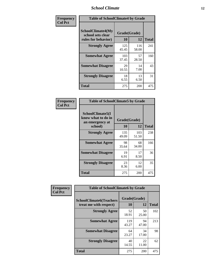### *School Climate* **12**

| Frequency      |                                                               | <b>Table of SchoolClimate4 by Grade</b> |              |              |  |
|----------------|---------------------------------------------------------------|-----------------------------------------|--------------|--------------|--|
| <b>Col Pct</b> | SchoolClimate4(My<br>school sets clear<br>rules for behavior) | Grade(Grade)<br>10                      | 12           | <b>Total</b> |  |
|                | <b>Strongly Agree</b>                                         | 125<br>45.45                            | 116<br>58.00 | 241          |  |
|                | <b>Somewhat Agree</b>                                         | 103<br>37.45                            | 57<br>28.50  | 160          |  |
|                | <b>Somewhat Disagree</b>                                      | 29<br>10.55                             | 14<br>7.00   | 43           |  |
|                | <b>Strongly Disagree</b>                                      | 18<br>6.55                              | 13<br>6.50   | 31           |  |
|                | <b>Total</b>                                                  | 275                                     | 200          | 475          |  |

| <b>Table of SchoolClimate5 by Grade</b>                              |                    |              |              |  |  |
|----------------------------------------------------------------------|--------------------|--------------|--------------|--|--|
| SchoolClimate5(I<br>know what to do in<br>an emergency at<br>school) | Grade(Grade)<br>10 | 12           | <b>Total</b> |  |  |
| <b>Strongly Agree</b>                                                | 135<br>49.09       | 103<br>51.50 | 238          |  |  |
| <b>Somewhat Agree</b>                                                | 98<br>35.64        | 68<br>34.00  | 166          |  |  |
| <b>Somewhat Disagree</b>                                             | 19<br>6.91         | 17<br>8.50   | 36           |  |  |
| <b>Strongly Disagree</b>                                             | 23<br>8.36         | 12<br>6.00   | 35           |  |  |
| Total                                                                | 275                | 200          | 475          |  |  |

| Frequency      | <b>Table of SchoolClimate6 by Grade</b>                  |                           |             |              |  |
|----------------|----------------------------------------------------------|---------------------------|-------------|--------------|--|
| <b>Col Pct</b> | <b>SchoolClimate6(Teachers</b><br>treat me with respect) | Grade(Grade)<br><b>10</b> | 12          | <b>Total</b> |  |
|                | <b>Strongly Agree</b>                                    | 52<br>18.91               | 50<br>25.00 | 102          |  |
|                | <b>Somewhat Agree</b>                                    | 119<br>43.27              | 94<br>47.00 | 213          |  |
|                | <b>Somewhat Disagree</b>                                 | 64<br>23.27               | 34<br>17.00 | 98           |  |
|                | <b>Strongly Disagree</b>                                 | 40<br>14.55               | 22<br>11.00 | 62           |  |
|                | <b>Total</b>                                             | 275                       | 200         | 475          |  |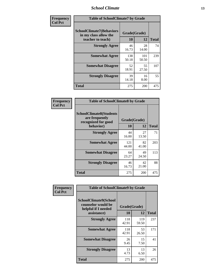### *School Climate* **13**

| Frequency      | <b>Table of SchoolClimate7 by Grade</b>                                       |                    |              |              |
|----------------|-------------------------------------------------------------------------------|--------------------|--------------|--------------|
| <b>Col Pct</b> | <b>SchoolClimate7(Behaviors</b><br>in my class allow the<br>teacher to teach) | Grade(Grade)<br>10 | 12           | <b>Total</b> |
|                | <b>Strongly Agree</b>                                                         | 46<br>16.73        | 28<br>14.00  | 74           |
|                | <b>Somewhat Agree</b>                                                         | 138<br>50.18       | 101<br>50.50 | 239          |
|                | <b>Somewhat Disagree</b>                                                      | 52<br>18.91        | 55<br>27.50  | 107          |
|                | <b>Strongly Disagree</b>                                                      | 39<br>14.18        | 16<br>8.00   | 55           |
|                | <b>Total</b>                                                                  | 275                | 200          | 475          |

| Frequency      | <b>Table of SchoolClimate8 by Grade</b>                                              |                    |             |              |
|----------------|--------------------------------------------------------------------------------------|--------------------|-------------|--------------|
| <b>Col Pct</b> | <b>SchoolClimate8(Students</b><br>are frequently<br>recognized for good<br>behavior) | Grade(Grade)<br>10 | 12          | <b>Total</b> |
|                | <b>Strongly Agree</b>                                                                | 44<br>16.00        | 27<br>13.50 | 71           |
|                | <b>Somewhat Agree</b>                                                                | 121<br>44.00       | 82<br>41.00 | 203          |
|                | <b>Somewhat Disagree</b>                                                             | 64<br>23.27        | 49<br>24.50 | 113          |
|                | <b>Strongly Disagree</b>                                                             | 46<br>16.73        | 42<br>21.00 | 88           |
|                | Total                                                                                | 275                | 200         | 475          |

| Frequency      | <b>Table of SchoolClimate9 by Grade</b>                                           |                    |              |              |
|----------------|-----------------------------------------------------------------------------------|--------------------|--------------|--------------|
| <b>Col Pct</b> | SchoolClimate9(School<br>counselor would be<br>helpful if I needed<br>assistance) | Grade(Grade)<br>10 | 12           | <b>Total</b> |
|                | <b>Strongly Agree</b>                                                             | 118<br>42.91       | 119<br>59.50 | 237          |
|                | <b>Somewhat Agree</b>                                                             | 118<br>42.91       | 53<br>26.50  | 171          |
|                | <b>Somewhat Disagree</b>                                                          | 26<br>9.45         | 15<br>7.50   | 41           |
|                | <b>Strongly Disagree</b>                                                          | 13<br>4.73         | 13<br>6.50   | 26           |
|                | Total                                                                             | 275                | <b>200</b>   | 475          |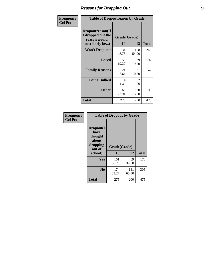### *Reasons for Dropping Out* **14**

| Frequency      | <b>Table of Dropoutreason by Grade</b>                                   |                    |                       |              |
|----------------|--------------------------------------------------------------------------|--------------------|-----------------------|--------------|
| <b>Col Pct</b> | Dropoutreason(If<br>I dropped out the<br>reason would<br>most likely be) | Grade(Grade)<br>10 | 12                    | <b>Total</b> |
|                | <b>Won't Drop out</b>                                                    | 134<br>48.73       | 108<br>54.00          | 242          |
|                | <b>Bored</b>                                                             | 53<br>19.27        | 39<br>19.50           | 92           |
|                | <b>Family Reasons</b>                                                    | 21<br>7.64         | 21<br>10.50           | 42           |
|                | <b>Being Bullied</b>                                                     | 4<br>1.45          | $\mathcal{L}$<br>1.00 | 6            |
|                | <b>Other</b>                                                             | 63<br>22.91        | 30<br>15.00           | 93           |
|                | <b>Total</b>                                                             | 275                | 200                   | 475          |

| Frequency      | <b>Table of Dropout by Grade</b>                                       |                    |              |     |  |
|----------------|------------------------------------------------------------------------|--------------------|--------------|-----|--|
| <b>Col Pct</b> | Dropout(I<br>have<br>thought<br>about<br>dropping<br>out of<br>school) | Grade(Grade)<br>10 | <b>Total</b> |     |  |
|                |                                                                        |                    | 12           |     |  |
|                | Yes                                                                    | 101<br>36.73       | 69<br>34.50  | 170 |  |
|                | N <sub>0</sub>                                                         | 174<br>63.27       | 131<br>65.50 | 305 |  |
|                | <b>Total</b>                                                           | 275                | 200          | 475 |  |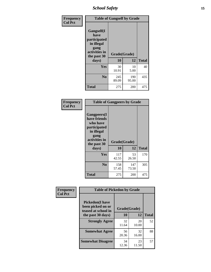*School Safety* **15**

| Frequency      | <b>Table of Gangself by Grade</b>                                                                 |                          |              |              |
|----------------|---------------------------------------------------------------------------------------------------|--------------------------|--------------|--------------|
| <b>Col Pct</b> | Gangself(I<br>have<br>participated<br>in illegal<br>gang<br>activities in<br>the past 30<br>days) | Grade(Grade)<br>10<br>12 |              | <b>Total</b> |
|                | Yes                                                                                               | 30<br>10.91              | 10<br>5.00   | 40           |
|                | N <sub>0</sub>                                                                                    | 245<br>89.09             | 190<br>95.00 | 435          |
|                | Total                                                                                             | 275                      | 200          | 475          |

| Frequency<br><b>Col Pct</b> | <b>Table of Gangpeers by Grade</b>                                                                                     |                    |              |              |  |
|-----------------------------|------------------------------------------------------------------------------------------------------------------------|--------------------|--------------|--------------|--|
|                             | Gangpeers(I<br>have friends<br>who have<br>participated<br>in illegal<br>gang<br>activities in<br>the past 30<br>days) | Grade(Grade)<br>10 | 12           | <b>Total</b> |  |
|                             | <b>Yes</b>                                                                                                             | 117<br>42.55       | 53<br>26.50  | 170          |  |
|                             | N <sub>0</sub>                                                                                                         | 158<br>57.45       | 147<br>73.50 | 305          |  |
|                             | <b>Total</b>                                                                                                           | 275                | 200          | 475          |  |

| Frequency      | <b>Table of Pickedon by Grade</b>                                  |              |             |              |
|----------------|--------------------------------------------------------------------|--------------|-------------|--------------|
| <b>Col Pct</b> | <b>Pickedon(I have</b><br>been picked on or<br>teased at school in | Grade(Grade) |             |              |
|                | the past 30 days)                                                  | 10           | 12          | <b>Total</b> |
|                | <b>Strongly Agree</b>                                              | 32<br>11.64  | 20<br>10.00 | 52           |
|                | <b>Somewhat Agree</b>                                              | 56<br>20.36  | 32<br>16.00 | 88           |
|                | <b>Somewhat Disagree</b>                                           | 34<br>12.36  | 23<br>11.50 | 57           |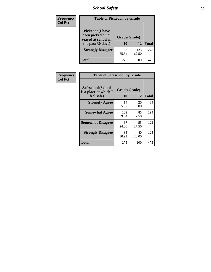### *School Safety* **16**

| Frequency      |                                                                                          | <b>Table of Pickedon by Grade</b> |              |              |  |  |  |  |  |  |  |
|----------------|------------------------------------------------------------------------------------------|-----------------------------------|--------------|--------------|--|--|--|--|--|--|--|
| <b>Col Pct</b> | <b>Pickedon</b> (I have<br>been picked on or<br>teased at school in<br>the past 30 days) | Grade(Grade)<br>10                | 12           | <b>Total</b> |  |  |  |  |  |  |  |
|                | <b>Strongly Disagree</b>                                                                 | 153<br>55.64                      | 125<br>62.50 | 278          |  |  |  |  |  |  |  |
|                | Total                                                                                    | 275                               | 200          | 475          |  |  |  |  |  |  |  |

| Frequency      |                                                          | <b>Table of Safeschool by Grade</b> |              |     |  |  |  |  |  |  |  |
|----------------|----------------------------------------------------------|-------------------------------------|--------------|-----|--|--|--|--|--|--|--|
| <b>Col Pct</b> | Safeschool(School<br>is a place at which I<br>feel safe) | Grade(Grade)<br>10                  | <b>Total</b> |     |  |  |  |  |  |  |  |
|                | <b>Strongly Agree</b>                                    | 14<br>5.09                          | 20<br>10.00  | 34  |  |  |  |  |  |  |  |
|                | <b>Somewhat Agree</b>                                    | 109<br>39.64                        | 85<br>42.50  | 194 |  |  |  |  |  |  |  |
|                | <b>Somewhat Disagree</b>                                 | 67<br>24.36                         | 55<br>27.50  | 122 |  |  |  |  |  |  |  |
|                | <b>Strongly Disagree</b>                                 | 85<br>30.91                         | 40<br>20.00  | 125 |  |  |  |  |  |  |  |
|                | Total                                                    | 275                                 | 200          | 475 |  |  |  |  |  |  |  |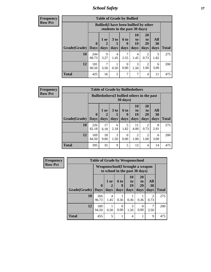*School Safety* **17**

| Frequency |  |
|-----------|--|
| Row Pct   |  |

| <b>Table of Grade by Bullied</b> |              |                                                                               |                      |                  |                |                       |           |              |  |  |  |
|----------------------------------|--------------|-------------------------------------------------------------------------------|----------------------|------------------|----------------|-----------------------|-----------|--------------|--|--|--|
|                                  |              | <b>Bullied</b> (I have been bullied by other<br>students in the past 30 days) |                      |                  |                |                       |           |              |  |  |  |
|                                  | $\mathbf{0}$ | $1$ or $ $                                                                    | 3 <sub>to</sub><br>5 | 6 to<br>9        | 10<br>to<br>19 | <b>20</b><br>to<br>29 | All<br>30 |              |  |  |  |
| Grade(Grade)                     | <b>Days</b>  | days                                                                          | days                 | days             | days           | days                  | days      | <b>Total</b> |  |  |  |
| 10                               | 244<br>88.73 | 9<br>3.27                                                                     | 4<br>1.45            | 2.55             | 4<br>1.45      | 2<br>0.73             | 5<br>1.82 | 275          |  |  |  |
| 12                               | 181<br>90.50 | 3.50                                                                          | 0.50                 | $\theta$<br>0.00 | 3<br>1.50      | 2<br>1.00             | 6<br>3.00 | 200          |  |  |  |
| <b>Total</b>                     | 425          | 16                                                                            | 5                    | 7                | 7              | 4                     | 11        | 475          |  |  |  |

| <b>Frequency</b> | <b>Table of Grade by Bulliedothers</b> |              |                                                    |                   |                  |                        |                        |           |              |  |  |  |
|------------------|----------------------------------------|--------------|----------------------------------------------------|-------------------|------------------|------------------------|------------------------|-----------|--------------|--|--|--|
| <b>Row Pct</b>   |                                        |              | <b>Bulliedothers</b> (I bullied others in the past | $30 \text{ days}$ |                  |                        |                        |           |              |  |  |  |
|                  |                                        | $\mathbf 0$  | 1 or                                               | 3 <sub>to</sub>   | 6 to<br><b>Q</b> | 10<br>to<br>19         | <b>20</b><br>to<br>29  | All<br>30 |              |  |  |  |
|                  | Grade(Grade)                           | <b>Days</b>  | days                                               | days              | days             | days                   | days                   | days      | <b>Total</b> |  |  |  |
|                  | 10                                     | 226<br>82.18 | 17<br>6.18                                         | 6<br>2.18         | 5<br>1.82        | 11<br>4.00             | 2<br>0.73              | 8<br>2.91 | 275          |  |  |  |
|                  | 12                                     | 169<br>84.50 | 18<br>9.00                                         | 3<br>1.50         | 0<br>0.00        | $\overline{2}$<br>1.00 | $\mathfrak{D}$<br>1.00 | 6<br>3.00 | <b>200</b>   |  |  |  |
|                  | <b>Total</b>                           | 395          | 35                                                 | 9                 | 5                | 13                     | 4                      | 14        | 475          |  |  |  |

| <b>Frequency</b> | <b>Table of Grade by Weaponschool</b> |                                                                   |           |                  |                |                       |                       |              |  |  |  |
|------------------|---------------------------------------|-------------------------------------------------------------------|-----------|------------------|----------------|-----------------------|-----------------------|--------------|--|--|--|
| <b>Row Pct</b>   |                                       | Weaponschool(I brought a weapon<br>to school in the past 30 days) |           |                  |                |                       |                       |              |  |  |  |
|                  | Grade(Grade)                          | $\mathbf{0}$                                                      | 1 or      | 6 to<br>9        | 10<br>to<br>19 | <b>20</b><br>to<br>29 | All<br>30             | <b>Total</b> |  |  |  |
|                  |                                       | <b>Days</b>                                                       | days      | days             | days           | days                  | days                  |              |  |  |  |
|                  | 10                                    | 266<br>96.73                                                      | 4<br>1.45 | 0.36             | 0.36           | 0.36                  | $\mathcal{D}$<br>0.73 | 275          |  |  |  |
|                  | 12                                    | 189<br>94.50                                                      | 0.50      | $\Omega$<br>0.00 | 3<br>1.50      | $\Omega$<br>0.00      | 7<br>3.50             | 200          |  |  |  |
|                  | <b>Total</b>                          | 455                                                               | 5         |                  | 4              |                       | 9                     | 475          |  |  |  |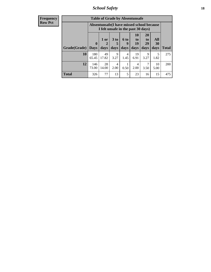*School Safety* **18**

| <b>Frequency</b> | <b>Table of Grade by Absentunsafe</b> |              |                                                                                 |                        |                  |                       |                                   |            |              |  |  |
|------------------|---------------------------------------|--------------|---------------------------------------------------------------------------------|------------------------|------------------|-----------------------|-----------------------------------|------------|--------------|--|--|
| <b>Row Pct</b>   |                                       |              | Absentunsafe(I have missed school because<br>I felt unsafe in the past 30 days) |                        |                  |                       |                                   |            |              |  |  |
|                  |                                       | $\mathbf{0}$ | 1 or<br>2                                                                       | 3 <sub>to</sub><br>5   | 6 to<br><b>g</b> | <b>10</b><br>to<br>19 | <b>20</b><br>t <sub>o</sub><br>29 | All<br>30  |              |  |  |
|                  | Grade(Grade)                          | <b>Days</b>  | days                                                                            | days                   | days             | days                  | days                              | days       | <b>Total</b> |  |  |
|                  | 10                                    | 180<br>65.45 | 49<br>17.82                                                                     | 9<br>3.27              | 4<br>1.45        | 19<br>6.91            | 9<br>3.27                         | 5<br>1.82  | 275          |  |  |
|                  | 12                                    | 146<br>73.00 | 28<br>14.00                                                                     | $\overline{4}$<br>2.00 | 0.50             | 4<br>2.00             | 7<br>3.50                         | 10<br>5.00 | 200          |  |  |
|                  | <b>Total</b>                          | 326          | 77                                                                              | 13                     | 5                | 23                    | 16                                | 15         | 475          |  |  |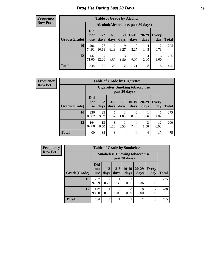### *Drug Use During Last 30 Days* **19**

#### **Frequency Row Pct**

| <b>Table of Grade by Alcohol</b> |                                 |                                     |                 |               |                 |                   |                     |       |  |  |  |  |  |
|----------------------------------|---------------------------------|-------------------------------------|-----------------|---------------|-----------------|-------------------|---------------------|-------|--|--|--|--|--|
|                                  |                                 | Alcohol (Alcohol use, past 30 days) |                 |               |                 |                   |                     |       |  |  |  |  |  |
| Grade(Grade)                     | <b>Did</b><br>not<br><b>use</b> | $1 - 2$<br>days                     | $3 - 5$<br>days | $6-9$<br>days | $10-19$<br>days | $20 - 29$<br>days | <b>Every</b><br>day | Total |  |  |  |  |  |
| 10                               | 206<br>74.91                    | 28<br>10.18                         | 17<br>6.18      | 9<br>3.27     | 9<br>3.27       | 4<br>1.45         | 2<br>0.73           | 275   |  |  |  |  |  |
| 12                               | 142<br>71.00                    | 24<br>12.00                         | 9<br>4.50       | 3<br>1.50     | 12<br>6.00      | 4<br>2.00         | 6<br>3.00           | 200   |  |  |  |  |  |
| <b>Total</b>                     | 348                             | 52                                  | 26              | 12            | 21              | 8                 | 8                   | 475   |  |  |  |  |  |

#### **Frequency Row Pct**

| <b>Table of Grade by Cigarettes</b> |                                 |                                                   |                 |                 |                  |                   |                     |       |  |  |  |  |
|-------------------------------------|---------------------------------|---------------------------------------------------|-----------------|-----------------|------------------|-------------------|---------------------|-------|--|--|--|--|
|                                     |                                 | Cigarettes (Smoking tobacco use,<br>past 30 days) |                 |                 |                  |                   |                     |       |  |  |  |  |
| Grade(Grade)                        | <b>Did</b><br>not<br><b>use</b> | $1 - 2$<br>days                                   | $3 - 5$<br>days | $6 - 9$<br>days | $10-19$<br>days  | $20 - 29$<br>days | <b>Every</b><br>day | Total |  |  |  |  |
| 10                                  | 236<br>85.82                    | 25<br>9.09                                        | 5<br>1.82       | 3<br>1.09       | $\Omega$<br>0.00 | 0.36              | 5<br>1.82           | 275   |  |  |  |  |
| 12                                  | 164<br>82.00                    | 13<br>6.50                                        | 3<br>1.50       | 0.50            | 4<br>2.00        | 3<br>1.50         | 12<br>6.00          | 200   |  |  |  |  |
| <b>Total</b>                        | 400                             | 38                                                | 8               | 4               | $\overline{4}$   | 4                 | 17                  | 475   |  |  |  |  |

**Frequency Row Pct**

| <b>Table of Grade by Smokeless</b> |                                 |                                                        |                 |                 |                   |                     |              |  |  |  |  |  |
|------------------------------------|---------------------------------|--------------------------------------------------------|-----------------|-----------------|-------------------|---------------------|--------------|--|--|--|--|--|
|                                    |                                 | <b>Smokeless</b> (Chewing tobaccouse,<br>past 30 days) |                 |                 |                   |                     |              |  |  |  |  |  |
| Grade(Grade)                       | <b>Did</b><br>not<br><b>use</b> | $1-2$<br>days                                          | $3 - 5$<br>days | $10-19$<br>days | $20 - 29$<br>days | <b>Every</b><br>day | <b>Total</b> |  |  |  |  |  |
| 10                                 | 267<br>97.09                    | 2<br>0.73                                              | 0.36            | 0.36            | 0.36              | 3<br>1.09           | 275          |  |  |  |  |  |
| 12                                 | 197<br>98.50                    | 0.50                                                   | 0<br>0.00       | 0<br>0.00       | 0.00              | 2<br>1.00           | 200          |  |  |  |  |  |
| <b>Total</b>                       | 464                             | 3                                                      |                 |                 | 1                 | 5                   | 475          |  |  |  |  |  |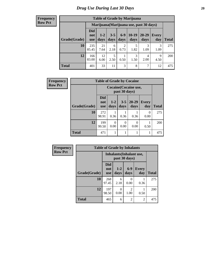#### **Frequency Row Pct**

| <b>Table of Grade by Marijuana</b> |                          |                                         |                 |                        |                 |               |              |       |  |  |  |  |  |
|------------------------------------|--------------------------|-----------------------------------------|-----------------|------------------------|-----------------|---------------|--------------|-------|--|--|--|--|--|
|                                    |                          | Marijuana (Marijuana use, past 30 days) |                 |                        |                 |               |              |       |  |  |  |  |  |
| Grade(Grade)                       | Did<br>not<br><b>use</b> | $1 - 2$<br>days                         | $3 - 5$<br>days | $6 - 9$<br>days        | $10-19$<br>days | 20-29<br>days | Every<br>day | Total |  |  |  |  |  |
| 10                                 | 235<br>85.45             | 21<br>7.64                              | 6<br>2.18       | $\overline{2}$<br>0.73 | 5<br>1.82       | 3<br>1.09     | 3<br>1.09    | 275   |  |  |  |  |  |
| 12                                 | 166<br>83.00             | 12<br>6.00                              | 5<br>2.50       | 0.50                   | 3<br>1.50       | 4<br>2.00     | 9<br>4.50    | 200   |  |  |  |  |  |
| <b>Total</b>                       | 401                      | 33                                      | 11              | 3                      | 8               | 7             | 12           | 475   |  |  |  |  |  |

| Frequency      | <b>Table of Grade by Cocaine</b> |                                 |                 |                 |                   |                  |              |
|----------------|----------------------------------|---------------------------------|-----------------|-----------------|-------------------|------------------|--------------|
| <b>Row Pct</b> |                                  | <b>Cocaine</b> (Cocaine use,    |                 |                 |                   |                  |              |
|                | Grade(Grade)                     | <b>Did</b><br>not<br><b>use</b> | $1 - 2$<br>days | $3 - 5$<br>days | $20 - 29$<br>days | Every<br>day     | <b>Total</b> |
|                | 10                               | 272<br>98.91                    | 0.36            | 0.36            | 0.36              | $\Omega$<br>0.00 | 275          |
|                | 12                               | 199<br>99.50                    | 0<br>0.00       | 0<br>0.00       | $\theta$<br>0.00  | 0.50             | 200          |
|                | <b>Total</b>                     | 471                             |                 |                 |                   |                  | 475          |

| <b>Frequency</b> | <b>Table of Grade by Inhalants</b> |                                 |                                 |                        |                     |              |  |  |
|------------------|------------------------------------|---------------------------------|---------------------------------|------------------------|---------------------|--------------|--|--|
| <b>Row Pct</b>   |                                    |                                 | <b>Inhalants</b> (Inhalant use, | past 30 days)          |                     |              |  |  |
|                  | Grade(Grade)                       | <b>Did</b><br>not<br><b>use</b> | $1-2$<br>days                   | $6-9$<br>days          | <b>Every</b><br>day | <b>Total</b> |  |  |
|                  | 10                                 | 268<br>97.45                    | 6<br>2.18                       | 0<br>0.00              | 0.36                | 275          |  |  |
|                  | 12                                 | 197<br>98.50                    | 0<br>0.00                       | $\mathfrak{D}$<br>1.00 | 0.50                | 200          |  |  |
|                  | <b>Total</b>                       | 465                             | 6                               | $\mathfrak{D}$         | $\overline{2}$      | 475          |  |  |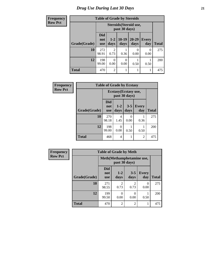| Frequency      | <b>Table of Grade by Steroids</b> |                                 |                  |                  |                        |                     |              |  |  |
|----------------|-----------------------------------|---------------------------------|------------------|------------------|------------------------|---------------------|--------------|--|--|
| <b>Row Pct</b> |                                   |                                 |                  | past 30 days)    | Steroids (Steroid use, |                     |              |  |  |
|                | Grade(Grade)                      | <b>Did</b><br>not<br><b>use</b> | $1 - 2$<br>days  | $10-19$<br>days  | $20 - 29$<br>days      | <b>Every</b><br>day | <b>Total</b> |  |  |
|                | 10                                | 272<br>98.91                    | 2<br>0.73        | 0.36             | 0<br>0.00              | 0<br>0.00           | 275          |  |  |
|                | 12                                | 198<br>99.00                    | $\theta$<br>0.00 | $\Omega$<br>0.00 | 0.50                   | 0.50                | 200          |  |  |
|                | <b>Total</b>                      | 470                             | $\overline{2}$   |                  |                        |                     | 475          |  |  |

| Frequency      | <b>Table of Grade by Ecstasy</b> |                                 |                       |                 |                     |              |  |  |
|----------------|----------------------------------|---------------------------------|-----------------------|-----------------|---------------------|--------------|--|--|
| <b>Row Pct</b> |                                  |                                 | Ecstasy (Ecstasy use, | past 30 days)   |                     |              |  |  |
|                | Grade(Grade)                     | <b>Did</b><br>not<br><b>use</b> | $1-2$<br>days         | $3 - 5$<br>days | <b>Every</b><br>day | <b>Total</b> |  |  |
|                | 10                               | 270<br>98.18                    | 4<br>1.45             | 0<br>0.00       | 0.36                | 275          |  |  |
|                | 12                               | 198<br>99.00                    | $\theta$<br>0.00      | 0.50            | 0.50                | 200          |  |  |
|                | <b>Total</b>                     | 468                             | 4                     |                 | $\overline{c}$      | 475          |  |  |

| Frequency      | <b>Table of Grade by Meth</b> |                                            |                        |                        |                     |              |  |  |  |
|----------------|-------------------------------|--------------------------------------------|------------------------|------------------------|---------------------|--------------|--|--|--|
| <b>Row Pct</b> |                               | Meth(Methamphetamine use,<br>past 30 days) |                        |                        |                     |              |  |  |  |
|                | Grade(Grade)                  | <b>Did</b><br>not<br><b>use</b>            | $1-2$<br>days          | $3 - 5$<br>days        | <b>Every</b><br>day | <b>Total</b> |  |  |  |
|                | 10                            | 271<br>98.55                               | $\mathfrak{D}$<br>0.73 | $\overline{2}$<br>0.73 | $\Omega$<br>0.00    | 275          |  |  |  |
|                | 12                            | 199<br>99.50                               | 0<br>0.00              | $\theta$<br>0.00       | 0.50                | 200          |  |  |  |
|                | <b>Total</b>                  | 470                                        | 2                      | $\overline{2}$         |                     | 475          |  |  |  |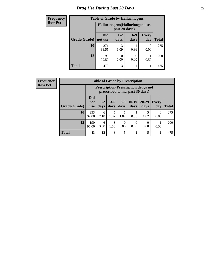### *Drug Use During Last 30 Days* **22**

| <b>Frequency</b> | <b>Table of Grade by Hallucinogens</b> |                                  |               |               |                     |              |  |  |  |
|------------------|----------------------------------------|----------------------------------|---------------|---------------|---------------------|--------------|--|--|--|
| <b>Row Pct</b>   |                                        | Hallucinogens (Hallucinogen use, |               |               |                     |              |  |  |  |
|                  | Grade(Grade)                           | <b>Did</b><br>not use            | $1-2$<br>days | $6-9$<br>days | <b>Every</b><br>day | <b>Total</b> |  |  |  |
|                  | 10                                     | 271<br>98.55                     | 3<br>1.09     | 0.36          | 0.00                | 275          |  |  |  |
|                  | 12                                     | 199<br>99.50                     | 0.00          | 0<br>0.00     | 0.50                | 200          |  |  |  |
|                  | <b>Total</b>                           | 470                              | 3             | 1             |                     | 475          |  |  |  |

| <b>Frequency</b> |              |                                 |                                                                                |                 |                 | <b>Table of Grade by Prescription</b> |                   |                  |              |  |
|------------------|--------------|---------------------------------|--------------------------------------------------------------------------------|-----------------|-----------------|---------------------------------------|-------------------|------------------|--------------|--|
| <b>Row Pct</b>   |              |                                 | <b>Prescription</b> (Prescription drugs not<br>prescribed to me, past 30 days) |                 |                 |                                       |                   |                  |              |  |
|                  | Grade(Grade) | <b>Did</b><br>not<br><b>use</b> | $1-2$<br>days                                                                  | $3 - 5$<br>days | $6 - 9$<br>days | $10-19$<br>days                       | $20 - 29$<br>days | Every<br>day     | <b>Total</b> |  |
|                  | 10           | 253<br>92.00                    | 6<br>2.18                                                                      | 1.82            | 1.82            | 0.36                                  | 5<br>1.82         | $\Omega$<br>0.00 | 275          |  |
|                  | 12           | 190<br>95.00                    | 6<br>3.00                                                                      | 3<br>1.50       | 0<br>0.00       | 0.00                                  | 0.00              | 0.50             | 200          |  |
|                  | <b>Total</b> | 443                             | 12                                                                             | 8               | 5               |                                       | 5                 |                  | 475          |  |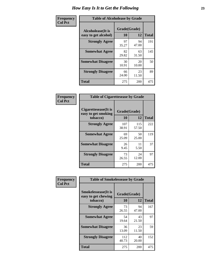| Frequency      | <b>Table of Alcoholease by Grade</b>              |                    |             |              |  |  |
|----------------|---------------------------------------------------|--------------------|-------------|--------------|--|--|
| <b>Col Pct</b> | <b>Alcoholease</b> (It is<br>easy to get alcohol) | Grade(Grade)<br>10 | 12          | <b>Total</b> |  |  |
|                | <b>Strongly Agree</b>                             | 97<br>35.27        | 94<br>47.00 | 191          |  |  |
|                | <b>Somewhat Agree</b>                             | 82<br>29.82        | 63<br>31.50 | 145          |  |  |
|                | <b>Somewhat Disagree</b>                          | 30<br>10.91        | 20<br>10.00 | 50           |  |  |
|                | <b>Strongly Disagree</b>                          | 66<br>24.00        | 23<br>11.50 | 89           |  |  |
|                | <b>Total</b>                                      | 275                | 200         | 475          |  |  |

| Frequency      | <b>Table of Cigarettesease by Grade</b>                  |                    |              |              |  |
|----------------|----------------------------------------------------------|--------------------|--------------|--------------|--|
| <b>Col Pct</b> | Cigarettesease (It is<br>easy to get smoking<br>tobacco) | Grade(Grade)<br>10 | 12           | <b>Total</b> |  |
|                | <b>Strongly Agree</b>                                    | 107<br>38.91       | 115<br>57.50 | 222          |  |
|                | <b>Somewhat Agree</b>                                    | 69<br>25.09        | 50<br>25.00  | 119          |  |
|                | <b>Somewhat Disagree</b>                                 | 26<br>9.45         | 11<br>5.50   | 37           |  |
|                | <b>Strongly Disagree</b>                                 | 73<br>26.55        | 24<br>12.00  | 97           |  |
|                | <b>Total</b>                                             | 275                | 200          | 475          |  |

| Frequency      | <b>Table of Smokelessease by Grade</b>                         |                    |             |              |  |  |  |  |
|----------------|----------------------------------------------------------------|--------------------|-------------|--------------|--|--|--|--|
| <b>Col Pct</b> | <b>Smokelessease</b> (It is<br>easy to get chewing<br>tobacco) | Grade(Grade)<br>10 | 12          | <b>Total</b> |  |  |  |  |
|                | <b>Strongly Agree</b>                                          | 73<br>26.55        | 94<br>47.00 | 167          |  |  |  |  |
|                | <b>Somewhat Agree</b>                                          | 54<br>19.64        | 43<br>21.50 | 97           |  |  |  |  |
|                | <b>Somewhat Disagree</b>                                       | 36<br>13.09        | 23<br>11.50 | 59           |  |  |  |  |
|                | <b>Strongly Disagree</b>                                       | 112<br>40.73       | 40<br>20.00 | 152          |  |  |  |  |
|                | Total                                                          | 275                | 200         | 475          |  |  |  |  |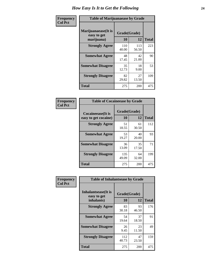| Frequency      | <b>Table of Marijuanaease by Grade</b>           |                    |              |              |  |
|----------------|--------------------------------------------------|--------------------|--------------|--------------|--|
| <b>Col Pct</b> | Marijuanaease(It is<br>easy to get<br>marijuana) | Grade(Grade)<br>10 | 12           | <b>Total</b> |  |
|                | <b>Strongly Agree</b>                            | 110<br>40.00       | 113<br>56.50 | 223          |  |
|                | <b>Somewhat Agree</b>                            | 48<br>17.45        | 42<br>21.00  | 90           |  |
|                | <b>Somewhat Disagree</b>                         | 35<br>12.73        | 18<br>9.00   | 53           |  |
|                | <b>Strongly Disagree</b>                         | 82<br>29.82        | 27<br>13.50  | 109          |  |
|                | Total                                            | 275                | 200          | 475          |  |

| <b>Table of Cocaineease by Grade</b>      |                    |             |              |  |  |  |  |
|-------------------------------------------|--------------------|-------------|--------------|--|--|--|--|
| Cocaineease(It is<br>easy to get cocaine) | Grade(Grade)<br>10 | 12          | <b>Total</b> |  |  |  |  |
| <b>Strongly Agree</b>                     | 51<br>18.55        | 61<br>30.50 | 112          |  |  |  |  |
| <b>Somewhat Agree</b>                     | 53<br>19.27        | 40<br>20.00 | 93           |  |  |  |  |
| <b>Somewhat Disagree</b>                  | 36<br>13.09        | 35<br>17.50 | 71           |  |  |  |  |
| <b>Strongly Disagree</b>                  | 135<br>49.09       | 64<br>32.00 | 199          |  |  |  |  |
| <b>Total</b>                              | 275                | 200         | 475          |  |  |  |  |

| Frequency      | <b>Table of Inhalantsease by Grade</b>                   |                           |             |              |
|----------------|----------------------------------------------------------|---------------------------|-------------|--------------|
| <b>Col Pct</b> | <b>Inhalantsease</b> (It is<br>easy to get<br>inhalants) | Grade(Grade)<br><b>10</b> | 12          | <b>Total</b> |
|                | <b>Strongly Agree</b>                                    | 83<br>30.18               | 93<br>46.50 | 176          |
|                | <b>Somewhat Agree</b>                                    | 54<br>19.64               | 37<br>18.50 | 91           |
|                | <b>Somewhat Disagree</b>                                 | 26<br>9.45                | 23<br>11.50 | 49           |
|                | <b>Strongly Disagree</b>                                 | 112<br>40.73              | 47<br>23.50 | 159          |
|                | <b>Total</b>                                             | 275                       | 200         | 475          |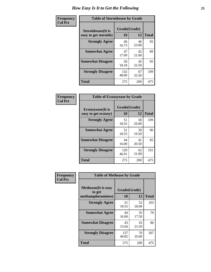| Frequency      | <b>Table of Steroidsease by Grade</b>               |                    |             |              |
|----------------|-----------------------------------------------------|--------------------|-------------|--------------|
| <b>Col Pct</b> | <b>Steroidsease</b> (It is<br>easy to get steroids) | Grade(Grade)<br>10 | 12          | <b>Total</b> |
|                | <b>Strongly Agree</b>                               | 46<br>16.73        | 46<br>23.00 | 92           |
|                | <b>Somewhat Agree</b>                               | 47<br>17.09        | 42<br>21.00 | 89           |
|                | <b>Somewhat Disagree</b>                            | 50<br>18.18        | 45<br>22.50 | 95           |
|                | <b>Strongly Disagree</b>                            | 132<br>48.00       | 67<br>33.50 | 199          |
|                | <b>Total</b>                                        | 275                | 200         | 475          |

| Frequency      | <b>Table of Ecstasyease by Grade</b>              |                    |             |              |  |  |  |  |  |  |  |
|----------------|---------------------------------------------------|--------------------|-------------|--------------|--|--|--|--|--|--|--|
| <b>Col Pct</b> | <b>Ecstasyease</b> (It is<br>easy to get ecstasy) | Grade(Grade)<br>10 | 12          | <b>Total</b> |  |  |  |  |  |  |  |
|                | <b>Strongly Agree</b>                             | 51<br>18.55        | 58<br>29.00 | 109          |  |  |  |  |  |  |  |
|                | <b>Somewhat Agree</b>                             | 51<br>18.55        | 39<br>19.50 | 90           |  |  |  |  |  |  |  |
|                | <b>Somewhat Disagree</b>                          | 44<br>16.00        | 41<br>20.50 | 85           |  |  |  |  |  |  |  |
|                | <b>Strongly Disagree</b>                          | 129<br>46.91       | 62<br>31.00 | 191          |  |  |  |  |  |  |  |
|                | Total                                             | 275                | 200         | 475          |  |  |  |  |  |  |  |

| Frequency      | <b>Table of Methease by Grade</b>     |              |             |              |
|----------------|---------------------------------------|--------------|-------------|--------------|
| <b>Col Pct</b> | <b>Methease</b> (It is easy<br>to get | Grade(Grade) |             |              |
|                | methamphetamines)                     | 10           | 12          | <b>Total</b> |
|                | <b>Strongly Agree</b>                 | 51<br>18.55  | 52<br>26.00 | 103          |
|                | <b>Somewhat Agree</b>                 | 44<br>16.00  | 35<br>17.50 | 79           |
|                | <b>Somewhat Disagree</b>              | 43<br>15.64  | 43<br>21.50 | 86           |
|                | <b>Strongly Disagree</b>              | 137<br>49.82 | 70<br>35.00 | 207          |
|                | Total                                 | 275          | 200         | 475          |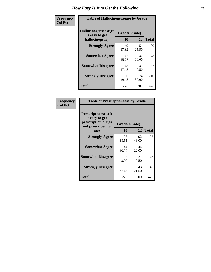| <b>Frequency</b> | <b>Table of Hallucinogensease by Grade</b>               |                    |             |              |
|------------------|----------------------------------------------------------|--------------------|-------------|--------------|
| <b>Col Pct</b>   | Hallucinogensease(It<br>is easy to get<br>hallucinogens) | Grade(Grade)<br>10 | 12          | <b>Total</b> |
|                  | <b>Strongly Agree</b>                                    | 49<br>17.82        | 51<br>25.50 | 100          |
|                  | <b>Somewhat Agree</b>                                    | 42<br>15.27        | 36<br>18.00 | 78           |
|                  | <b>Somewhat Disagree</b>                                 | 48<br>17.45        | 39<br>19.50 | 87           |
|                  | <b>Strongly Disagree</b>                                 | 136<br>49.45       | 74<br>37.00 | 210          |
|                  | <b>Total</b>                                             | 275                | 200         | 475          |

| Frequency<br>  Col Pct |
|------------------------|
|                        |

| <b>Table of Prescriptionease by Grade</b>                                                |              |              |              |
|------------------------------------------------------------------------------------------|--------------|--------------|--------------|
| <b>Prescriptionease</b> (It<br>is easy to get<br>prescription drugs<br>not prescribed to |              | Grade(Grade) |              |
| me)                                                                                      | 10           | 12           | <b>Total</b> |
| <b>Strongly Agree</b>                                                                    | 106<br>38.55 | 92<br>46.00  | 198          |
| <b>Somewhat Agree</b>                                                                    | 44<br>16.00  | 44<br>22.00  | 88           |
| <b>Somewhat Disagree</b>                                                                 | 22<br>8.00   | 21<br>10.50  | 43           |
| <b>Strongly Disagree</b>                                                                 | 103<br>37.45 | 43<br>21.50  | 146          |
| <b>Total</b>                                                                             | 275          | 200          | 475          |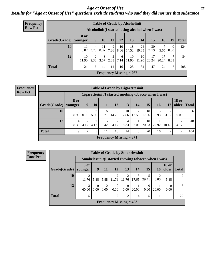#### *Age at Onset of Use* **27** *Results for "Age at Onset of Use" questions exclude students who said they did not use that substance*

| Frequency      | <b>Table of Grade by Alcoholinit</b> |             |                        |            |           |            |                                                  |             |             |             |                  |              |
|----------------|--------------------------------------|-------------|------------------------|------------|-----------|------------|--------------------------------------------------|-------------|-------------|-------------|------------------|--------------|
| <b>Row Pct</b> |                                      |             |                        |            |           |            | Alcoholinit (I started using alcohol when I was) |             |             |             |                  |              |
|                | Grade(Grade)   younger               | <b>8 or</b> | 9                      | 10         | 11        | 12         | 13                                               | 14          | 15          | <b>16</b>   | 17               | <b>Total</b> |
|                | 10                                   | 11<br>8.87  | 4<br>3.23              | 11<br>8.87 | 9<br>7.26 | 10<br>8.06 | 18<br>14.52                                      | 24<br>19.35 | 30<br>24.19 | 7<br>5.65   | $\theta$<br>0.00 | 124          |
|                | 12                                   | 10<br>11.90 | $\overline{2}$<br>2.38 | 3<br>3.57  | 2<br>2.38 | 6<br>7.14  | 10<br>11.90                                      | 10<br>11.90 | 17<br>20.24 | 17<br>20.24 | 7<br>8.33        | 84           |
|                | <b>Total</b>                         | 21          | 6                      | 14         | 11        | 16         | 28                                               | 34          | 47          | 24          | 7                | 208          |
|                |                                      |             |                        |            |           |            | Frequency Missing $= 267$                        |             |             |             |                  |              |

| <b>Frequency</b> | <b>Table of Grade by Cigarettesinit</b><br>Cigarettesinit(I started smoking tobacco when I was) |                 |                |           |                           |            |             |       |             |             |           |                       |              |
|------------------|-------------------------------------------------------------------------------------------------|-----------------|----------------|-----------|---------------------------|------------|-------------|-------|-------------|-------------|-----------|-----------------------|--------------|
| <b>Row Pct</b>   |                                                                                                 |                 |                |           |                           |            |             |       |             |             |           |                       |              |
|                  | Grade(Grade)                                                                                    | 8 or<br>younger | 9 <sup>°</sup> | <b>10</b> | 11                        | 12         | 13          | 14    | 15          | 16          | 17        | <b>18 or</b><br>older | <b>Total</b> |
|                  | 10                                                                                              | 8.93            | 0<br>0.00      | 5.36      | 6<br>10.71                | 8<br>14.29 | 10<br>17.86 | 12.50 | 10<br>17.86 | 8.93        | 2<br>3.57 | $\Omega$<br>0.00      | 56           |
|                  | 12                                                                                              | 4<br>8.33       | 4.17           | 4.17      | 10.42                     | 2<br>4.17  | 4<br>8.33   | 2.08  | 10<br>20.83 | 11<br>22.92 | 10.42     | ◠<br>4.17             | 48           |
|                  | <b>Total</b>                                                                                    | 9               | ∍              | 5         | 11                        | 10         | 14          | 8     | 20          | 16          | 7         | ↑                     | 104          |
|                  |                                                                                                 |                 |                |           | Frequency Missing $= 371$ |            |             |       |             |             |           |                       |              |

| <b>Frequency</b> | <b>Table of Grade by Smokelessinit</b> |                 |                  |                  |                           |                  |       |                  |                                                      |                               |                |  |  |
|------------------|----------------------------------------|-----------------|------------------|------------------|---------------------------|------------------|-------|------------------|------------------------------------------------------|-------------------------------|----------------|--|--|
| <b>Row Pct</b>   |                                        |                 |                  |                  |                           |                  |       |                  | Smokelessinit (I started chewing tobacco when I was) |                               |                |  |  |
|                  | Grade(Grade)                           | 8 or<br>younger | 9 <sup>1</sup>   | 11               | 12                        | 13               | 14    | 15               | 16                                                   | <b>18 or</b><br>older   Total |                |  |  |
|                  | 10                                     | 11.76           | 5.88             | 5.88             | 11.76                     | 11.76            | 17.65 | 29.41            | 0.00                                                 | 5.88                          | 17             |  |  |
|                  | 12                                     | 3<br>60.00      | $\theta$<br>0.00 | $\Omega$<br>0.00 | $\theta$<br>0.00          | $\Omega$<br>0.00 | 20.00 | $\theta$<br>0.00 | 20.00                                                | $\Omega$<br>0.00              | $\overline{5}$ |  |  |
|                  | <b>Total</b>                           |                 |                  |                  | 2                         | 2                | 4     | 5                |                                                      |                               | 22             |  |  |
|                  |                                        |                 |                  |                  | Frequency Missing $= 453$ |                  |       |                  |                                                      |                               |                |  |  |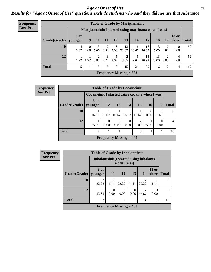#### *Age at Onset of Use* **28**

*Results for "Age at Onset of Use" questions exclude students who said they did not use that substance*

| Frequency      |                                                      | <b>Table of Grade by Marijuanainit</b> |                      |           |           |           |                           |             |             |                 |                  |                  |               |
|----------------|------------------------------------------------------|----------------------------------------|----------------------|-----------|-----------|-----------|---------------------------|-------------|-------------|-----------------|------------------|------------------|---------------|
| <b>Row Pct</b> | Marijuanainit (I started using marijuana when I was) |                                        |                      |           |           |           |                           |             |             |                 |                  |                  |               |
|                | Grade(Grade)                                         | <b>8 or</b><br>younger                 | 9 <sup>°</sup>       | 10        | 11        | <b>12</b> | 13                        | 14          | 15          | 16 <sup>1</sup> | 17               | <b>18 or</b>     | older   Total |
|                | 10                                                   | 4<br>6.67                              | $\theta$<br>$0.00\,$ | 3<br>5.00 | 3.33      | 3         | 13<br>$5.00$   21.67      | 16<br>26.67 | 16<br>26.67 | 3<br>5.00       | $\Omega$<br>0.00 | $\theta$<br>0.00 | 60            |
|                | 12                                                   | 1.92                                   | 1.92                 | 2<br>3.85 | 3<br>5.77 | 5<br>9.62 | $\overline{2}$<br>3.85    | 5<br>9.62   | 14<br>26.92 | 13<br>25.00     | 2<br>3.85        | 4<br>7.69        | 52            |
|                | <b>Total</b>                                         | 5                                      | T.                   | 5         | 5         | 8         | 15                        | 21          | 30          | 16              | 2                | 4                | 112           |
|                |                                                      |                                        |                      |           |           |           | Frequency Missing $= 363$ |             |             |                 |                  |                  |               |

| Frequency      |                        |                                                  | <b>Table of Grade by Cocaineinit</b> |                  |           |                 |           |       |                |
|----------------|------------------------|--------------------------------------------------|--------------------------------------|------------------|-----------|-----------------|-----------|-------|----------------|
| <b>Row Pct</b> |                        | Cocaineinit (I started using cocaine when I was) |                                      |                  |           |                 |           |       |                |
|                | Grade(Grade)   younger | 8 or                                             | 12                                   | 13               | 14        | 15 <sup>1</sup> | <b>16</b> | 17    | <b>Total</b>   |
|                | 10                     | 16.67                                            | 16.67                                | 16.67            | 16.67     | 16.67           | 0.00      | 16.67 | 6              |
|                | 12                     | 25.00                                            | $\Omega$<br>0.00                     | $\Omega$<br>0.00 | 0<br>0.00 | 50.00           | 25.00     | 0.00  | $\overline{4}$ |
|                | <b>Total</b>           | $\overline{2}$                                   |                                      |                  |           | 3               |           |       | 10             |
|                |                        |                                                  | Frequency Missing $= 465$            |                  |           |                 |           |       |                |

| <b>Frequency</b> | <b>Table of Grade by Inhalantsinit</b> |                                          |           |                           |       |            |                       |              |  |  |  |
|------------------|----------------------------------------|------------------------------------------|-----------|---------------------------|-------|------------|-----------------------|--------------|--|--|--|
| <b>Row Pct</b>   |                                        | Inhalantsinit (I started using inhalants |           | when I was)               |       |            |                       |              |  |  |  |
|                  | Grade(Grade)                           | 8 or<br>younger                          | <b>11</b> | <b>12</b>                 | 13    | 14         | <b>18 or</b><br>older | <b>Total</b> |  |  |  |
|                  | <b>10</b>                              | っ<br>22.22                               | 11.11     | っ<br>22.22                | 11.11 | 22.22      |                       | $\mathbf Q$  |  |  |  |
|                  | 12                                     | 33.33                                    | O<br>0.00 | 0.00                      | 0.00  | 2<br>66.67 | 0<br>0.00             | 3            |  |  |  |
|                  | <b>Total</b>                           | 3                                        |           | $\mathfrak{D}$            |       | 4          |                       | 12           |  |  |  |
|                  |                                        |                                          |           | Frequency Missing $= 463$ |       |            |                       |              |  |  |  |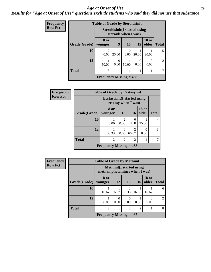#### *Age at Onset of Use* **29**

*Results for "Age at Onset of Use" questions exclude students who said they did not use that substance*

| <b>Frequency</b> | <b>Table of Grade by Steroidsinit</b> |                           |           |                                                              |                  |                       |               |  |  |  |
|------------------|---------------------------------------|---------------------------|-----------|--------------------------------------------------------------|------------------|-----------------------|---------------|--|--|--|
| <b>Row Pct</b>   |                                       |                           |           | <b>Steroidsinit (I started using</b><br>steroids when I was) |                  |                       |               |  |  |  |
|                  | Grade(Grade)                          | 8 or<br>younger           | 9         | <b>10</b>                                                    | 15               | <b>18 or</b><br>older | <b>Total</b>  |  |  |  |
|                  | 10                                    | $\mathcal{D}$<br>40.00    | 20.00     | 0<br>0.00                                                    | 20.00            | 20.00                 | 5             |  |  |  |
|                  | 12                                    | 50.00                     | 0<br>0.00 | 50.00                                                        | $\theta$<br>0.00 | 0.00                  | $\mathcal{L}$ |  |  |  |
|                  | <b>Total</b>                          | 3                         |           | 1                                                            |                  | 1                     |               |  |  |  |
|                  |                                       | Frequency Missing $= 468$ |           |                                                              |                  |                       |               |  |  |  |

| Frequency      | <b>Table of Grade by Ecstasyinit</b> |                                     |                         |                         |                       |              |  |  |  |
|----------------|--------------------------------------|-------------------------------------|-------------------------|-------------------------|-----------------------|--------------|--|--|--|
| <b>Row Pct</b> |                                      | <b>Ecstasyinit</b> (I started using | ecstasy when I was)     |                         |                       |              |  |  |  |
|                | Grade(Grade)   younger               | 8 or                                | <b>15</b>               | <b>16</b>               | <b>18 or</b><br>older | <b>Total</b> |  |  |  |
|                | 10                                   | 25.00                               | $\mathfrak{D}$<br>50.00 | 0.00                    | 25.00                 | 4            |  |  |  |
|                | 12                                   | 33.33                               | 0<br>0.00               | $\overline{c}$<br>66.67 | 0<br>0.00             | 3            |  |  |  |
|                | <b>Total</b>                         | $\overline{c}$                      | $\overline{2}$          | $\overline{c}$          |                       |              |  |  |  |
|                |                                      | Frequency Missing $= 468$           |                         |                         |                       |              |  |  |  |

| <b>Frequency</b> |              | <b>Table of Grade by Methinit</b>                               |           |                        |           |                       |                |  |  |  |
|------------------|--------------|-----------------------------------------------------------------|-----------|------------------------|-----------|-----------------------|----------------|--|--|--|
| <b>Row Pct</b>   |              | <b>Methinit(I started using</b><br>methamphetamines when I was) |           |                        |           |                       |                |  |  |  |
|                  | Grade(Grade) | 8 or<br>younger                                                 | <b>12</b> | 15                     | <b>16</b> | <b>18 or</b><br>older | <b>Total</b>   |  |  |  |
|                  | 10           | 16.67                                                           | 16.67     | $\mathcal{D}$<br>33.33 | 16.67     | 16.67                 | 6              |  |  |  |
|                  | 12           | 50.00                                                           | 0<br>0.00 | $\theta$<br>0.00       | 50.00     | $\Omega$<br>0.00      | $\mathfrak{D}$ |  |  |  |
|                  | <b>Total</b> | $\overline{c}$                                                  |           | $\overline{2}$         | 2         |                       | 8              |  |  |  |
|                  |              | Frequency Missing $= 467$                                       |           |                        |           |                       |                |  |  |  |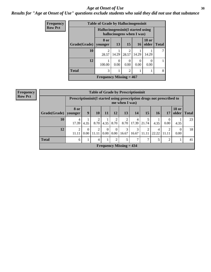#### Age at Onset of Use **30**

*Results for "Age at Onset of Use" questions exclude students who said they did not use that substance*

| Frequency      |              | <b>Table of Grade by Hallucinogensinit</b>                      |           |                         |           |                       |              |  |  |  |  |
|----------------|--------------|-----------------------------------------------------------------|-----------|-------------------------|-----------|-----------------------|--------------|--|--|--|--|
| <b>Row Pct</b> |              | Hallucinogensinit (I started using<br>hallucinogens when I was) |           |                         |           |                       |              |  |  |  |  |
|                | Grade(Grade) | 8 or<br>younger                                                 | 13        | 15                      | <b>16</b> | <b>18 or</b><br>older | <b>Total</b> |  |  |  |  |
|                | 10           | 28.57                                                           | 14.29     | $\mathfrak{D}$<br>28.57 | 14.29     | 14.29                 | 7            |  |  |  |  |
|                | 12           | 100.00                                                          | 0<br>0.00 | 0<br>0.00               | 0.00      | 0.00                  |              |  |  |  |  |
|                | <b>Total</b> | 3                                                               |           | $\mathfrak{D}$          |           |                       | 8            |  |  |  |  |
|                |              | Frequency Missing $= 467$                                       |           |                         |           |                       |              |  |  |  |  |

| Frequency<br>Row Pct |  |
|----------------------|--|
|                      |  |

|              | <b>Table of Grade by Prescriptioninit</b> |                                                                                         |            |                  |                               |                        |            |                         |            |                |                       |              |
|--------------|-------------------------------------------|-----------------------------------------------------------------------------------------|------------|------------------|-------------------------------|------------------------|------------|-------------------------|------------|----------------|-----------------------|--------------|
|              |                                           | Prescriptioninit(I started using prescription drugs not prescribed to<br>me when I was) |            |                  |                               |                        |            |                         |            |                |                       |              |
| Grade(Grade) | <b>8 or</b><br>younger                    | 9                                                                                       | <b>10</b>  | 11               | 12                            | 13                     | 14         | 15                      | 16         | <b>17</b>      | <b>18 or</b><br>older | <b>Total</b> |
| 10           | 4<br>17.39                                | 4.35                                                                                    | 2<br>8.70  | 4.35             | 2<br>8.70                     | $\overline{2}$<br>8.70 | 4<br>17.39 | 5<br>21.74              | 4.35       | 0<br>0.00      | 4.35                  | 23           |
| 12           | $\overline{2}$<br>11.11                   | $\Omega$<br>0.00                                                                        | 2<br>11.11 | $\Omega$<br>0.00 | $\Omega$<br>0.00 <sub>1</sub> | 3<br>16.67             | 3<br>16.67 | $\overline{2}$<br>11.11 | 4<br>22.22 | 2<br>11.11     | $\Omega$<br>0.00      | 18           |
| <b>Total</b> | 6                                         |                                                                                         | 4          |                  | $\mathfrak{D}$                | 5                      |            | 7                       | 5          | $\overline{c}$ |                       | 41           |
|              | Frequency Missing $= 434$                 |                                                                                         |            |                  |                               |                        |            |                         |            |                |                       |              |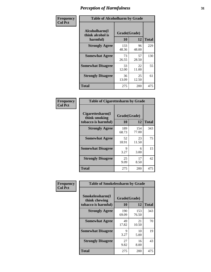| Frequency      | <b>Table of Alcoholharm by Grade</b>          |                    |             |              |  |  |  |
|----------------|-----------------------------------------------|--------------------|-------------|--------------|--|--|--|
| <b>Col Pct</b> | Alcoholharm(I<br>think alcohol is<br>harmful) | Grade(Grade)<br>10 | 12          | <b>Total</b> |  |  |  |
|                | <b>Strongly Agree</b>                         | 133<br>48.36       | 96<br>48.00 | 229          |  |  |  |
|                | <b>Somewhat Agree</b>                         | 73<br>26.55        | 57<br>28.50 | 130          |  |  |  |
|                | <b>Somewhat Disagree</b>                      | 33<br>12.00        | 22<br>11.00 | 55           |  |  |  |
|                | <b>Strongly Disagree</b>                      | 36<br>13.09        | 25<br>12.50 | 61           |  |  |  |
|                | <b>Total</b>                                  | 275                | 200         | 475          |  |  |  |

| <b>Table of Cigarettesharm by Grade</b>                  |                    |              |              |  |  |  |  |
|----------------------------------------------------------|--------------------|--------------|--------------|--|--|--|--|
| Cigarettesharm(I<br>think smoking<br>tobacco is harmful) | Grade(Grade)<br>10 | 12           | <b>Total</b> |  |  |  |  |
| <b>Strongly Agree</b>                                    | 189<br>68.73       | 154<br>77.00 | 343          |  |  |  |  |
| <b>Somewhat Agree</b>                                    | 52<br>18.91        | 23<br>11.50  | 75           |  |  |  |  |
| <b>Somewhat Disagree</b>                                 | 9<br>3.27          | 6<br>3.00    | 15           |  |  |  |  |
| <b>Strongly Disagree</b>                                 | 25<br>9.09         | 17<br>8.50   | 42           |  |  |  |  |
| <b>Total</b>                                             | 275                | 200          | 475          |  |  |  |  |

| Frequency      | <b>Table of Smokelessharm by Grade</b>                  |                    |              |              |  |  |  |  |  |  |
|----------------|---------------------------------------------------------|--------------------|--------------|--------------|--|--|--|--|--|--|
| <b>Col Pct</b> | Smokelessharm(I<br>think chewing<br>tobacco is harmful) | Grade(Grade)<br>10 | 12           | <b>Total</b> |  |  |  |  |  |  |
|                | <b>Strongly Agree</b>                                   | 190<br>69.09       | 153<br>76.50 | 343          |  |  |  |  |  |  |
|                | <b>Somewhat Agree</b>                                   | 49<br>17.82        | 21<br>10.50  | 70           |  |  |  |  |  |  |
|                | <b>Somewhat Disagree</b>                                | 9<br>3.27          | 10<br>5.00   | 19           |  |  |  |  |  |  |
|                | <b>Strongly Disagree</b>                                | 27<br>9.82         | 16<br>8.00   | 43           |  |  |  |  |  |  |
|                | Total                                                   | 275                | 200          | 475          |  |  |  |  |  |  |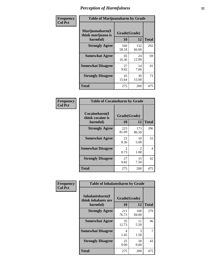| Frequency      | <b>Table of Marijuanaharm by Grade</b>            |                    |              |              |  |  |  |
|----------------|---------------------------------------------------|--------------------|--------------|--------------|--|--|--|
| <b>Col Pct</b> | Marijuanaharm(I<br>think marijuana is<br>harmful) | Grade(Grade)<br>10 | 12           | <b>Total</b> |  |  |  |
|                | <b>Strongly Agree</b>                             | 160<br>58.18       | 132<br>66.00 | 292          |  |  |  |
|                | <b>Somewhat Agree</b>                             | 45<br>16.36        | 24<br>12.00  | 69           |  |  |  |
|                | <b>Somewhat Disagree</b>                          | 27<br>9.82         | 14<br>7.00   | 41           |  |  |  |
|                | <b>Strongly Disagree</b>                          | 43<br>15.64        | 30<br>15.00  | 73           |  |  |  |
|                | <b>Total</b>                                      | 275                | 200          | 475          |  |  |  |

| <b>Table of Cocaineharm by Grade</b>          |                    |                        |              |  |  |  |  |  |
|-----------------------------------------------|--------------------|------------------------|--------------|--|--|--|--|--|
| Cocaineharm(I<br>think cocaine is<br>harmful) | Grade(Grade)<br>10 | 12                     | <b>Total</b> |  |  |  |  |  |
| <b>Strongly Agree</b>                         | 223<br>81.09       | 173<br>86.50           | 396          |  |  |  |  |  |
| <b>Somewhat Agree</b>                         | 23<br>8.36         | 10<br>5.00             | 33           |  |  |  |  |  |
| <b>Somewhat Disagree</b>                      | 2<br>0.73          | $\mathfrak{D}$<br>1.00 | 4            |  |  |  |  |  |
| <b>Strongly Disagree</b>                      | 27<br>9.82         | 15<br>7.50             | 42           |  |  |  |  |  |
| <b>Total</b>                                  | 275                | 200                    | 475          |  |  |  |  |  |

| Frequency      | <b>Table of Inhalantsharm by Grade</b>              |                    |              |              |
|----------------|-----------------------------------------------------|--------------------|--------------|--------------|
| <b>Col Pct</b> | Inhalantsharm(I)<br>think inhalants are<br>harmful) | Grade(Grade)<br>10 | 12           | <b>Total</b> |
|                | <b>Strongly Agree</b>                               | 211<br>76.73       | 168<br>84.00 | 379          |
|                | <b>Somewhat Agree</b>                               | 35<br>12.73        | 11<br>5.50   | 46           |
|                | <b>Somewhat Disagree</b>                            | 4<br>1.45          | 3<br>1.50    | 7            |
|                | <b>Strongly Disagree</b>                            | 25<br>9.09         | 18<br>9.00   | 43           |
|                | <b>Total</b>                                        | 275                | 200          | 475          |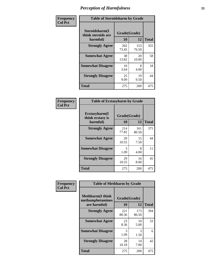| Frequency      | <b>Table of Steroidsharm by Grade</b>            |                    |              |              |
|----------------|--------------------------------------------------|--------------------|--------------|--------------|
| <b>Col Pct</b> | Steroidsharm(I<br>think steroids are<br>harmful) | Grade(Grade)<br>10 | 12           | <b>Total</b> |
|                | <b>Strongly Agree</b>                            | 202<br>73.45       | 153<br>76.50 | 355          |
|                | <b>Somewhat Agree</b>                            | 38<br>13.82        | 20<br>10.00  | 58           |
|                | <b>Somewhat Disagree</b>                         | 10<br>3.64         | 8<br>4.00    | 18           |
|                | <b>Strongly Disagree</b>                         | 25<br>9.09         | 19<br>9.50   | 44           |
|                | <b>Total</b>                                     | 275                | 200          | 475          |

| <b>Table of Ecstasyharm by Grade</b>          |                    |              |     |  |  |
|-----------------------------------------------|--------------------|--------------|-----|--|--|
| Ecstasyharm(I<br>think ecstasy is<br>harmful) | Grade(Grade)<br>10 | <b>Total</b> |     |  |  |
| <b>Strongly Agree</b>                         | 214<br>77.82       | 161<br>80.50 | 375 |  |  |
| <b>Somewhat Agree</b>                         | 29<br>10.55        | 15<br>7.50   | 44  |  |  |
| <b>Somewhat Disagree</b>                      | 3<br>1.09          | 8<br>4.00    | 11  |  |  |
| <b>Strongly Disagree</b>                      | 29<br>10.55        | 16<br>8.00   | 45  |  |  |
| Total                                         | 275                | 200          | 475 |  |  |

| Frequency      | <b>Table of Methharm by Grade</b>                            |                    |              |              |
|----------------|--------------------------------------------------------------|--------------------|--------------|--------------|
| <b>Col Pct</b> | <b>Methharm</b> (I think<br>methamphetamines<br>are harmful) | Grade(Grade)<br>10 | 12           | <b>Total</b> |
|                | <b>Strongly Agree</b>                                        | 221<br>80.36       | 173<br>86.50 | 394          |
|                | <b>Somewhat Agree</b>                                        | 23<br>8.36         | 10<br>5.00   | 33           |
|                | <b>Somewhat Disagree</b>                                     | 3<br>1.09          | 3<br>1.50    | 6            |
|                | <b>Strongly Disagree</b>                                     | 28<br>10.18        | 14<br>7.00   | 42           |
|                | <b>Total</b>                                                 | 275                | 200          | 475          |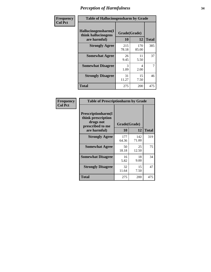| Frequency      | <b>Table of Hallucinogensharm by Grade</b>                 |                    |              |              |
|----------------|------------------------------------------------------------|--------------------|--------------|--------------|
| <b>Col Pct</b> | Hallucinogensharm(I<br>think hallucinogens<br>are harmful) | Grade(Grade)<br>10 | 12           | <b>Total</b> |
|                | <b>Strongly Agree</b>                                      | 215<br>78.18       | 170<br>85.00 | 385          |
|                | <b>Somewhat Agree</b>                                      | 26<br>9.45         | 11<br>5.50   | 37           |
|                | <b>Somewhat Disagree</b>                                   | 3<br>1.09          | 4<br>2.00    | 7            |
|                | <b>Strongly Disagree</b>                                   | 31<br>11.27        | 15<br>7.50   | 46           |
|                | <b>Total</b>                                               | 275                | 200          | 475          |

| <b>Table of Prescriptionharm by Grade</b>                                                 |              |                    |              |  |  |
|-------------------------------------------------------------------------------------------|--------------|--------------------|--------------|--|--|
| Prescriptionharm(I<br>think prescription<br>drugs not<br>prescribed to me<br>are harmful) | 10           | Grade(Grade)<br>12 | <b>Total</b> |  |  |
| <b>Strongly Agree</b>                                                                     | 177<br>64.36 | 142<br>71.00       | 319          |  |  |
| <b>Somewhat Agree</b>                                                                     | 50<br>18.18  | 25<br>12.50        | 75           |  |  |
| <b>Somewhat Disagree</b>                                                                  | 16<br>5.82   | 18<br>9.00         | 34           |  |  |
| <b>Strongly Disagree</b>                                                                  | 32<br>11.64  | 15<br>7.50         | 47           |  |  |
| <b>Total</b>                                                                              | 275          | 200                | 475          |  |  |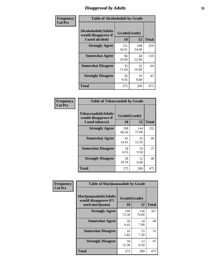### *Disapproval by Adults* **35**

| Frequency      | <b>Table of Alcoholadult by Grade</b>                                 |              |                    |              |
|----------------|-----------------------------------------------------------------------|--------------|--------------------|--------------|
| <b>Col Pct</b> | <b>Alcoholadult</b> (Adults<br>would disapprove if<br>I used alcohol) | 10           | Grade(Grade)<br>12 | <b>Total</b> |
|                | <b>Strongly Agree</b>                                                 | 151<br>54.91 | 108<br>54.00       | 259          |
|                | <b>Somewhat Agree</b>                                                 | 66<br>24.00  | 44<br>22.00        | 110          |
|                | <b>Somewhat Disagree</b>                                              | 32<br>11.64  | 32<br>16.00        | 64           |
|                | <b>Strongly Disagree</b>                                              | 26<br>9.45   | 16<br>8.00         | 42           |
|                | <b>Total</b>                                                          | 275          | 200                | 475          |

| <b>Table of Tobaccoadult by Grade</b>                                 |                          |              |     |  |  |
|-----------------------------------------------------------------------|--------------------------|--------------|-----|--|--|
| <b>Tobaccoadult</b> (Adults<br>would disapprove if<br>I used tobacco) | Grade(Grade)<br>10<br>12 |              |     |  |  |
| <b>Strongly Agree</b>                                                 | 188<br>68.36             | 144<br>72.00 | 332 |  |  |
| <b>Somewhat Agree</b>                                                 | 41<br>14.91              | 25<br>12.50  | 66  |  |  |
| <b>Somewhat Disagree</b>                                              | 18<br>6.55               | 19<br>9.50   | 37  |  |  |
| <b>Strongly Disagree</b>                                              | 28<br>10.18              | 12<br>6.00   | 40  |  |  |
| Total                                                                 | 275                      | 200          | 475 |  |  |

| Frequency<br><b>Col Pct</b> | <b>Table of Marijuanaadult by Grade</b>                           |                    |              |              |  |
|-----------------------------|-------------------------------------------------------------------|--------------------|--------------|--------------|--|
|                             | Marijuanaadult(Adults<br>would disapprove if I<br>used marijuana) | Grade(Grade)<br>10 | 12           | <b>Total</b> |  |
|                             | <b>Strongly Agree</b>                                             | 199<br>72.36       | 158<br>79.00 | 357          |  |
|                             | <b>Somewhat Agree</b>                                             | 26<br>9.45         | 14<br>7.00   | 40           |  |
|                             | <b>Somewhat Disagree</b>                                          | 16<br>5.82         | 15<br>7.50   | 31           |  |
|                             | <b>Strongly Disagree</b>                                          | 34<br>12.36        | 13<br>6.50   | 47           |  |
|                             | <b>Total</b>                                                      | 275                | 200          | 475          |  |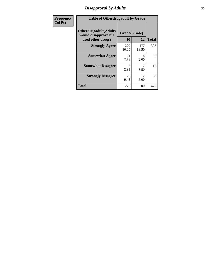### *Disapproval by Adults* **36**

| Frequency      | <b>Table of Otherdrugadult by Grade</b>                                     |                    |              |              |
|----------------|-----------------------------------------------------------------------------|--------------------|--------------|--------------|
| <b>Col Pct</b> | <b>Otherdrugadult</b> (Adults<br>would disapprove if I<br>used other drugs) | Grade(Grade)<br>10 | 12           | <b>Total</b> |
|                | <b>Strongly Agree</b>                                                       | 220<br>80.00       | 177<br>88.50 | 397          |
|                | <b>Somewhat Agree</b>                                                       | 21<br>7.64         | 4<br>2.00    | 25           |
|                | <b>Somewhat Disagree</b>                                                    | 8<br>2.91          | 3.50         | 15           |
|                | <b>Strongly Disagree</b>                                                    | 26<br>9.45         | 12<br>6.00   | 38           |
|                | <b>Total</b>                                                                | 275                | 200          | 475          |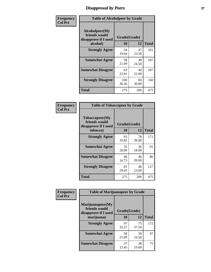# *Disapproval by Peers* **37**

| Frequency      | <b>Table of Alcoholpeer by Grade</b>                    |              |             |              |  |
|----------------|---------------------------------------------------------|--------------|-------------|--------------|--|
| <b>Col Pct</b> | Alcoholpeer(My<br>friends would<br>disapprove if I used | Grade(Grade) |             |              |  |
|                | alcohol)                                                | 10           | 12          | <b>Total</b> |  |
|                | <b>Strongly Agree</b>                                   | 54<br>19.64  | 47<br>23.50 | 101          |  |
|                | <b>Somewhat Agree</b>                                   | 58<br>21.09  | 49<br>24.50 | 107          |  |
|                | <b>Somewhat Disagree</b>                                | 63<br>22.91  | 44<br>22.00 | 107          |  |
|                | <b>Strongly Disagree</b>                                | 100<br>36.36 | 60<br>30.00 | 160          |  |
|                | Total                                                   | 275          | 200         | 475          |  |

| Frequency      | <b>Table of Tobaccopeer by Grade</b>                                |                    |             |              |
|----------------|---------------------------------------------------------------------|--------------------|-------------|--------------|
| <b>Col Pct</b> | Tobaccopeer(My<br>friends would<br>disapprove if I used<br>tobacco) | Grade(Grade)<br>10 | 12          | <b>Total</b> |
|                | <b>Strongly Agree</b>                                               | 93                 | 78          | 171          |
|                |                                                                     | 33.82              | 39.00       |              |
|                | <b>Somewhat Agree</b>                                               | 55<br>20.00        | 36<br>18.00 | 91           |
|                | <b>Somewhat Disagree</b>                                            | 46<br>16.73        | 40<br>20.00 | 86           |
|                | <b>Strongly Disagree</b>                                            | 81<br>29.45        | 46<br>23.00 | 127          |
|                | Total                                                               | 275                | 200         | 475          |

| Frequency<br><b>Col Pct</b> | <b>Table of Marijuanapeer by Grade</b>                    |              |             |              |  |
|-----------------------------|-----------------------------------------------------------|--------------|-------------|--------------|--|
|                             | Marijuanapeer(My<br>friends would<br>disapprove if I used | Grade(Grade) |             |              |  |
|                             | marijuana)                                                | 10           | 12          | <b>Total</b> |  |
|                             | <b>Strongly Agree</b>                                     | 97<br>35.27  | 75<br>37.50 | 172          |  |
|                             | <b>Somewhat Agree</b>                                     | 58<br>21.09  | 39<br>19.50 | 97           |  |
|                             | <b>Somewhat Disagree</b>                                  | 37<br>13.45  | 38<br>19.00 | 75           |  |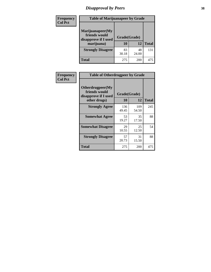# *Disapproval by Peers* **38**

| <b>Frequency</b><br><b>Col Pct</b> | <b>Table of Marijuanapeer by Grade</b>                                  |                    |             |              |
|------------------------------------|-------------------------------------------------------------------------|--------------------|-------------|--------------|
|                                    | Marijuanapeer(My<br>friends would<br>disapprove if I used<br>marijuana) | Grade(Grade)<br>10 | 12          | <b>Total</b> |
|                                    | <b>Strongly Disagree</b>                                                | 83<br>30.18        | 48<br>24.00 | 131          |
|                                    | Total                                                                   | 275                | 200         | 475          |

| Frequency      | <b>Table of Otherdrugpeer by Grade</b>                                    |                    |             |              |
|----------------|---------------------------------------------------------------------------|--------------------|-------------|--------------|
| <b>Col Pct</b> | Otherdrugpeer(My<br>friends would<br>disapprove if I used<br>other drugs) | Grade(Grade)<br>10 | 12          | <b>Total</b> |
|                | <b>Strongly Agree</b>                                                     | 136                | 109         | 245          |
|                |                                                                           | 49.45              | 54.50       |              |
|                | <b>Somewhat Agree</b>                                                     | 53<br>19.27        | 35<br>17.50 | 88           |
|                | <b>Somewhat Disagree</b>                                                  | 29<br>10.55        | 25<br>12.50 | 54           |
|                | <b>Strongly Disagree</b>                                                  | 57<br>20.73        | 31<br>15.50 | 88           |
|                | <b>Total</b>                                                              | 275                | 200         | 475          |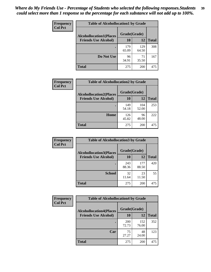| Frequency      | <b>Table of Alcohollocation1 by Grade</b> |              |              |              |
|----------------|-------------------------------------------|--------------|--------------|--------------|
| <b>Col Pct</b> | <b>Alcohollocation1(Places</b>            | Grade(Grade) |              |              |
|                | <b>Friends Use Alcohol)</b>               | 10           | 12           | <b>Total</b> |
|                |                                           | 179<br>65.09 | 129<br>64.50 | 308          |
|                | Do Not Use                                | 96<br>34.91  | 71<br>35.50  | 167          |
|                | <b>Total</b>                              | 275          | 200          | 475          |

| <b>Frequency</b> | <b>Table of Alcohollocation2 by Grade</b> |              |              |              |
|------------------|-------------------------------------------|--------------|--------------|--------------|
| <b>Col Pct</b>   | <b>Alcohollocation2(Places</b>            | Grade(Grade) |              |              |
|                  | <b>Friends Use Alcohol)</b>               | 10           | 12           | <b>Total</b> |
|                  |                                           | 149<br>54.18 | 104<br>52.00 | 253          |
|                  | Home                                      | 126<br>45.82 | 96<br>48.00  | 222          |
|                  | <b>Total</b>                              | 275          | 200          | 475          |

| Frequency<br><b>Col Pct</b> | <b>Table of Alcohollocation 3 by Grade</b> |              |              |              |
|-----------------------------|--------------------------------------------|--------------|--------------|--------------|
|                             | <b>Alcohollocation3(Places</b>             | Grade(Grade) |              |              |
|                             | <b>Friends Use Alcohol)</b>                | 10           | 12           | <b>Total</b> |
|                             |                                            | 243<br>88.36 | 177<br>88.50 | 420          |
|                             | <b>School</b>                              | 32<br>11.64  | 23<br>11.50  | 55           |
|                             | <b>Total</b>                               | 275          | 200          | 475          |

| <b>Frequency</b> | <b>Table of Alcohollocation4 by Grade</b> |                     |              |              |  |
|------------------|-------------------------------------------|---------------------|--------------|--------------|--|
| <b>Col Pct</b>   | <b>Alcohollocation4(Places</b>            | Grade(Grade)        |              |              |  |
|                  | <b>Friends Use Alcohol)</b>               | 10                  | 12           | <b>Total</b> |  |
|                  |                                           | <b>200</b><br>72.73 | 152<br>76.00 | 352          |  |
|                  | Car                                       | 75<br>27.27         | 48<br>24.00  | 123          |  |
|                  | <b>Total</b>                              | 275                 | 200          | 475          |  |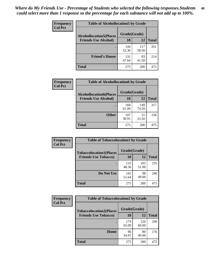| <b>Frequency</b><br><b>Col Pct</b> | <b>Table of Alcohollocation5 by Grade</b> |              |              |              |  |
|------------------------------------|-------------------------------------------|--------------|--------------|--------------|--|
|                                    | <b>Alcohollocation5(Places</b>            | Grade(Grade) |              |              |  |
|                                    | <b>Friends Use Alcohol)</b>               | 10           | 12           | <b>Total</b> |  |
|                                    |                                           | 144<br>52.36 | 117<br>58.50 | 261          |  |
|                                    | <b>Friend's House</b>                     | 131<br>47.64 | 83<br>41.50  | 214          |  |
|                                    | Total                                     | 275          | <b>200</b>   | 475          |  |

| <b>Frequency</b> | <b>Table of Alcohollocation6 by Grade</b> |              |              |              |  |  |
|------------------|-------------------------------------------|--------------|--------------|--------------|--|--|
| <b>Col Pct</b>   | <b>Alcohollocation6(Places</b>            | Grade(Grade) |              |              |  |  |
|                  | <b>Friends Use Alcohol)</b>               | 10           | 12           | <b>Total</b> |  |  |
|                  |                                           | 168<br>61.09 | 149<br>74.50 | 317          |  |  |
|                  | <b>Other</b>                              | 107<br>38.91 | 51<br>25.50  | 158          |  |  |
|                  | <b>Total</b>                              | 275          | 200          | 475          |  |  |

| <b>Frequency</b> | <b>Table of Tobaccolocation1 by Grade</b> |              |              |              |
|------------------|-------------------------------------------|--------------|--------------|--------------|
| <b>Col Pct</b>   | <b>Tobaccolocation1(Places</b>            | Grade(Grade) |              |              |
|                  | <b>Friends Use Tobacco)</b>               | 10           | 12           | <b>Total</b> |
|                  |                                           | 133<br>48.36 | 102<br>51.00 | 235          |
|                  | Do Not Use                                | 142<br>51.64 | 98<br>49.00  | 240          |
|                  | <b>Total</b>                              | 275          | 200          | 475          |

| <b>Frequency</b> | <b>Table of Tobaccolocation2 by Grade</b> |              |              |              |
|------------------|-------------------------------------------|--------------|--------------|--------------|
| <b>Col Pct</b>   | <b>Tobaccolocation2(Places</b>            | Grade(Grade) |              |              |
|                  | <b>Friends Use Tobacco)</b>               | 10           | 12           | <b>Total</b> |
|                  |                                           | 179<br>65.09 | 120<br>60.00 | 299          |
|                  | Home                                      | 96<br>34.91  | 80<br>40.00  | 176          |
|                  | <b>Total</b>                              | 275          | 200          | 475          |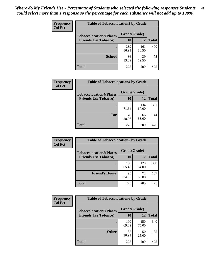| Frequency      | <b>Table of Tobaccolocation3 by Grade</b> |              |              |              |  |
|----------------|-------------------------------------------|--------------|--------------|--------------|--|
| <b>Col Pct</b> | <b>Tobaccolocation3(Places</b>            | Grade(Grade) |              |              |  |
|                | <b>Friends Use Tobacco)</b>               | 10           | 12           | <b>Total</b> |  |
|                |                                           | 239<br>86.91 | 161<br>80.50 | 400          |  |
|                | <b>School</b>                             | 36<br>13.09  | 39<br>19.50  | 75           |  |
|                | <b>Total</b>                              | 275          | 200          | 475          |  |

| Frequency      | <b>Table of Tobaccolocation4 by Grade</b> |              |              |              |
|----------------|-------------------------------------------|--------------|--------------|--------------|
| <b>Col Pct</b> | <b>Tobaccolocation4(Places</b>            | Grade(Grade) |              |              |
|                | <b>Friends Use Tobacco)</b>               | 10           | 12           | <b>Total</b> |
|                |                                           | 197<br>71.64 | 134<br>67.00 | 331          |
|                | Car                                       | 78<br>28.36  | 66<br>33.00  | 144          |
|                | <b>Total</b>                              | 275          | 200          | 475          |

| Frequency      | <b>Table of Tobaccolocation5 by Grade</b> |              |              |              |
|----------------|-------------------------------------------|--------------|--------------|--------------|
| <b>Col Pct</b> | <b>Tobaccolocation5(Places</b>            | Grade(Grade) |              |              |
|                | <b>Friends Use Tobacco)</b>               | 10           | 12           | <b>Total</b> |
|                |                                           | 180<br>65.45 | 128<br>64.00 | 308          |
|                | <b>Friend's House</b>                     | 95<br>34.55  | 72<br>36.00  | 167          |
|                | <b>Total</b>                              | 275          | 200          | 475          |

| Frequency      | <b>Table of Tobaccolocation6 by Grade</b> |              |              |              |
|----------------|-------------------------------------------|--------------|--------------|--------------|
| <b>Col Pct</b> | <b>Tobaccolocation6(Places</b>            | Grade(Grade) |              |              |
|                | <b>Friends Use Tobacco)</b>               | 10           | 12           | <b>Total</b> |
|                |                                           | 190<br>69.09 | 150<br>75.00 | 340          |
|                | <b>Other</b>                              | 85<br>30.91  | 50<br>25.00  | 135          |
|                | <b>Total</b>                              | 275          | 200          | 475          |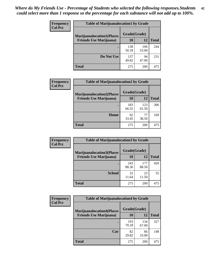| <b>Frequency</b> | <b>Table of Marijuanalocation1 by Grade</b> |              |              |              |
|------------------|---------------------------------------------|--------------|--------------|--------------|
| <b>Col Pct</b>   | <b>Marijuanalocation1(Places</b>            | Grade(Grade) |              |              |
|                  | <b>Friends Use Marijuana</b> )              | 10           | 12           | <b>Total</b> |
|                  |                                             | 138<br>50.18 | 106<br>53.00 | 244          |
|                  | Do Not Use                                  | 137<br>49.82 | 94<br>47.00  | 231          |
|                  | <b>Total</b>                                | 275          | 200          | 475          |

| <b>Frequency</b> | <b>Table of Marijuanalocation2 by Grade</b>                        |                    |              |              |
|------------------|--------------------------------------------------------------------|--------------------|--------------|--------------|
| <b>Col Pct</b>   | <b>Marijuanalocation2(Places</b><br><b>Friends Use Marijuana</b> ) | Grade(Grade)<br>10 | 12           | <b>Total</b> |
|                  |                                                                    |                    |              |              |
|                  |                                                                    | 183<br>66.55       | 123<br>61.50 | 306          |
|                  | Home                                                               | 92<br>33.45        | 77<br>38.50  | 169          |
|                  | <b>Total</b>                                                       | 275                | 200          | 475          |

| Frequency<br><b>Col Pct</b> | <b>Table of Marijuanalocation3 by Grade</b> |              |              |       |
|-----------------------------|---------------------------------------------|--------------|--------------|-------|
|                             | <b>Marijuanalocation3</b> (Places           | Grade(Grade) |              |       |
|                             | <b>Friends Use Marijuana</b> )              | 10           | 12           | Total |
|                             |                                             | 243<br>88.36 | 177<br>88.50 | 420   |
|                             | <b>School</b>                               | 32<br>11.64  | 23<br>11.50  | 55    |
|                             | <b>Total</b>                                | 275          | 200          | 475   |

| <b>Frequency</b><br><b>Col Pct</b> | <b>Table of Marijuanalocation4 by Grade</b> |              |              |              |  |
|------------------------------------|---------------------------------------------|--------------|--------------|--------------|--|
|                                    | <b>Marijuanalocation4(Places</b>            | Grade(Grade) |              |              |  |
|                                    | <b>Friends Use Marijuana</b> )              | <b>10</b>    | 12           | <b>Total</b> |  |
|                                    |                                             | 193<br>70.18 | 134<br>67.00 | 327          |  |
|                                    | Car                                         | 82<br>29.82  | 66<br>33.00  | 148          |  |
|                                    | <b>Total</b>                                | 275          | 200          | 475          |  |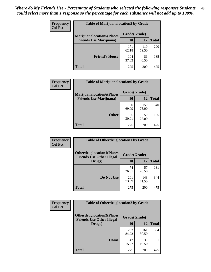| <b>Frequency</b> | <b>Table of Marijuanalocation5 by Grade</b> |              |              |              |
|------------------|---------------------------------------------|--------------|--------------|--------------|
| <b>Col Pct</b>   | <b>Marijuanalocation5</b> (Places           | Grade(Grade) |              |              |
|                  | <b>Friends Use Marijuana</b> )              | 10           | 12           | <b>Total</b> |
|                  |                                             | 171<br>62.18 | 119<br>59.50 | 290          |
|                  | <b>Friend's House</b>                       | 104<br>37.82 | 81<br>40.50  | 185          |
|                  | <b>Total</b>                                | 275          | 200          | 475          |

| <b>Frequency</b> | <b>Table of Marijuanalocation6 by Grade</b>                        |                    |              |              |
|------------------|--------------------------------------------------------------------|--------------------|--------------|--------------|
| <b>Col Pct</b>   | <b>Marijuanalocation6(Places</b><br><b>Friends Use Marijuana</b> ) | Grade(Grade)<br>10 | 12           | <b>Total</b> |
|                  |                                                                    | 190<br>69.09       | 150<br>75.00 | 340          |
|                  | <b>Other</b>                                                       | 85<br>30.91        | 50<br>25.00  | 135          |
|                  | <b>Total</b>                                                       | 275                | 200          | 475          |

| Frequency      | <b>Table of Otherdruglocation1 by Grade</b>                          |              |              |              |
|----------------|----------------------------------------------------------------------|--------------|--------------|--------------|
| <b>Col Pct</b> | <b>Otherdruglocation1(Places</b><br><b>Friends Use Other Illegal</b> | Grade(Grade) |              |              |
|                | Drugs)                                                               | 10           | 12           | <b>Total</b> |
|                |                                                                      | 74<br>26.91  | 57<br>28.50  | 131          |
|                | Do Not Use                                                           | 201<br>73.09 | 143<br>71.50 | 344          |
|                | <b>Total</b>                                                         | 275          | 200          | 475          |

| <b>Frequency</b> | <b>Table of Otherdruglocation2 by Grade</b>                           |              |              |              |
|------------------|-----------------------------------------------------------------------|--------------|--------------|--------------|
| <b>Col Pct</b>   | <b>Otherdruglocation2(Places)</b><br><b>Friends Use Other Illegal</b> | Grade(Grade) |              |              |
|                  | Drugs)                                                                | 10           | 12           | <b>Total</b> |
|                  |                                                                       | 233<br>84.73 | 161<br>80.50 | 394          |
|                  | <b>Home</b>                                                           | 42<br>15.27  | 39<br>19.50  | 81           |
|                  | <b>Total</b>                                                          | 275          | 200          | 475          |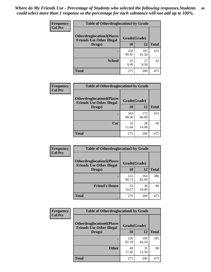| <b>Frequency</b> | <b>Table of Otherdruglocation 3 by Grade</b>                          |              |              |              |
|------------------|-----------------------------------------------------------------------|--------------|--------------|--------------|
| <b>Col Pct</b>   | <b>Otherdruglocation3(Places)</b><br><b>Friends Use Other Illegal</b> | Grade(Grade) |              |              |
|                  | Drugs)                                                                | 10           | 12           | <b>Total</b> |
|                  |                                                                       | 250<br>90.91 | 183<br>91.50 | 433          |
|                  | <b>School</b>                                                         | 25<br>9.09   | 17<br>8.50   | 42           |
|                  | <b>Total</b>                                                          | 275          | 200          | 475          |

| Frequency      | <b>Table of Otherdruglocation4 by Grade</b>                          |              |              |              |
|----------------|----------------------------------------------------------------------|--------------|--------------|--------------|
| <b>Col Pct</b> | <b>Otherdruglocation4(Places</b><br><b>Friends Use Other Illegal</b> | Grade(Grade) |              |              |
|                | Drugs)                                                               | 10           | 12           | <b>Total</b> |
|                |                                                                      | 243<br>88.36 | 172<br>86.00 | 415          |
|                | Car                                                                  | 32<br>11.64  | 28<br>14.00  | 60           |
|                | <b>Total</b>                                                         | 275          | 200          | 475          |

| <b>Frequency</b> | <b>Table of Otherdruglocation5 by Grade</b>                          |              |              |              |
|------------------|----------------------------------------------------------------------|--------------|--------------|--------------|
| <b>Col Pct</b>   | <b>Otherdruglocation5(Places</b><br><b>Friends Use Other Illegal</b> | Grade(Grade) |              |              |
|                  | Drugs)                                                               | <b>10</b>    | 12           | <b>Total</b> |
|                  |                                                                      | 222<br>80.73 | 164<br>82.00 | 386          |
|                  | <b>Friend's House</b>                                                | 53<br>19.27  | 36<br>18.00  | 89           |
|                  | <b>Total</b>                                                         | 275          | 200          | 475          |

| <b>Frequency</b> | <b>Table of Otherdruglocation6 by Grade</b>                          |              |              |              |
|------------------|----------------------------------------------------------------------|--------------|--------------|--------------|
| <b>Col Pct</b>   | <b>Otherdruglocation6(Places</b><br><b>Friends Use Other Illegal</b> | Grade(Grade) |              |              |
|                  | Drugs)                                                               | 10           | 12           | <b>Total</b> |
|                  |                                                                      | 226<br>82.18 | 169<br>84.50 | 395          |
|                  | <b>Other</b>                                                         | 49<br>17.82  | 31<br>15.50  | 80           |
|                  | <b>Total</b>                                                         | 275          | 200          | 475          |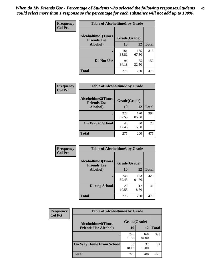| Frequency      | <b>Table of Alcoholtime1 by Grade</b>           |              |              |              |
|----------------|-------------------------------------------------|--------------|--------------|--------------|
| <b>Col Pct</b> | <b>Alcoholtime1(Times</b><br><b>Friends Use</b> | Grade(Grade) |              |              |
|                | Alcohol)                                        | 10           | 12           | <b>Total</b> |
|                |                                                 | 181<br>65.82 | 135<br>67.50 | 316          |
|                | Do Not Use                                      | 94<br>34.18  | 65<br>32.50  | 159          |
|                | <b>Total</b>                                    | 275          | 200          | 475          |

| Frequency      | <b>Table of Alcoholtime2 by Grade</b>           |              |              |              |
|----------------|-------------------------------------------------|--------------|--------------|--------------|
| <b>Col Pct</b> | <b>Alcoholtime2(Times</b><br><b>Friends Use</b> | Grade(Grade) |              |              |
|                | Alcohol)                                        | 10           | 12           | <b>Total</b> |
|                |                                                 | 227<br>82.55 | 170<br>85.00 | 397          |
|                | <b>On Way to School</b>                         | 48<br>17.45  | 30<br>15.00  | 78           |
|                | <b>Total</b>                                    | 275          | 200          | 475          |

| Frequency<br><b>Col Pct</b> | <b>Table of Alcoholtime3 by Grade</b>           |              |              |              |
|-----------------------------|-------------------------------------------------|--------------|--------------|--------------|
|                             | <b>Alcoholtime3(Times</b><br><b>Friends Use</b> | Grade(Grade) |              |              |
|                             | Alcohol)                                        | 10           | 12           | <b>Total</b> |
|                             |                                                 | 246<br>89.45 | 183<br>91.50 | 429          |
|                             | <b>During School</b>                            | 29<br>10.55  | 17<br>8.50   | 46           |
|                             | Total                                           | 275          | 200          | 475          |

| <b>Frequency</b><br><b>Col Pct</b> | <b>Table of Alcoholtime4 by Grade</b> |              |              |              |
|------------------------------------|---------------------------------------|--------------|--------------|--------------|
|                                    | <b>Alcoholtime4(Times</b>             | Grade(Grade) |              |              |
|                                    | <b>Friends Use Alcohol)</b>           | 10           | 12           | <b>Total</b> |
|                                    |                                       | 225<br>81.82 | 168<br>84.00 | 393          |
|                                    | <b>On Way Home From School</b>        | 50<br>18.18  | 32<br>16.00  | 82           |
|                                    | <b>Total</b>                          | 275          | 200          | 475          |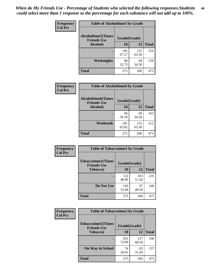*When do My Friends Use - Percentage of Students who selected the following responses.Students could select more than 1 response so the percentage for each substance will not add up to 100%.* **46**

| Frequency      | <b>Table of Alcoholtime5 by Grade</b>           |              |              |              |
|----------------|-------------------------------------------------|--------------|--------------|--------------|
| <b>Col Pct</b> | <b>Alcoholtime5(Times</b><br><b>Friends Use</b> | Grade(Grade) |              |              |
|                | Alcohol)                                        | 10           | 12           | <b>Total</b> |
|                |                                                 | 185<br>67.27 | 131<br>65.50 | 316          |
|                | Weeknights                                      | 90<br>32.73  | 69<br>34.50  | 159          |
|                | <b>Total</b>                                    | 275          | 200          | 475          |

| <b>Frequency</b> | <b>Table of Alcoholtime6 by Grade</b>           |              |              |              |
|------------------|-------------------------------------------------|--------------|--------------|--------------|
| <b>Col Pct</b>   | <b>Alcoholtime6(Times</b><br><b>Friends Use</b> | Grade(Grade) |              |              |
|                  | Alcohol)                                        | 10           | 12           | <b>Total</b> |
|                  |                                                 | 94<br>34.18  | 69<br>34.50  | 163          |
|                  | Weekends                                        | 181<br>65.82 | 131<br>65.50 | 312          |
|                  | <b>Total</b>                                    | 275          | 200          | 475          |

| Frequency      | <b>Table of Tobaccotime1 by Grade</b>           |              |              |              |
|----------------|-------------------------------------------------|--------------|--------------|--------------|
| <b>Col Pct</b> | <b>Tobaccotime1(Times</b><br><b>Friends Use</b> | Grade(Grade) |              |              |
|                | <b>Tobacco</b> )                                | 10           | 12           | <b>Total</b> |
|                | ٠                                               | 132<br>48.00 | 103<br>51.50 | 235          |
|                | Do Not Use                                      | 143<br>52.00 | 97<br>48.50  | 240          |
|                | <b>Total</b>                                    | 275          | 200          | 475          |

| <b>Frequency</b> | <b>Table of Tobaccotime2 by Grade</b>           |              |              |              |
|------------------|-------------------------------------------------|--------------|--------------|--------------|
| <b>Col Pct</b>   | <b>Tobaccotime2(Times</b><br><b>Friends Use</b> | Grade(Grade) |              |              |
|                  | <b>Tobacco</b> )                                | 10           | 12           | <b>Total</b> |
|                  |                                                 | 201<br>73.09 | 137<br>68.50 | 338          |
|                  | <b>On Way to School</b>                         | 74<br>26.91  | 63<br>31.50  | 137          |
|                  | <b>Total</b>                                    | 275          | 200          | 475          |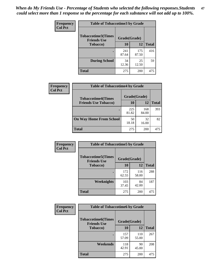*When do My Friends Use - Percentage of Students who selected the following responses.Students could select more than 1 response so the percentage for each substance will not add up to 100%.* **47**

| <b>Frequency</b> | <b>Table of Tobaccotime3 by Grade</b>           |              |              |              |  |
|------------------|-------------------------------------------------|--------------|--------------|--------------|--|
| <b>Col Pct</b>   | <b>Tobaccotime3(Times</b><br><b>Friends Use</b> |              | Grade(Grade) |              |  |
|                  | <b>Tobacco</b> )                                | 10           | 12           | <b>Total</b> |  |
|                  |                                                 | 241<br>87.64 | 175<br>87.50 | 416          |  |
|                  | <b>During School</b>                            | 34<br>12.36  | 25<br>12.50  | 59           |  |
|                  | <b>Total</b>                                    | 275          | 200          | 475          |  |

| <b>Frequency</b> | <b>Table of Tobaccotime4 by Grade</b> |              |              |              |
|------------------|---------------------------------------|--------------|--------------|--------------|
| <b>Col Pct</b>   | <b>Tobaccotime4(Times</b>             | Grade(Grade) |              |              |
|                  | <b>Friends Use Tobacco)</b>           | 10           | 12           | <b>Total</b> |
|                  |                                       | 225<br>81.82 | 168<br>84.00 | 393          |
|                  | <b>On Way Home From School</b>        | 50<br>18.18  | 32<br>16.00  | 82           |
|                  | <b>Total</b>                          | 275          | 200          | 475          |

| Frequency      | <b>Table of Tobaccotime5 by Grade</b>            |              |              |              |
|----------------|--------------------------------------------------|--------------|--------------|--------------|
| <b>Col Pct</b> | <b>Tobaccotime5</b> (Times<br><b>Friends Use</b> | Grade(Grade) |              |              |
|                | <b>Tobacco</b> )                                 | 10           | 12           | <b>Total</b> |
|                |                                                  | 172<br>62.55 | 116<br>58.00 | 288          |
|                | Weeknights                                       | 103<br>37.45 | 84<br>42.00  | 187          |
|                | <b>Total</b>                                     | 275          | 200          | 475          |

| <b>Frequency</b> | <b>Table of Tobaccotime6 by Grade</b>           |              |              |              |
|------------------|-------------------------------------------------|--------------|--------------|--------------|
| <b>Col Pct</b>   | <b>Tobaccotime6(Times</b><br><b>Friends Use</b> | Grade(Grade) |              |              |
|                  | <b>Tobacco</b> )                                | 10           | 12           | <b>Total</b> |
|                  |                                                 | 157<br>57.09 | 110<br>55.00 | 267          |
|                  | Weekends                                        | 118<br>42.91 | 90<br>45.00  | 208          |
|                  | <b>Total</b>                                    | 275          | 200          | 475          |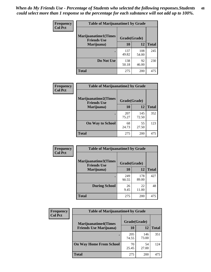| Frequency      | <b>Table of Marijuanatime1 by Grade</b>           |              |              |              |
|----------------|---------------------------------------------------|--------------|--------------|--------------|
| <b>Col Pct</b> | <b>Marijuanatime1(Times</b><br><b>Friends Use</b> | Grade(Grade) |              |              |
|                | Marijuana)                                        | 10           | 12           | <b>Total</b> |
|                |                                                   | 137<br>49.82 | 108<br>54.00 | 245          |
|                | Do Not Use                                        | 138<br>50.18 | 92<br>46.00  | 230          |
|                | <b>Total</b>                                      | 275          | 200          | 475          |

| Frequency      | <b>Table of Marijuanatime2 by Grade</b>           |              |              |              |
|----------------|---------------------------------------------------|--------------|--------------|--------------|
| <b>Col Pct</b> | <b>Marijuanatime2(Times</b><br><b>Friends Use</b> | Grade(Grade) |              |              |
|                | Marijuana)                                        | 10           | 12           | <b>Total</b> |
|                | ٠                                                 | 207<br>75.27 | 145<br>72.50 | 352          |
|                | <b>On Way to School</b>                           | 68<br>24.73  | 55<br>27.50  | 123          |
|                | <b>Total</b>                                      | 275          | 200          | 475          |

| Frequency<br><b>Col Pct</b> | <b>Table of Marijuanatime3 by Grade</b>    |              |              |              |  |
|-----------------------------|--------------------------------------------|--------------|--------------|--------------|--|
|                             | Marijuanatime3(Times<br><b>Friends Use</b> | Grade(Grade) |              |              |  |
|                             | Marijuana)                                 | 10           | 12           | <b>Total</b> |  |
|                             |                                            | 249<br>90.55 | 178<br>89.00 | 427          |  |
|                             | <b>During School</b>                       | 26<br>9.45   | 22<br>11.00  | 48           |  |
|                             | Total                                      | 275          | 200          | 475          |  |

| <b>Frequency</b> | <b>Table of Marijuanatime4 by Grade</b>                        |              |              |              |
|------------------|----------------------------------------------------------------|--------------|--------------|--------------|
| <b>Col Pct</b>   | <b>Marijuanatime4</b> (Times<br><b>Friends Use Marijuana</b> ) | Grade(Grade) |              |              |
|                  |                                                                | 10           | 12           | <b>Total</b> |
|                  |                                                                | 205<br>74.55 | 146<br>73.00 | 351          |
|                  | <b>On Way Home From School</b>                                 | 70<br>25.45  | 54<br>27.00  | 124          |
|                  | <b>Total</b>                                                   | 275          | 200          | 475          |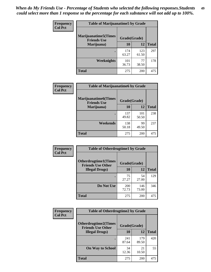| Frequency      | <b>Table of Marijuanatime5 by Grade</b>            |              |              |              |  |
|----------------|----------------------------------------------------|--------------|--------------|--------------|--|
| <b>Col Pct</b> | <b>Marijuanatime5</b> (Times<br><b>Friends Use</b> | Grade(Grade) |              |              |  |
|                | Marijuana)                                         | 10           | 12           | <b>Total</b> |  |
|                |                                                    | 174<br>63.27 | 123<br>61.50 | 297          |  |
|                | Weeknights                                         | 101<br>36.73 | 77<br>38.50  | 178          |  |
|                | <b>Total</b>                                       | 275          | 200          | 475          |  |

| Frequency      | <b>Table of Marijuanatime6 by Grade</b>            |              |              |              |
|----------------|----------------------------------------------------|--------------|--------------|--------------|
| <b>Col Pct</b> | <b>Marijuanatime6</b> (Times<br><b>Friends Use</b> | Grade(Grade) |              |              |
|                | Marijuana)                                         | 10           | 12           | <b>Total</b> |
|                |                                                    | 137<br>49.82 | 101<br>50.50 | 238          |
|                | Weekends                                           | 138<br>50.18 | 99<br>49.50  | 237          |
|                | <b>Total</b>                                       | 275          | 200          | 475          |

| <b>Frequency</b> | <b>Table of Otherdrugtime1 by Grade</b>                 |              |              |              |  |
|------------------|---------------------------------------------------------|--------------|--------------|--------------|--|
| <b>Col Pct</b>   | <b>Otherdrugtime1(Times</b><br><b>Friends Use Other</b> | Grade(Grade) |              |              |  |
|                  | <b>Illegal Drugs</b> )                                  | 10           | 12           | <b>Total</b> |  |
|                  |                                                         | 75<br>27.27  | 54<br>27.00  | 129          |  |
|                  | Do Not Use                                              | 200<br>72.73 | 146<br>73.00 | 346          |  |
|                  | <b>Total</b>                                            | 275          | 200          | 475          |  |

| Frequency      | <b>Table of Otherdrugtime2 by Grade</b>                 |              |              |              |  |  |
|----------------|---------------------------------------------------------|--------------|--------------|--------------|--|--|
| <b>Col Pct</b> | <b>Otherdrugtime2(Times</b><br><b>Friends Use Other</b> | Grade(Grade) |              |              |  |  |
|                | <b>Illegal Drugs</b> )                                  | 10           | 12           | <b>Total</b> |  |  |
|                |                                                         | 241<br>87.64 | 179<br>89.50 | 420          |  |  |
|                | <b>On Way to School</b>                                 | 34<br>12.36  | 21<br>10.50  | 55           |  |  |
|                | <b>Total</b>                                            | 275          | 200          | 475          |  |  |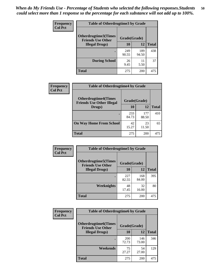| <b>Frequency</b><br><b>Col Pct</b> | <b>Table of Otherdrugtime3 by Grade</b>                 |              |              |              |  |  |
|------------------------------------|---------------------------------------------------------|--------------|--------------|--------------|--|--|
|                                    | <b>Otherdrugtime3(Times</b><br><b>Friends Use Other</b> | Grade(Grade) |              |              |  |  |
|                                    | <b>Illegal Drugs</b> )                                  | 10           | 12           | <b>Total</b> |  |  |
|                                    |                                                         | 249<br>90.55 | 189<br>94.50 | 438          |  |  |
|                                    | <b>During School</b>                                    | 26<br>9.45   | 11<br>5.50   | 37           |  |  |
|                                    | <b>Total</b>                                            | 275          | 200          | 475          |  |  |

| Frequency      | <b>Table of Otherdrugtime4 by Grade</b>                         |              |              |              |  |  |
|----------------|-----------------------------------------------------------------|--------------|--------------|--------------|--|--|
| <b>Col Pct</b> | <b>Otherdrugtime4(Times</b><br><b>Friends Use Other Illegal</b> | Grade(Grade) |              |              |  |  |
|                | Drugs)                                                          | 10           | 12           | <b>Total</b> |  |  |
|                | $\bullet$                                                       | 233<br>84.73 | 177<br>88.50 | 410          |  |  |
|                | <b>On Way Home From School</b>                                  | 42<br>15.27  | 23<br>11.50  | 65           |  |  |
|                | <b>Total</b>                                                    | 275          | 200          | 475          |  |  |

| <b>Frequency</b> | <b>Table of Otherdrugtime5 by Grade</b>                  |              |              |              |  |  |
|------------------|----------------------------------------------------------|--------------|--------------|--------------|--|--|
| <b>Col Pct</b>   | <b>Otherdrugtime5</b> (Times<br><b>Friends Use Other</b> | Grade(Grade) |              |              |  |  |
|                  | <b>Illegal Drugs</b> )                                   | 10           | 12           | <b>Total</b> |  |  |
|                  |                                                          | 227<br>82.55 | 168<br>84.00 | 395          |  |  |
|                  | Weeknights                                               | 48<br>17.45  | 32<br>16.00  | 80           |  |  |
|                  | <b>Total</b>                                             | 275          | 200          | 475          |  |  |

| Frequency      | <b>Table of Otherdrugtime6 by Grade</b>                 |                     |              |              |  |  |
|----------------|---------------------------------------------------------|---------------------|--------------|--------------|--|--|
| <b>Col Pct</b> | <b>Otherdrugtime6(Times</b><br><b>Friends Use Other</b> | Grade(Grade)        |              |              |  |  |
|                | <b>Illegal Drugs)</b>                                   | 10                  | 12           | <b>Total</b> |  |  |
|                |                                                         | <b>200</b><br>72.73 | 146<br>73.00 | 346          |  |  |
|                | Weekends                                                | 75<br>27.27         | 54<br>27.00  | 129          |  |  |
|                | <b>Total</b>                                            | 275                 | 200          | 475          |  |  |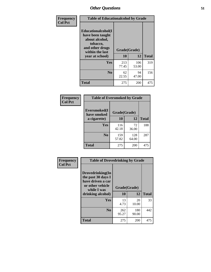| Frequency      | <b>Table of Educationalcohol by Grade</b>                                                                  |              |              |              |  |  |
|----------------|------------------------------------------------------------------------------------------------------------|--------------|--------------|--------------|--|--|
| <b>Col Pct</b> | Educationalcohol(I<br>have been taught<br>about alcohol,<br>tobacco,<br>and other drugs<br>within the last | Grade(Grade) |              |              |  |  |
|                | year at school)                                                                                            | 10           | 12           | <b>Total</b> |  |  |
|                | <b>Yes</b>                                                                                                 | 213<br>77.45 | 106<br>53.00 | 319          |  |  |
|                | N <sub>0</sub>                                                                                             | 62<br>22.55  | 94<br>47.00  | 156          |  |  |
|                | <b>Total</b>                                                                                               | 275          | 200          | 475          |  |  |

| Frequency      | <b>Table of Eversmoked by Grade</b> |              |              |              |  |  |  |
|----------------|-------------------------------------|--------------|--------------|--------------|--|--|--|
| <b>Col Pct</b> | Eversmoked(I<br>have smoked         | Grade(Grade) |              |              |  |  |  |
|                | a cigarette)                        | 10           | 12           | <b>Total</b> |  |  |  |
|                | Yes                                 | 116<br>42.18 | 72<br>36.00  | 188          |  |  |  |
|                | N <sub>0</sub>                      | 159<br>57.82 | 128<br>64.00 | 287          |  |  |  |
|                | <b>Total</b>                        | 275          | 200          | 475          |  |  |  |

| Frequency<br><b>Col Pct</b> | <b>Table of Drovedrinking by Grade</b>                                                                              |                          |              |              |  |  |
|-----------------------------|---------------------------------------------------------------------------------------------------------------------|--------------------------|--------------|--------------|--|--|
|                             | Drovedrinking(In<br>the past 30 days I<br>have driven a car<br>or other vehicle<br>while I was<br>drinking alcohol) | Grade(Grade)<br>10<br>12 |              | <b>Total</b> |  |  |
|                             | <b>Yes</b>                                                                                                          | 13<br>4.73               | 20<br>10.00  | 33           |  |  |
|                             | N <sub>0</sub>                                                                                                      | 262<br>95.27             | 180<br>90.00 | 442          |  |  |
|                             | <b>Total</b>                                                                                                        | 275                      | 200          | 475          |  |  |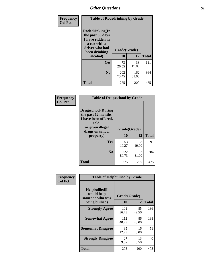| Frequency<br><b>Col Pct</b> | <b>Table of Rodedrinking by Grade</b>                                                                                  |                          |              |              |  |  |
|-----------------------------|------------------------------------------------------------------------------------------------------------------------|--------------------------|--------------|--------------|--|--|
|                             | Rodedrinking(In<br>the past 30 days<br>I have ridden in<br>a car with a<br>driver who had<br>been drinking<br>alcohol) | Grade(Grade)<br>10<br>12 |              | <b>Total</b> |  |  |
|                             | <b>Yes</b>                                                                                                             | 73<br>26.55              | 38<br>19.00  | 111          |  |  |
|                             | N <sub>0</sub>                                                                                                         | 202<br>73.45             | 162<br>81.00 | 364          |  |  |
|                             | <b>Total</b>                                                                                                           | 275                      | 200          | 475          |  |  |

#### **Frequency Col Pct**

| <b>Table of Drugsschool by Grade</b>                                                                                      |              |              |              |  |  |  |
|---------------------------------------------------------------------------------------------------------------------------|--------------|--------------|--------------|--|--|--|
| <b>Drugsschool</b> (During<br>the past 12 months,<br>I have been offered,<br>sold,<br>or given illegal<br>drugs on school |              | Grade(Grade) |              |  |  |  |
| property)                                                                                                                 | 10           | 12           | <b>Total</b> |  |  |  |
| Yes                                                                                                                       | 53<br>19.27  | 38<br>19.00  | 91           |  |  |  |
| N <sub>0</sub>                                                                                                            | 222<br>80.73 | 162<br>81.00 | 384          |  |  |  |
| Total                                                                                                                     | 275          | 200          | 475          |  |  |  |

| Frequency      | <b>Table of Helpbullied by Grade</b>                              |                    |             |              |  |  |  |
|----------------|-------------------------------------------------------------------|--------------------|-------------|--------------|--|--|--|
| <b>Col Pct</b> | Helpbullied(I)<br>would help<br>someone who was<br>being bullied) | Grade(Grade)<br>10 | 12          | <b>Total</b> |  |  |  |
|                | <b>Strongly Agree</b>                                             | 101                | 85          | 186          |  |  |  |
|                |                                                                   | 36.73              | 42.50       |              |  |  |  |
|                | <b>Somewhat Agree</b>                                             | 112<br>40.73       | 86<br>43.00 | 198          |  |  |  |
|                | <b>Somewhat Disagree</b>                                          | 35<br>12.73        | 16<br>8.00  | 51           |  |  |  |
|                | <b>Strongly Disagree</b>                                          | 27<br>9.82         | 13<br>6.50  | 40           |  |  |  |
|                | <b>Total</b>                                                      | 275                | 200         | 475          |  |  |  |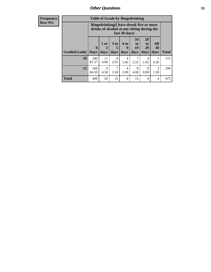| <b>Frequency</b> | <b>Table of Grade by Bingedrinking</b> |                                                                                                         |                |              |                              |                        |                               |                   |              |
|------------------|----------------------------------------|---------------------------------------------------------------------------------------------------------|----------------|--------------|------------------------------|------------------------|-------------------------------|-------------------|--------------|
| <b>Row Pct</b>   |                                        | Bingedrinking(I have drunk five or more<br>drinks of alcohol at one sitting during the<br>last 30 days) |                |              |                              |                        |                               |                   |              |
|                  | Grade(Grade)                           | $\bf{0}$<br><b>Days</b>                                                                                 | $1$ or<br>days | 3 to<br>days | 6 <sub>to</sub><br>9<br>days | 10<br>to<br>19<br>days | <b>20</b><br>to<br>29<br>days | All<br>30<br>days | <b>Total</b> |
|                  | <b>10</b>                              | 240<br>87.27                                                                                            | 11<br>4.00     | 8<br>2.91    | 4<br>1.45                    | 2.55                   | 4<br>1.45                     | 0.36              | 275          |
|                  | 12                                     | 169<br>84.50                                                                                            | 9<br>4.50      | 7<br>3.50    | 4<br>2.00                    | 8<br>4.00              | $\Omega$<br>0.00              | 3<br>1.50         | 200          |
|                  | <b>Total</b>                           | 409                                                                                                     | 20             | 15           | 8                            | 15                     | 4                             | 4                 | 475          |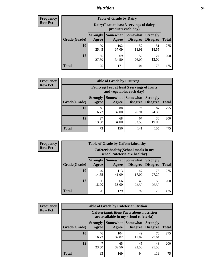## *Nutrition* **54**

| <b>Frequency</b><br>Row Pct |
|-----------------------------|
|                             |

| <b>Table of Grade by Dairy</b> |                          |                                                                 |                                    |                                    |              |
|--------------------------------|--------------------------|-----------------------------------------------------------------|------------------------------------|------------------------------------|--------------|
|                                |                          | Dairy (I eat at least 3 servings of dairy<br>products each day) |                                    |                                    |              |
| Grade(Grade)                   | <b>Strongly</b><br>Agree | <b>Somewhat</b><br>Agree                                        | <b>Somewhat</b><br><b>Disagree</b> | <b>Strongly</b><br><b>Disagree</b> | <b>Total</b> |
| 10                             | 70<br>25.45              | 102<br>37.09                                                    | 52<br>18.91                        | 51<br>18.55                        | 275          |
| 12                             | 55<br>27.50              | 69<br>34.50                                                     | 52<br>26.00                        | 24<br>12.00                        | 200          |
| <b>Total</b>                   | 125                      | 171                                                             | 104                                | 75                                 | 475          |

| <b>Frequency</b> |  |
|------------------|--|
| <b>Row Pct</b>   |  |

| <b>Table of Grade by Fruitveg</b> |                                                                          |             |                                 |                                    |              |
|-----------------------------------|--------------------------------------------------------------------------|-------------|---------------------------------|------------------------------------|--------------|
|                                   | Fruitveg(I eat at least 5 servings of fruits<br>and vegetables each day) |             |                                 |                                    |              |
| Grade(Grade)                      | <b>Strongly</b><br>Agree                                                 | Agree       | Somewhat   Somewhat<br>Disagree | <b>Strongly</b><br><b>Disagree</b> | <b>Total</b> |
| 10                                | 46<br>16.73                                                              | 88<br>32.00 | 74<br>26.91                     | 67<br>24.36                        | 275          |
| 12                                | 27<br>13.50                                                              | 68<br>34.00 | 67<br>33.50                     | 38<br>19.00                        | 200          |
| <b>Total</b>                      | 73                                                                       | 156         | 141                             | 105                                | 475          |

|                | <b>Table of Grade by Cafeteriahealthy</b> |                          |                                                                       |                                   |                                    |              |
|----------------|-------------------------------------------|--------------------------|-----------------------------------------------------------------------|-----------------------------------|------------------------------------|--------------|
| Frequency      |                                           |                          |                                                                       |                                   |                                    |              |
| <b>Row Pct</b> |                                           |                          | Cafeteriahealthy (School meals in my<br>school cafeteria are healthy) |                                   |                                    |              |
|                | Grade(Grade)                              | <b>Strongly</b><br>Agree | Agree                                                                 | Somewhat   Somewhat  <br>Disagree | <b>Strongly</b><br><b>Disagree</b> | <b>Total</b> |
|                | 10                                        | 40<br>14.55              | 113<br>41.09                                                          | 47<br>17.09                       | 75<br>27.27                        | 275          |
|                | 12                                        | 36<br>18.00              | 66<br>33.00                                                           | 45<br>22.50                       | 53<br>26.50                        | <b>200</b>   |
|                | <b>Total</b>                              | 76                       | 179                                                                   | 92                                | 128                                | 475          |

| <b>Frequency</b> |
|------------------|
| <b>Row Pct</b>   |

| <b>Table of Grade by Cafeterianutrition</b> |                          |                                                                                           |                                    |                                    |              |
|---------------------------------------------|--------------------------|-------------------------------------------------------------------------------------------|------------------------------------|------------------------------------|--------------|
|                                             |                          | <b>Cafeterianutrition</b> (Facts about nutrition<br>are available in my school cafeteria) |                                    |                                    |              |
| Grade(Grade)                                | <b>Strongly</b><br>Agree | Somewhat  <br>Agree                                                                       | <b>Somewhat</b><br><b>Disagree</b> | <b>Strongly</b><br><b>Disagree</b> | <b>Total</b> |
| <b>10</b>                                   | 46<br>16.73              | 104<br>37.82                                                                              | 49<br>17.82                        | 76<br>27.64                        | 275          |
| 12                                          | 47<br>23.50              | 65<br>32.50                                                                               | 45<br>22.50                        | 43<br>21.50                        | 200          |
| <b>Total</b>                                | 93                       | 169                                                                                       | 94                                 | 119                                | 475          |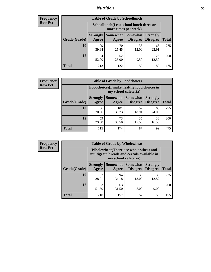## *Nutrition* **55**

| Frequency      |
|----------------|
| <b>Row Pct</b> |

| <b>Table of Grade by Schoollunch</b> |                                                                                                                                    |                                                                 |             |             |     |
|--------------------------------------|------------------------------------------------------------------------------------------------------------------------------------|-----------------------------------------------------------------|-------------|-------------|-----|
|                                      |                                                                                                                                    | Schoollunch(I eat school lunch three or<br>more times per week) |             |             |     |
| Grade(Grade)                         | Somewhat<br><b>Somewhat</b><br><b>Strongly</b><br><b>Strongly</b><br><b>Disagree</b><br>Agree<br>Disagree<br><b>Total</b><br>Agree |                                                                 |             |             |     |
| 10                                   | 109<br>39.64                                                                                                                       | 70<br>25.45                                                     | 33<br>12.00 | 63<br>22.91 | 275 |
| 12                                   | 104<br>52.00                                                                                                                       | 52<br>26.00                                                     | 19<br>9.50  | 25<br>12.50 | 200 |
| <b>Total</b>                         | 213                                                                                                                                | 122                                                             | 52          | 88          | 475 |

| <b>Frequency</b> |  |
|------------------|--|
| <b>Row Pct</b>   |  |

| <b>Table of Grade by Foodchoices</b> |                          |                                                                     |                                 |                                    |              |
|--------------------------------------|--------------------------|---------------------------------------------------------------------|---------------------------------|------------------------------------|--------------|
|                                      |                          | Foodchoices (I make healthy food choices in<br>my school cafeteria) |                                 |                                    |              |
| Grade(Grade)                         | <b>Strongly</b><br>Agree | Agree                                                               | Somewhat   Somewhat<br>Disagree | <b>Strongly</b><br><b>Disagree</b> | <b>Total</b> |
| 10                                   | 56<br>20.36              | 101<br>36.73                                                        | 52<br>18.91                     | 66<br>24.00                        | 275          |
| 12                                   | 59<br>29.50              | 73<br>36.50                                                         | 35<br>17.50                     | 33<br>16.50                        | 200          |
| <b>Total</b>                         | 115                      | 174                                                                 | 87                              | 99                                 | 475          |

| <b>Frequency</b><br>Row Pct |
|-----------------------------|

| V |              | <b>Table of Grade by Wholewheat</b>                                                                         |                     |                                    |                                    |              |  |  |
|---|--------------|-------------------------------------------------------------------------------------------------------------|---------------------|------------------------------------|------------------------------------|--------------|--|--|
|   |              | Wholewheat (There are whole wheat and<br>multigrain breads and cereals available in<br>my school cafeteria) |                     |                                    |                                    |              |  |  |
|   | Grade(Grade) | <b>Strongly</b><br>Agree                                                                                    | Somewhat  <br>Agree | <b>Somewhat</b><br><b>Disagree</b> | <b>Strongly</b><br><b>Disagree</b> | <b>Total</b> |  |  |
|   | 10           | 107<br>38.91                                                                                                | 94<br>34.18         | 36<br>13.09                        | 38<br>13.82                        | 275          |  |  |
|   | 12           | 103<br>51.50                                                                                                | 63<br>31.50         | 16<br>8.00                         | 18<br>9.00                         | 200          |  |  |
|   | <b>Total</b> | 210                                                                                                         | 157                 | 52                                 | 56                                 | 475          |  |  |

Ŧ.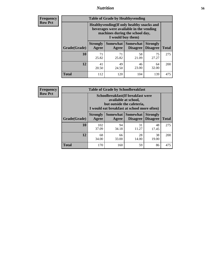## *Nutrition* **56**

**Frequency Row Pct**

| <b>Table of Grade by Healthyvending</b> |                                                                                                                                               |                          |                                    |                                    |              |  |  |
|-----------------------------------------|-----------------------------------------------------------------------------------------------------------------------------------------------|--------------------------|------------------------------------|------------------------------------|--------------|--|--|
|                                         | Healthyvending (If only healthy snacks and<br>beverages were available in the vending<br>machines during the school day,<br>I would buy them) |                          |                                    |                                    |              |  |  |
| Grade(Grade)                            | <b>Strongly</b><br>Agree                                                                                                                      | <b>Somewhat</b><br>Agree | <b>Somewhat</b><br><b>Disagree</b> | <b>Strongly</b><br><b>Disagree</b> | <b>Total</b> |  |  |
| 10                                      | 71<br>25.82                                                                                                                                   | 71<br>25.82              | 58<br>21.09                        | 75<br>27.27                        | 275          |  |  |
| 12                                      | 41<br>20.50                                                                                                                                   | 49<br>24.50              | 46<br>23.00                        | 64<br>32.00                        | 200          |  |  |
| Total                                   | 112                                                                                                                                           | 120                      | 104                                | 139                                | 475          |  |  |

**Frequency Row Pct**

| <b>Table of Grade by Schoolbreakfast</b> |                                                                                                                                        |             |             |             |              |  |
|------------------------------------------|----------------------------------------------------------------------------------------------------------------------------------------|-------------|-------------|-------------|--------------|--|
|                                          | Schoolbreakfast(If breakfast were<br>available at school,<br>but outside the cafeteria,<br>I would eat breakfast at school more often) |             |             |             |              |  |
| Grade(Grade)                             | <b>Somewhat   Somewhat</b><br><b>Strongly</b><br><b>Strongly</b><br><b>Disagree</b><br>Agree<br><b>Disagree</b><br>Agree               |             |             |             | <b>Total</b> |  |
| 10                                       | 102<br>37.09                                                                                                                           | 94<br>34.18 | 31<br>11.27 | 48<br>17.45 | 275          |  |
| 12                                       | 68<br>34.00                                                                                                                            | 66<br>33.00 | 28<br>14.00 | 38<br>19.00 | 200          |  |
| <b>Total</b>                             | 170                                                                                                                                    | 160         | 59          | 86          | 475          |  |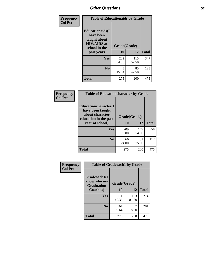| Frequency<br><b>Col Pct</b> | <b>Table of Educationaids by Grade</b>                                                                    |                    |              |              |
|-----------------------------|-----------------------------------------------------------------------------------------------------------|--------------------|--------------|--------------|
|                             | <b>Educationaids</b> (I<br>have been<br>taught about<br><b>HIV/AIDS</b> at<br>school in the<br>past year) | Grade(Grade)<br>10 | 12           | <b>Total</b> |
|                             | Yes                                                                                                       | 232<br>84.36       | 115<br>57.50 | 347          |
|                             | N <sub>0</sub>                                                                                            | 43<br>15.64        | 85<br>42.50  | 128          |
|                             | <b>Total</b>                                                                                              | 275                | 200          | 475          |

| <b>Frequency</b> | <b>Table of Educationcharacter by Grade</b> |              |              |              |
|------------------|---------------------------------------------|--------------|--------------|--------------|
| <b>Col Pct</b>   | Educationcharacter(I<br>have been taught    |              |              |              |
|                  | about character<br>education in the past    | Grade(Grade) |              |              |
|                  | year at school)                             | 10           | 12           | <b>Total</b> |
|                  | <b>Yes</b>                                  | 209<br>76.00 | 149<br>74.50 | 358          |
|                  | N <sub>0</sub>                              | 66<br>24.00  | 51<br>25.50  | 117          |
|                  | <b>Total</b>                                | 275          | 200          | 475          |

| Frequency      | <b>Table of Gradcoach1 by Grade</b>              |              |              |              |
|----------------|--------------------------------------------------|--------------|--------------|--------------|
| <b>Col Pct</b> | Gradcoach1(I<br>know who my<br><b>Graduation</b> | Grade(Grade) |              |              |
|                | Coach is)                                        | 10           | 12           | <b>Total</b> |
|                | Yes                                              | 111<br>40.36 | 163<br>81.50 | 274          |
|                | N <sub>0</sub>                                   | 164<br>59.64 | 37<br>18.50  | 201          |
|                | <b>Total</b>                                     | 275          | 200          | 475          |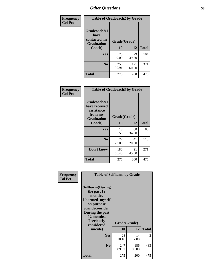| Frequency      | <b>Table of Gradcoach2 by Grade</b> |              |              |              |  |
|----------------|-------------------------------------|--------------|--------------|--------------|--|
| <b>Col Pct</b> |                                     |              |              |              |  |
|                | Gradcoach2(I<br>have                |              |              |              |  |
|                | contacted my<br><b>Graduation</b>   | Grade(Grade) |              |              |  |
|                | Coach)                              | 10           | 12           | <b>Total</b> |  |
|                | Yes                                 | 25<br>9.09   | 79<br>39.50  | 104          |  |
|                | N <sub>0</sub>                      | 250<br>90.91 | 121<br>60.50 | 371          |  |
|                | <b>Total</b>                        | 275          | 200          | 475          |  |

| <b>Frequency</b><br><b>Col Pct</b> | <b>Table of Gradcoach3 by Grade</b>                                         |              |             |              |
|------------------------------------|-----------------------------------------------------------------------------|--------------|-------------|--------------|
|                                    | Gradcoach3(I<br>have received<br>assistance<br>from my<br><b>Graduation</b> | Grade(Grade) |             |              |
|                                    | Coach)                                                                      | 10           | 12          | <b>Total</b> |
|                                    | Yes                                                                         | 18<br>6.55   | 68<br>34.00 | 86           |
|                                    | N <sub>0</sub>                                                              | 77<br>28.00  | 41<br>20.50 | 118          |
|                                    | Don't know                                                                  | 180<br>65.45 | 91<br>45.50 | 271          |
|                                    | <b>Total</b>                                                                | 275          | 200         | 475          |

| Frequency      | <b>Table of Selfharm by Grade</b>                                                                                                                                                      |                    |              |              |
|----------------|----------------------------------------------------------------------------------------------------------------------------------------------------------------------------------------|--------------------|--------------|--------------|
| <b>Col Pct</b> | <b>Selfharm</b> (During<br>the past 12<br>months,<br>I harmed myself<br>on purpose<br><b>Suicideconsider</b><br>During the past<br>12 months,<br>I seriously<br>considered<br>suicide) | Grade(Grade)<br>10 | 12           | <b>Total</b> |
|                | Yes                                                                                                                                                                                    | 28<br>10.18        | 14<br>7.00   | 42           |
|                | N <sub>0</sub>                                                                                                                                                                         | 247<br>89.82       | 186<br>93.00 | 433          |
|                | <b>Total</b>                                                                                                                                                                           | 275                | 200          | 475          |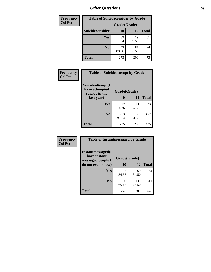| <b>Frequency</b> | <b>Table of Suicideconsider by Grade</b> |              |              |              |
|------------------|------------------------------------------|--------------|--------------|--------------|
| <b>Col Pct</b>   |                                          | Grade(Grade) |              |              |
|                  | Suicideconsider                          | <b>10</b>    | 12           | <b>Total</b> |
|                  | Yes                                      | 32<br>11.64  | 19<br>9.50   | 51           |
|                  | N <sub>0</sub>                           | 243<br>88.36 | 181<br>90.50 | 424          |
|                  | Total                                    | 275          | 200          | 475          |

| Frequency      | <b>Table of Suicideattempt by Grade</b>              |              |              |              |
|----------------|------------------------------------------------------|--------------|--------------|--------------|
| <b>Col Pct</b> | Suicideattempt(I<br>have attempted<br>suicide in the | Grade(Grade) |              |              |
|                | last year)                                           | 10           | 12           | <b>Total</b> |
|                | Yes                                                  | 12<br>4.36   | 11<br>5.50   | 23           |
|                | $\bf No$                                             | 263<br>95.64 | 189<br>94.50 | 452          |
|                | <b>Total</b>                                         | 275          | 200          | 475          |

| Frequency      | <b>Table of Instantmessaged by Grade</b>                       |              |              |              |
|----------------|----------------------------------------------------------------|--------------|--------------|--------------|
| <b>Col Pct</b> | <b>Instantmessaged</b> (I<br>have instant<br>messaged people I | Grade(Grade) |              |              |
|                | do not even know)                                              | 10           | 12           | <b>Total</b> |
|                | Yes                                                            | 95<br>34.55  | 69<br>34.50  | 164          |
|                | N <sub>0</sub>                                                 | 180<br>65.45 | 131<br>65.50 | 311          |
|                | <b>Total</b>                                                   | 275          | 200          | 475          |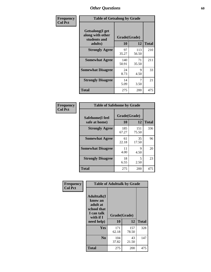| Frequency      | <b>Table of Getsalong by Grade</b>                          |              |              |              |  |  |  |
|----------------|-------------------------------------------------------------|--------------|--------------|--------------|--|--|--|
| <b>Col Pct</b> | <b>Getsalong</b> (I get<br>along with other<br>students and | Grade(Grade) |              |              |  |  |  |
|                | adults)                                                     | 10           | 12           | <b>Total</b> |  |  |  |
|                | <b>Strongly Agree</b>                                       | 97<br>35.27  | 113<br>56.50 | 210          |  |  |  |
|                | <b>Somewhat Agree</b>                                       | 140<br>50.91 | 71<br>35.50  | 211          |  |  |  |
|                | <b>Somewhat Disagree</b>                                    | 24<br>8.73   | 9<br>4.50    | 33           |  |  |  |
|                | <b>Strongly Disagree</b>                                    | 14<br>5.09   | 7<br>3.50    | 21           |  |  |  |
|                | <b>Total</b>                                                | 275          | 200          | 475          |  |  |  |

| Frequency      | <b>Table of Safehome by Grade</b> |              |              |              |  |  |  |
|----------------|-----------------------------------|--------------|--------------|--------------|--|--|--|
| <b>Col Pct</b> | Safehome(I feel                   | Grade(Grade) |              |              |  |  |  |
|                | safe at home)                     | 10           | 12           | <b>Total</b> |  |  |  |
|                | <b>Strongly Agree</b>             | 185<br>67.27 | 151<br>75.50 | 336          |  |  |  |
|                | <b>Somewhat Agree</b>             | 61<br>22.18  | 35<br>17.50  | 96           |  |  |  |
|                | <b>Somewhat Disagree</b>          | 11<br>4.00   | 9<br>4.50    | 20           |  |  |  |
|                | <b>Strongly Disagree</b>          | 18<br>6.55   | 5<br>2.50    | 23           |  |  |  |
|                | <b>Total</b>                      | 275          | 200          | 475          |  |  |  |

| Frequency      |                                                                                      | <b>Table of Adulttalk by Grade</b> |              |              |
|----------------|--------------------------------------------------------------------------------------|------------------------------------|--------------|--------------|
| <b>Col Pct</b> | <b>Adulttalk</b> (I<br>know an<br>adult at<br>school that<br>I can talk<br>with if I | Grade(Grade)                       |              |              |
|                | need help)                                                                           | 10                                 | 12           | <b>Total</b> |
|                | <b>Yes</b>                                                                           | 171<br>62.18                       | 157<br>78.50 | 328          |
|                | N <sub>0</sub>                                                                       | 104<br>37.82                       | 43<br>21.50  | 147          |
|                | <b>Total</b>                                                                         | 275                                | 200          | 475          |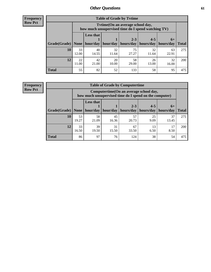**Frequency Row Pct**

r

| <b>Table of Grade by Tvtime</b> |             |                                                                                         |             |                      |                      |                     |              |  |  |  |
|---------------------------------|-------------|-----------------------------------------------------------------------------------------|-------------|----------------------|----------------------|---------------------|--------------|--|--|--|
|                                 |             | Tytime (On an average school day,<br>how much unsupervised time do I spend watching TV) |             |                      |                      |                     |              |  |  |  |
| Grade(Grade)   None             |             | Less that<br>hour/day                                                                   | hour/day    | $2 - 3$<br>hours/day | $4 - 5$<br>hours/day | $6+$<br>  hours/day | <b>Total</b> |  |  |  |
| 10                              | 33<br>12.00 | 40<br>14.55                                                                             | 32<br>11.64 | 75<br>27.27          | 32<br>11.64          | 63<br>22.91         | 275          |  |  |  |
| 12                              | 22<br>11.00 | 42<br>21.00                                                                             | 20<br>10.00 | 58<br>29.00          | 26<br>13.00          | 32<br>16.00         | <b>200</b>   |  |  |  |
| <b>Total</b>                    | 55          | 82                                                                                      | 52          | 133                  | 58                   | 95                  | 475          |  |  |  |

**Frequency Row Pct**

| <b>Table of Grade by Computertime</b> |             |                                                                                                   |                     |                      |                      |                   |              |  |  |  |
|---------------------------------------|-------------|---------------------------------------------------------------------------------------------------|---------------------|----------------------|----------------------|-------------------|--------------|--|--|--|
|                                       |             | Computertime (On an average school day,<br>how much unsupervised time do I spend on the computer) |                     |                      |                      |                   |              |  |  |  |
| Grade(Grade)                          | None $ $    | <b>Less that</b>                                                                                  | hour/day   hour/day | $2 - 3$<br>hours/day | $4 - 5$<br>hours/day | $6+$<br>hours/day | <b>Total</b> |  |  |  |
| 10                                    | 53<br>19.27 | 58<br>21.09                                                                                       | 45<br>16.36         | 57<br>20.73          | 25<br>9.09           | 37<br>13.45       | 275          |  |  |  |
| 12                                    | 33<br>16.50 | 39<br>31<br>67<br>13<br>17<br>6.50<br>19.50<br>15.50<br>33.50<br>8.50                             |                     |                      |                      |                   |              |  |  |  |
| <b>Total</b>                          | 86          | 97                                                                                                | 76                  | 124                  | 38                   | 54                | 475          |  |  |  |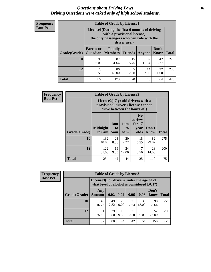#### *Questions about Driving Laws* **62** *Driving Questions were asked only of high school students.*

| <b>Frequency</b> |
|------------------|
| <b>Row Pct</b>   |

| <b>Table of Grade by License1</b> |                                                                      |                                                                                                                                           |                |             |               |              |  |  |  |
|-----------------------------------|----------------------------------------------------------------------|-------------------------------------------------------------------------------------------------------------------------------------------|----------------|-------------|---------------|--------------|--|--|--|
|                                   |                                                                      | License1(During the first 6 months of driving<br>with a provisional license,<br>the only passengers who can ride with the<br>driver are:) |                |             |               |              |  |  |  |
| Grade(Grade)                      | <b>Parent or</b><br><b>Guardian</b>                                  | Family<br><b>Members</b>                                                                                                                  | <b>Friends</b> | Anyone      | Don't<br>Know | <b>Total</b> |  |  |  |
| 10                                | 99<br>36.00                                                          | 87<br>31.64                                                                                                                               | 15<br>5.45     | 32<br>11.64 | 42<br>15.27   | 275          |  |  |  |
| 12                                | 73<br>86<br>22<br>5<br>14<br>7.00<br>11.00<br>43.00<br>2.50<br>36.50 |                                                                                                                                           |                |             |               |              |  |  |  |
| Total                             | 172                                                                  | 173                                                                                                                                       | 20             | 46          | 64            | 475          |  |  |  |

| Frequency      |                                                                                                          | <b>Table of Grade by License2</b> |                  |                         |                                                      |               |              |  |  |  |
|----------------|----------------------------------------------------------------------------------------------------------|-----------------------------------|------------------|-------------------------|------------------------------------------------------|---------------|--------------|--|--|--|
| <b>Row Pct</b> | License2(17 yr old drivers with a<br>provisional driver's license cannot<br>drive between the hours of:) |                                   |                  |                         |                                                      |               |              |  |  |  |
|                | Grade(Grade)                                                                                             | <b>Midnight</b><br>to 6am         | 1am<br>to<br>5am | 1am<br>to<br><b>6am</b> | N <sub>0</sub><br>curfew<br>for $17$<br>year<br>olds | Don't<br>Know | <b>Total</b> |  |  |  |
|                | 10                                                                                                       | 132<br>48.00                      | 23<br>8.36       | 20<br>7.27              | 18<br>6.55                                           | 82<br>29.82   | 275          |  |  |  |
|                | 12                                                                                                       | 122<br>61.00                      | 19<br>9.50       | 24<br>12.00             | 7<br>3.50                                            | 28<br>14.00   | 200          |  |  |  |
|                | <b>Total</b>                                                                                             | 254                               | 42               | 44                      | 25                                                   | 110           | 475          |  |  |  |

| Frequency      |                                                                                        | <b>Table of Grade by License3</b> |                  |            |             |             |               |              |  |
|----------------|----------------------------------------------------------------------------------------|-----------------------------------|------------------|------------|-------------|-------------|---------------|--------------|--|
| <b>Row Pct</b> | License3(For drivers under the age of 21,<br>what level of alcohol is considered DUI?) |                                   |                  |            |             |             |               |              |  |
|                | Grade(Grade)                                                                           | Any<br><b>Amount</b>              | $0.02 \mid 0.04$ |            | 0.06        | 0.08        | Don't<br>know | <b>Total</b> |  |
|                | 10                                                                                     | 46<br>16.73                       | 49<br>17.82      | 25<br>9.09 | 21<br>7.64  | 36<br>13.09 | 98<br>35.64   | 275          |  |
|                | 12                                                                                     | 51<br>25.50                       | 39<br>19.50      | 19<br>9.50 | 21<br>10.50 | 18<br>9.00  | 52<br>26.00   | 200          |  |
|                | <b>Total</b>                                                                           | 97                                | 88               | 44         | 42          | 54          | 150           | 475          |  |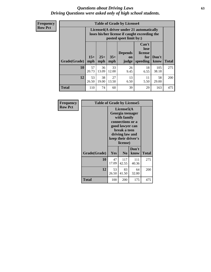#### *Questions about Driving Laws* **63** *Driving Questions were asked only of high school students.*

**Frequency Row Pct**

| <b>Table of Grade by License4</b> |             |                                                                                                                                                                                                                                                                                       |             |            |            |              |     |  |  |
|-----------------------------------|-------------|---------------------------------------------------------------------------------------------------------------------------------------------------------------------------------------------------------------------------------------------------------------------------------------|-------------|------------|------------|--------------|-----|--|--|
|                                   |             | License4(A driver under 21 automatically<br>loses his/her license if caught exceeding the<br>posted speet limit by:)<br>Can't<br>lose<br>license<br><b>Depends</b><br>$15+$<br>$35+$<br>$25+$<br>Don't<br>for<br><b>on</b><br>speeding<br><b>Total</b><br>mph<br>know<br>mph<br>judge |             |            |            |              |     |  |  |
| Grade(Grade)                      | mph         |                                                                                                                                                                                                                                                                                       |             |            |            |              |     |  |  |
| 10                                | 57<br>20.73 | 36<br>13.09                                                                                                                                                                                                                                                                           | 33<br>12.00 | 26<br>9.45 | 18<br>6.55 | 105<br>38.18 | 275 |  |  |
| 12                                | 53<br>26.50 | 38<br>27<br>13<br>11<br>58<br>19.00<br>5.50<br>13.50<br>29.00<br>6.50                                                                                                                                                                                                                 |             |            |            |              |     |  |  |
| <b>Total</b>                      | 110         | 74                                                                                                                                                                                                                                                                                    | 60          | 39         | 29         | 163          | 475 |  |  |

| Frequency      | <b>Table of Grade by License5</b> |             |                                                                                                                                                            |               |              |  |
|----------------|-----------------------------------|-------------|------------------------------------------------------------------------------------------------------------------------------------------------------------|---------------|--------------|--|
| <b>Row Pct</b> |                                   |             | License5(A<br>Georgia teenager<br>with family<br>connections or a<br>good lawyer can<br>break a teen<br>driving law and<br>keep their driver's<br>license) |               |              |  |
|                | Grade(Grade)                      | <b>Yes</b>  | N <sub>0</sub>                                                                                                                                             | Don't<br>know | <b>Total</b> |  |
|                | 10                                | 47<br>17.09 | 117<br>42.55                                                                                                                                               | 111<br>40.36  | 275          |  |
|                | 12                                | 53<br>26.50 | 83<br>41.50                                                                                                                                                | 64<br>32.00   | 200          |  |
|                | <b>Total</b>                      | 100         | 200                                                                                                                                                        | 175           | 475          |  |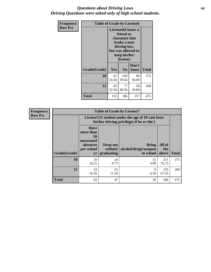#### *Questions about Driving Laws* **64** *Driving Questions were asked only of high school students.*

| <b>Frequency</b> |              | <b>Table of Grade by License6</b>                                                                                                               |                |               |              |  |
|------------------|--------------|-------------------------------------------------------------------------------------------------------------------------------------------------|----------------|---------------|--------------|--|
| <b>Row Pct</b>   |              | License <sub>6</sub> (I know a<br>friend or<br>classmate that<br>broke a teen<br>driving law,<br>but was allowed to<br>keep his/her<br>license) |                |               |              |  |
|                  | Grade(Grade) | Yes                                                                                                                                             | N <sub>0</sub> | Don't<br>know | <b>Total</b> |  |
|                  | 10           | 67<br>109<br>99<br>24.36<br>36.00<br>39.64                                                                                                      |                |               | 275          |  |
|                  | 12           | 65<br>77<br>58<br>29.00<br>32.50<br>38.50                                                                                                       |                |               | 200          |  |
|                  | <b>Total</b> | 132                                                                                                                                             | 186            | 157           | 475          |  |

| <b>Frequency</b> |              |                                                                             | <b>Table of Grade by License7</b>                                                             |                                                   |                        |              |  |
|------------------|--------------|-----------------------------------------------------------------------------|-----------------------------------------------------------------------------------------------|---------------------------------------------------|------------------------|--------------|--|
| <b>Row Pct</b>   |              |                                                                             | License7(A student under the age of 18 cam loser<br>his/her driving privileges if he or she:) |                                                   |                        |              |  |
|                  | Grade(Grade) | <b>Have</b><br>more than<br>10<br>unexcused<br>absences<br>per school<br>yr | Drop out<br>without  <br>graduating                                                           | <b>Bring</b><br>alcohol/drugs/weapon<br>to school | All of<br>the<br>above | <b>Total</b> |  |
|                  | 10           | 29<br>10.55                                                                 | 24<br>8.73                                                                                    | 11<br>4.00                                        | 211<br>76.73           | 275          |  |
|                  | 12           | 33<br>16.50                                                                 | 23<br>11.50                                                                                   | 9<br>4.50                                         | 135<br>67.50           | 200          |  |
|                  | <b>Total</b> | 62                                                                          | 47                                                                                            | 20                                                | 346                    | 475          |  |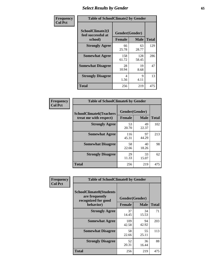# *Select Results by Gender* **65**

| Frequency      | <b>Table of SchoolClimate2 by Gender</b>          |                                 |              |              |
|----------------|---------------------------------------------------|---------------------------------|--------------|--------------|
| <b>Col Pct</b> | SchoolClimate2(I<br>feel successful at<br>school) | Gender(Gender)<br><b>Female</b> | <b>Male</b>  | <b>Total</b> |
|                | <b>Strongly Agree</b>                             | 66<br>25.78                     | 63<br>28.77  | 129          |
|                | <b>Somewhat Agree</b>                             | 158<br>61.72                    | 128<br>58.45 | 286          |
|                | <b>Somewhat Disagree</b>                          | 28<br>10.94                     | 19<br>8.68   | 47           |
|                | <b>Strongly Disagree</b>                          | 4<br>1.56                       | 9<br>4.11    | 13           |
|                | <b>Total</b>                                      | 256                             | 219          | 475          |

| <b>Frequency</b> | <b>Table of SchoolClimate6 by Gender</b>                 |                |             |              |  |
|------------------|----------------------------------------------------------|----------------|-------------|--------------|--|
| <b>Col Pct</b>   | <b>SchoolClimate6(Teachers</b><br>treat me with respect) | Gender(Gender) |             |              |  |
|                  |                                                          | Female         | <b>Male</b> | <b>Total</b> |  |
|                  | <b>Strongly Agree</b>                                    | 53<br>20.70    | 49<br>22.37 | 102          |  |
|                  | <b>Somewhat Agree</b>                                    | 116<br>45.31   | 97<br>44.29 | 213          |  |
|                  | <b>Somewhat Disagree</b>                                 | 58<br>22.66    | 40<br>18.26 | 98           |  |
|                  | <b>Strongly Disagree</b>                                 | 29<br>11.33    | 33<br>15.07 | 62           |  |
|                  | <b>Total</b>                                             | 256            | 219         | 475          |  |

| Frequency      | <b>Table of SchoolClimate8 by Gender</b>                                             |                                 |             |              |
|----------------|--------------------------------------------------------------------------------------|---------------------------------|-------------|--------------|
| <b>Col Pct</b> | <b>SchoolClimate8(Students</b><br>are frequently<br>recognized for good<br>behavior) | Gender(Gender)<br><b>Female</b> | <b>Male</b> | <b>Total</b> |
|                |                                                                                      |                                 |             |              |
|                | <b>Strongly Agree</b>                                                                | 37<br>14.45                     | 34<br>15.53 | 71           |
|                | <b>Somewhat Agree</b>                                                                | 109<br>42.58                    | 94<br>42.92 | 203          |
|                | <b>Somewhat Disagree</b>                                                             | 58<br>22.66                     | 55<br>25.11 | 113          |
|                | <b>Strongly Disagree</b>                                                             | 52<br>20.31                     | 36<br>16.44 | 88           |
|                | <b>Total</b>                                                                         | 256                             | 219         | 475          |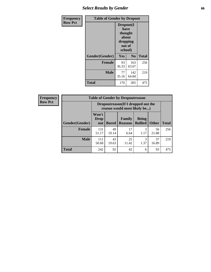# *Select Results by Gender* **66**

| Frequency      | <b>Table of Gender by Dropout</b> |                                                                        |                |              |
|----------------|-----------------------------------|------------------------------------------------------------------------|----------------|--------------|
| <b>Row Pct</b> |                                   | Dropout(I<br>have<br>thought<br>about<br>dropping<br>out of<br>school) |                |              |
|                | Gender(Gender)                    | Yes                                                                    | N <sub>0</sub> | <b>Total</b> |
|                | <b>Female</b>                     | 93<br>36.33                                                            | 163<br>63.67   | 256          |
|                | <b>Male</b>                       | 77<br>35.16                                                            | 142<br>64.84   | 219          |
|                | <b>Total</b>                      | 170                                                                    | 305            | 475          |

| <b>Frequency</b> | <b>Table of Gender by Dropoutreason</b> |                                                                     |              |                          |                                |              |              |
|------------------|-----------------------------------------|---------------------------------------------------------------------|--------------|--------------------------|--------------------------------|--------------|--------------|
| <b>Row Pct</b>   |                                         | Dropoutreason (If I dropped out the<br>reason would most likely be) |              |                          |                                |              |              |
|                  | <b>Gender(Gender)</b>                   | Won't<br>Drop<br>out                                                | <b>Bored</b> | Family<br><b>Reasons</b> | <b>Being</b><br><b>Bullied</b> | <b>Other</b> | <b>Total</b> |
|                  | <b>Female</b>                           | 131<br>51.17                                                        | 49<br>19.14  | 17<br>6.64               | 3<br>1.17                      | 56<br>21.88  | 256          |
|                  | <b>Male</b>                             | 111<br>50.68                                                        | 43<br>19.63  | 25<br>11.42              | 3<br>1.37                      | 37<br>16.89  | 219          |
|                  | <b>Total</b>                            | 242                                                                 | 92           | 42                       | 6                              | 93           | 475          |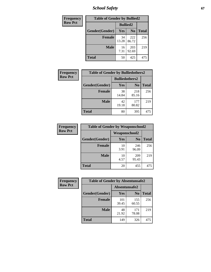*School Safety* **67**

| Frequency      | <b>Table of Gender by Bullied2</b> |                 |                |              |
|----------------|------------------------------------|-----------------|----------------|--------------|
| <b>Row Pct</b> |                                    | <b>Bullied2</b> |                |              |
|                | Gender(Gender)                     | Yes             | N <sub>0</sub> | <b>Total</b> |
|                | <b>Female</b>                      | 34<br>13.28     | 222<br>86.72   | 256          |
|                | <b>Male</b>                        | 16<br>7.31      | 203<br>92.69   | 219          |
|                | <b>Total</b>                       | 50              | 425            | 475          |

| Frequency      | <b>Table of Gender by Bulliedothers2</b> |                       |                |              |
|----------------|------------------------------------------|-----------------------|----------------|--------------|
| <b>Row Pct</b> |                                          | <b>Bulliedothers2</b> |                |              |
|                | Gender(Gender)                           | Yes                   | N <sub>0</sub> | <b>Total</b> |
|                | <b>Female</b>                            | 38<br>14.84           | 218<br>85.16   | 256          |
|                | <b>Male</b>                              | 42<br>19.18           | 177<br>80.82   | 219          |
|                | <b>Total</b>                             | 80                    | 395            | 475          |

| Frequency      | <b>Table of Gender by Weaponschool2</b> |                      |                |              |
|----------------|-----------------------------------------|----------------------|----------------|--------------|
| <b>Row Pct</b> |                                         | <b>Weaponschool2</b> |                |              |
|                | Gender(Gender)                          | Yes                  | N <sub>0</sub> | <b>Total</b> |
|                | Female                                  | 10<br>3.91           | 246<br>96.09   | 256          |
|                | <b>Male</b>                             | 10<br>4.57           | 209<br>95.43   | 219          |
|                | <b>Total</b>                            | 20                   | 455            | 475          |

| Frequency      | <b>Table of Gender by Absentunsafe2</b> |               |                |              |
|----------------|-----------------------------------------|---------------|----------------|--------------|
| <b>Row Pct</b> |                                         | Absentunsafe2 |                |              |
|                | Gender(Gender)                          | Yes           | N <sub>0</sub> | <b>Total</b> |
|                | <b>Female</b>                           | 101<br>39.45  | 155<br>60.55   | 256          |
|                | <b>Male</b>                             | 48<br>21.92   | 171<br>78.08   | 219          |
|                | <b>Total</b>                            | 149           | 326            | 475          |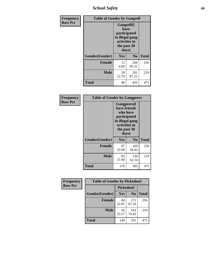*School Safety* **68**

| Frequency      | <b>Table of Gender by Gangself</b> |                                                                                                |                |              |
|----------------|------------------------------------|------------------------------------------------------------------------------------------------|----------------|--------------|
| <b>Row Pct</b> |                                    | Gangself(I<br>have<br>participated<br>in illegal gang<br>activities in<br>the past 30<br>days) |                |              |
|                | Gender(Gender)                     | Yes                                                                                            | N <sub>0</sub> | <b>Total</b> |
|                | <b>Female</b>                      | 12<br>4.69                                                                                     | 244<br>95.31   | 256          |
|                | <b>Male</b>                        | 28<br>12.79                                                                                    | 191<br>87.21   | 219          |
|                | <b>Total</b>                       | 40                                                                                             | 435            | 475          |

| Frequency      | <b>Table of Gender by Gangpeers</b> |                                                                                                                             |                |              |
|----------------|-------------------------------------|-----------------------------------------------------------------------------------------------------------------------------|----------------|--------------|
| <b>Row Pct</b> |                                     | <b>Gangpeers</b> (I<br>have friends<br>who have<br>participated<br>in illegal gang<br>activities in<br>the past 30<br>days) |                |              |
|                | Gender(Gender)                      | Yes                                                                                                                         | N <sub>0</sub> | <b>Total</b> |
|                | <b>Female</b>                       | 87<br>33.98                                                                                                                 | 169<br>66.02   | 256          |
|                | <b>Male</b>                         | 83<br>37.90                                                                                                                 | 136<br>62.10   | 219          |
|                | <b>Total</b>                        | 170                                                                                                                         | 305            | 475          |

| <b>Frequency</b> | <b>Table of Gender by Pickedon2</b> |             |                |              |
|------------------|-------------------------------------|-------------|----------------|--------------|
| <b>Row Pct</b>   |                                     |             | Pickedon2      |              |
|                  | Gender(Gender)                      | Yes         | N <sub>0</sub> | <b>Total</b> |
|                  | <b>Female</b>                       | 84<br>32.81 | 172<br>67.19   | 256          |
|                  | <b>Male</b>                         | 56<br>25.57 | 163<br>74.43   | 219          |
|                  | <b>Total</b>                        | 140         | 335            | 475          |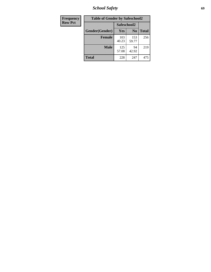*School Safety* **69**

| Frequency      | <b>Table of Gender by Safeschool2</b> |              |                |              |
|----------------|---------------------------------------|--------------|----------------|--------------|
| <b>Row Pct</b> |                                       |              | Safeschool2    |              |
|                | Gender(Gender)                        | Yes          | N <sub>0</sub> | <b>Total</b> |
|                | <b>Female</b>                         | 103<br>40.23 | 153<br>59.77   | 256          |
|                | Male                                  | 125<br>57.08 | 94<br>42.92    | 219          |
|                | <b>Total</b>                          | 228          | 247            | 475          |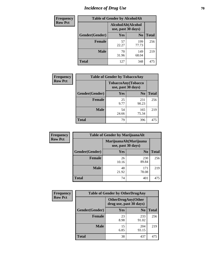# *Incidence of Drug Use* **70**

| Frequency      |                | <b>Table of Gender by AlcoholAlt</b>     |                |              |
|----------------|----------------|------------------------------------------|----------------|--------------|
| <b>Row Pct</b> |                | AlcoholAlt(Alcohol<br>use, past 30 days) |                |              |
|                | Gender(Gender) | Yes                                      | N <sub>0</sub> | <b>Total</b> |
|                | <b>Female</b>  | 57<br>22.27                              | 199<br>77.73   | 256          |
|                | <b>Male</b>    | 70<br>31.96                              | 149<br>68.04   | 219          |
|                | <b>Total</b>   | 127                                      | 348            | 475          |

| <b>Frequency</b> | <b>Table of Gender by TobaccoAny</b> |                    |                    |              |
|------------------|--------------------------------------|--------------------|--------------------|--------------|
| <b>Row Pct</b>   |                                      | use, past 30 days) | TobaccoAny(Tobacco |              |
|                  | Gender(Gender)                       | Yes                | N <sub>0</sub>     | <b>Total</b> |
|                  | <b>Female</b>                        | 25<br>9.77         | 231<br>90.23       | 256          |
|                  | <b>Male</b>                          | 54<br>24.66        | 165<br>75.34       | 219          |
|                  | <b>Total</b>                         | 79                 | 396                | 475          |

| <b>Frequency</b> | <b>Table of Gender by MarijuanaAlt</b> |             |                                              |              |
|------------------|----------------------------------------|-------------|----------------------------------------------|--------------|
| <b>Row Pct</b>   |                                        |             | MarijuanaAlt(Marijuana<br>use, past 30 days) |              |
|                  | Gender(Gender)                         | <b>Yes</b>  | N <sub>0</sub>                               | <b>Total</b> |
|                  | <b>Female</b>                          | 26<br>10.16 | 230<br>89.84                                 | 256          |
|                  | <b>Male</b>                            | 48<br>21.92 | 171<br>78.08                                 | 219          |
|                  | <b>Total</b>                           | 74          | 401                                          | 475          |

| <b>Frequency</b> | <b>Table of Gender by OtherDrugAny</b> |                                                      |                |              |
|------------------|----------------------------------------|------------------------------------------------------|----------------|--------------|
| <b>Row Pct</b>   |                                        | <b>OtherDrugAny(Other</b><br>drug use, past 30 days) |                |              |
|                  | Gender(Gender)                         | <b>Yes</b>                                           | N <sub>0</sub> | <b>Total</b> |
|                  | <b>Female</b>                          | 23<br>8.98                                           | 233<br>91.02   | 256          |
|                  | <b>Male</b>                            | 15<br>6.85                                           | 204<br>93.15   | 219          |
|                  | <b>Total</b>                           | 38                                                   | 437            | 475          |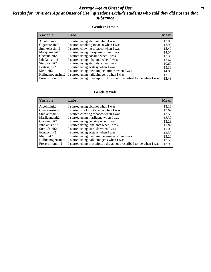### *Average Age at Onset of Use* **71** *Results for "Average Age at Onset of Use" questions exclude students who said they did not use that substance*

#### **Gender=Female**

| <b>Variable</b>    | <b>Label</b>                                                       | <b>Mean</b> |
|--------------------|--------------------------------------------------------------------|-------------|
| Alcoholinit2       | I started using alcohol when I was                                 | 13.03       |
| Cigarettesinit2    | I started smoking tobacco when I was                               | 12.93       |
| Smokelessinit2     | I started chewing tobacco when I was                               | 12.40       |
| Marijuanainit2     | I started using marijuana when I was                               | 14.57       |
| Cocaineinit2       | I started using cocaine when I was                                 | 13.33       |
| Inhalantsinit2     | I started using inhalants when I was                               | 12.67       |
| Steroidsinit2      | I started using steroids when I was                                | 10.67       |
| Ecstasyinit2       | I started using ecstasy when I was                                 | 15.33       |
| Methinit2          | I started using methamphetamines when I was                        | 14.00       |
| Hallucinogensinit2 | I started using hallucinogens when I was                           | 12.75       |
| Prescription in t2 | I started using prescription drugs not prescribed to me when I was | 12.48       |

#### **Gender=Male**

| <b>Variable</b>    | Label                                                              | <b>Mean</b> |
|--------------------|--------------------------------------------------------------------|-------------|
| Alcoholinit2       | I started using alcohol when I was                                 | 13.16       |
| Cigarettesinit2    | I started smoking tobacco when I was                               | 13.62       |
| Smokelessinit2     | I started chewing tobacco when I was                               | 12.53       |
| Marijuanainit2     | I started using marijuana when I was                               | 13.32       |
| Cocaineinit2       | I started using cocaine when I was                                 | 13.29       |
| Inhalantsinit2     | I started using inhalants when I was                               | 11.67       |
| Steroidsinit2      | I started using steroids when I was                                | 11.00       |
| Ecstasyinit2       | I started using ecstasy when I was                                 | 12.50       |
| Methinit2          | I started using methamphetamines when I was                        | 13.20       |
| Hallucinogensinit2 | I started using hallucinogens when I was                           | 12.50       |
| Prescription in t2 | I started using prescription drugs not prescribed to me when I was | 13.93       |
|                    |                                                                    |             |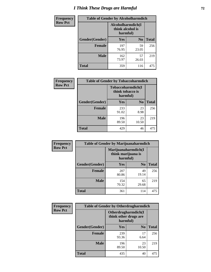# *I Think These Drugs are Harmful* **72**

| <b>Frequency</b> | <b>Table of Gender by Alcoholharmdich</b> |                                       |                |              |
|------------------|-------------------------------------------|---------------------------------------|----------------|--------------|
| <b>Row Pct</b>   |                                           | Alcoholharmdich(I<br>think alcohol is | harmful)       |              |
|                  | Gender(Gender)                            | <b>Yes</b>                            | N <sub>0</sub> | <b>Total</b> |
|                  | <b>Female</b>                             | 197<br>76.95                          | 59<br>23.05    | 256          |
|                  | <b>Male</b>                               | 162<br>73.97                          | 57<br>26.03    | 219          |
|                  | <b>Total</b>                              | 359                                   | 116            | 475          |

| Frequency      | <b>Table of Gender by Tobaccoharmdich</b> |                                                   |                |              |
|----------------|-------------------------------------------|---------------------------------------------------|----------------|--------------|
| <b>Row Pct</b> |                                           | Tobaccoharmdich(I<br>think tobacco is<br>harmful) |                |              |
|                | Gender(Gender)                            | Yes                                               | N <sub>0</sub> | <b>Total</b> |
|                | <b>Female</b>                             | 233<br>91.02                                      | 23<br>8.98     | 256          |
|                | <b>Male</b>                               | 196<br>89.50                                      | 23<br>10.50    | 219          |
|                | <b>Total</b>                              | 429                                               | 46             | 475          |

| Frequency      | <b>Table of Gender by Marijuanaharmdich</b> |                                |                     |              |  |
|----------------|---------------------------------------------|--------------------------------|---------------------|--------------|--|
| <b>Row Pct</b> |                                             | think marijuana is<br>harmful) | Marijuanaharmdich(I |              |  |
|                | Gender(Gender)                              | <b>Yes</b>                     | N <sub>0</sub>      | <b>Total</b> |  |
|                | <b>Female</b>                               | 207<br>80.86                   | 49<br>19.14         | 256          |  |
|                | <b>Male</b>                                 | 154<br>70.32                   | 65<br>29.68         | 219          |  |
|                | <b>Total</b>                                | 361                            | 114                 | 475          |  |

| Frequency      | <b>Table of Gender by Otherdrugharmdich</b> |                                                          |                |              |  |
|----------------|---------------------------------------------|----------------------------------------------------------|----------------|--------------|--|
| <b>Row Pct</b> |                                             | Otherdrugharmdich(I<br>think other drugs are<br>harmful) |                |              |  |
|                | Gender(Gender)                              | <b>Yes</b>                                               | N <sub>0</sub> | <b>Total</b> |  |
|                | <b>Female</b>                               | 239<br>93.36                                             | 17<br>6.64     | 256          |  |
|                | <b>Male</b>                                 | 196<br>89.50                                             | 23<br>10.50    | 219          |  |
|                | <b>Total</b>                                | 435                                                      | 40             | 475          |  |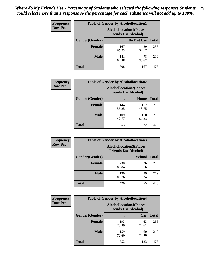| <b>Frequency</b> | <b>Table of Gender by Alcohollocation1</b> |                                                               |             |              |
|------------------|--------------------------------------------|---------------------------------------------------------------|-------------|--------------|
| <b>Row Pct</b>   |                                            | <b>Alcohollocation1(Places</b><br><b>Friends Use Alcohol)</b> |             |              |
|                  | Gender(Gender)                             |                                                               | Do Not Use  | <b>Total</b> |
|                  | <b>Female</b>                              | 167<br>65.23                                                  | 89<br>34.77 | 256          |
|                  | <b>Male</b>                                | 141<br>64.38                                                  | 78<br>35.62 | 219          |
|                  | <b>Total</b>                               | 308                                                           | 167         | 475          |

| <b>Frequency</b> | <b>Table of Gender by Alcohollocation2</b> |                                                               |              |              |
|------------------|--------------------------------------------|---------------------------------------------------------------|--------------|--------------|
| <b>Row Pct</b>   |                                            | <b>Alcohollocation2(Places</b><br><b>Friends Use Alcohol)</b> |              |              |
|                  | Gender(Gender)                             |                                                               | Home         | <b>Total</b> |
|                  | <b>Female</b>                              | 144<br>56.25                                                  | 112<br>43.75 | 256          |
|                  | <b>Male</b>                                | 109<br>49.77                                                  | 110<br>50.23 | 219          |
|                  | <b>Total</b>                               | 253                                                           | 222          | 475          |

| Frequency      | <b>Table of Gender by Alcohollocation3</b> |                                                               |               |              |
|----------------|--------------------------------------------|---------------------------------------------------------------|---------------|--------------|
| <b>Row Pct</b> |                                            | <b>Alcohollocation3(Places</b><br><b>Friends Use Alcohol)</b> |               |              |
|                | Gender(Gender)                             |                                                               | <b>School</b> | <b>Total</b> |
|                | <b>Female</b>                              | 230<br>89.84                                                  | 26<br>10.16   | 256          |
|                | <b>Male</b>                                | 190<br>86.76                                                  | 29<br>13.24   | 219          |
|                | <b>Total</b>                               | 420                                                           | 55            | 475          |

| <b>Frequency</b> | <b>Table of Gender by Alcohollocation4</b> |                                                               |             |              |
|------------------|--------------------------------------------|---------------------------------------------------------------|-------------|--------------|
| <b>Row Pct</b>   |                                            | <b>Alcohollocation4(Places</b><br><b>Friends Use Alcohol)</b> |             |              |
|                  | Gender(Gender)                             |                                                               | Car         | <b>Total</b> |
|                  | <b>Female</b>                              | 193<br>75.39                                                  | 63<br>24.61 | 256          |
|                  | <b>Male</b>                                | 159<br>72.60                                                  | 60<br>27.40 | 219          |
|                  | <b>Total</b>                               | 352                                                           | 123         | 475          |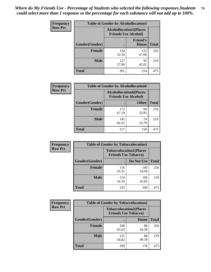| <b>Frequency</b> | <b>Table of Gender by Alcohollocation5</b> |                                                               |                                 |              |
|------------------|--------------------------------------------|---------------------------------------------------------------|---------------------------------|--------------|
| <b>Row Pct</b>   |                                            | <b>Alcohollocation5(Places</b><br><b>Friends Use Alcohol)</b> |                                 |              |
|                  | Gender(Gender)                             | $\bullet$                                                     | <b>Friend's</b><br><b>House</b> | <b>Total</b> |
|                  | <b>Female</b>                              | 134<br>52.34                                                  | 122<br>47.66                    | 256          |
|                  | <b>Male</b>                                | 127<br>57.99                                                  | 92<br>42.01                     | 219          |
|                  | <b>Total</b>                               | 261                                                           | 214                             | 475          |

| Frequency      |                        |                                                               | <b>Table of Gender by Alcohollocation6</b> |              |  |
|----------------|------------------------|---------------------------------------------------------------|--------------------------------------------|--------------|--|
| <b>Row Pct</b> |                        | <b>Alcohollocation6(Places</b><br><b>Friends Use Alcohol)</b> |                                            |              |  |
|                | <b>Gender</b> (Gender) |                                                               | <b>Other</b>                               | <b>Total</b> |  |
|                | Female                 | 172<br>67.19                                                  | 84<br>32.81                                | 256          |  |
|                | <b>Male</b>            | 145<br>66.21                                                  | 74<br>33.79                                | 219          |  |
|                | <b>Total</b>           | 317                                                           | 158                                        | 475          |  |

| Frequency      | <b>Table of Gender by Tobaccolocation1</b> |                                                               |              |              |
|----------------|--------------------------------------------|---------------------------------------------------------------|--------------|--------------|
| <b>Row Pct</b> |                                            | <b>Tobaccolocation1(Places</b><br><b>Friends Use Tobacco)</b> |              |              |
|                | Gender(Gender)                             |                                                               | Do Not Use   | <b>Total</b> |
|                | Female                                     | 116<br>45.31                                                  | 140<br>54.69 | 256          |
|                | <b>Male</b>                                | 119<br>54.34                                                  | 100<br>45.66 | 219          |
|                | <b>Total</b>                               | 235                                                           | 240          | 475          |

| Frequency      | <b>Table of Gender by Tobaccolocation2</b> |                                                               |             |              |
|----------------|--------------------------------------------|---------------------------------------------------------------|-------------|--------------|
| <b>Row Pct</b> |                                            | <b>Tobaccolocation2(Places</b><br><b>Friends Use Tobacco)</b> |             |              |
|                | Gender(Gender)                             |                                                               | Home        | <b>Total</b> |
|                | Female                                     | 168<br>65.63                                                  | 88<br>34.38 | 256          |
|                | <b>Male</b>                                | 131<br>59.82                                                  | 88<br>40.18 | 219          |
|                | <b>Total</b>                               | 299                                                           | 176         | 475          |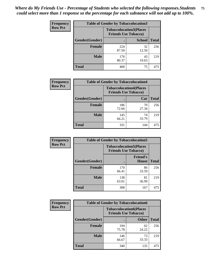| <b>Frequency</b> | <b>Table of Gender by Tobaccolocation3</b> |                                                               |               |              |  |
|------------------|--------------------------------------------|---------------------------------------------------------------|---------------|--------------|--|
| <b>Row Pct</b>   |                                            | <b>Tobaccolocation3(Places</b><br><b>Friends Use Tobacco)</b> |               |              |  |
|                  | Gender(Gender)                             |                                                               | <b>School</b> | <b>Total</b> |  |
|                  | <b>Female</b>                              | 224<br>87.50                                                  | 32<br>12.50   | 256          |  |
|                  | <b>Male</b>                                | 176<br>80.37                                                  | 43<br>19.63   | 219          |  |
|                  | <b>Total</b>                               | 400                                                           | 75            | 475          |  |

| <b>Frequency</b> | <b>Table of Gender by Tobaccolocation4</b> |              |                                                               |              |
|------------------|--------------------------------------------|--------------|---------------------------------------------------------------|--------------|
| <b>Row Pct</b>   |                                            |              | <b>Tobaccolocation4(Places</b><br><b>Friends Use Tobacco)</b> |              |
|                  | Gender(Gender)                             |              | Car                                                           | <b>Total</b> |
|                  | <b>Female</b>                              | 186<br>72.66 | 70<br>27.34                                                   | 256          |
|                  | <b>Male</b>                                | 145<br>66.21 | 74<br>33.79                                                   | 219          |
|                  | <b>Total</b>                               | 331          | 144                                                           | 475          |

| <b>Frequency</b> | <b>Table of Gender by Tobaccolocation5</b> |                                                               |                                 |              |
|------------------|--------------------------------------------|---------------------------------------------------------------|---------------------------------|--------------|
| <b>Row Pct</b>   |                                            | <b>Tobaccolocation5(Places</b><br><b>Friends Use Tobacco)</b> |                                 |              |
|                  | Gender(Gender)                             |                                                               | <b>Friend's</b><br><b>House</b> | <b>Total</b> |
|                  | <b>Female</b>                              | 170<br>66.41                                                  | 86<br>33.59                     | 256          |
|                  | <b>Male</b>                                | 138<br>63.01                                                  | 81<br>36.99                     | 219          |
|                  | <b>Total</b>                               | 308                                                           | 167                             | 475          |

| <b>Frequency</b> | <b>Table of Gender by Tobaccolocation6</b> |                                                               |              |              |
|------------------|--------------------------------------------|---------------------------------------------------------------|--------------|--------------|
| <b>Row Pct</b>   |                                            | <b>Tobaccolocation6(Places</b><br><b>Friends Use Tobacco)</b> |              |              |
|                  | Gender(Gender)                             |                                                               | <b>Other</b> | <b>Total</b> |
|                  | Female                                     | 194<br>75.78                                                  | 62<br>24.22  | 256          |
|                  | <b>Male</b>                                | 146<br>66.67                                                  | 73<br>33.33  | 219          |
|                  | <b>Total</b>                               | 340                                                           | 135          | 475          |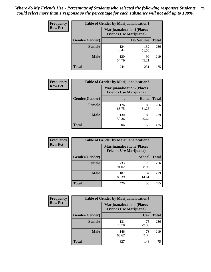| <b>Frequency</b> | <b>Table of Gender by Marijuanalocation1</b> |                                                                    |              |              |
|------------------|----------------------------------------------|--------------------------------------------------------------------|--------------|--------------|
| <b>Row Pct</b>   |                                              | <b>Marijuanalocation1(Places</b><br><b>Friends Use Marijuana</b> ) |              |              |
|                  | Gender(Gender)                               |                                                                    | Do Not Use   | <b>Total</b> |
|                  | <b>Female</b>                                | 124<br>48.44                                                       | 132<br>51.56 | 256          |
|                  | <b>Male</b>                                  | 120<br>54.79                                                       | 99<br>45.21  | 219          |
|                  | <b>Total</b>                                 | 244                                                                | 231          | 475          |

| <b>Frequency</b> | <b>Table of Gender by Marijuanalocation2</b> |                                                                    |             |              |
|------------------|----------------------------------------------|--------------------------------------------------------------------|-------------|--------------|
| <b>Row Pct</b>   |                                              | <b>Marijuanalocation2(Places</b><br><b>Friends Use Marijuana</b> ) |             |              |
|                  | Gender(Gender)                               |                                                                    | Home        | <b>Total</b> |
|                  | <b>Female</b>                                | 176<br>68.75                                                       | 80<br>31.25 | 256          |
|                  | <b>Male</b>                                  | 130<br>59.36                                                       | 89<br>40.64 | 219          |
|                  | <b>Total</b>                                 | 306                                                                | 169         | 475          |

| Frequency      |                | <b>Table of Gender by Marijuanalocation3</b>                       |               |              |
|----------------|----------------|--------------------------------------------------------------------|---------------|--------------|
| <b>Row Pct</b> |                | <b>Marijuanalocation3(Places</b><br><b>Friends Use Marijuana</b> ) |               |              |
|                | Gender(Gender) |                                                                    | <b>School</b> | <b>Total</b> |
|                | Female         | 233<br>91.02                                                       | 23<br>8.98    | 256          |
|                | <b>Male</b>    | 187<br>85.39                                                       | 32<br>14.61   | 219          |
|                | <b>Total</b>   | 420                                                                | 55            | 475          |

| Frequency      | <b>Table of Gender by Marijuanalocation4</b> |                                                                    |             |              |
|----------------|----------------------------------------------|--------------------------------------------------------------------|-------------|--------------|
| <b>Row Pct</b> |                                              | <b>Marijuanalocation4(Places</b><br><b>Friends Use Marijuana</b> ) |             |              |
|                | <b>Gender</b> (Gender)                       |                                                                    | Car         | <b>Total</b> |
|                | <b>Female</b>                                | 181<br>70.70                                                       | 75<br>29.30 | 256          |
|                | <b>Male</b>                                  | 146<br>66.67                                                       | 73<br>33.33 | 219          |
|                | <b>Total</b>                                 | 327                                                                | 148         | 475          |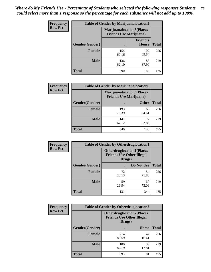| <b>Frequency</b> | <b>Table of Gender by Marijuanalocation5</b> |                                                                     |                                 |              |
|------------------|----------------------------------------------|---------------------------------------------------------------------|---------------------------------|--------------|
| <b>Row Pct</b>   |                                              | <b>Marijuanalocation5</b> (Places<br><b>Friends Use Marijuana</b> ) |                                 |              |
|                  | Gender(Gender)                               |                                                                     | <b>Friend's</b><br><b>House</b> | <b>Total</b> |
|                  | <b>Female</b>                                | 154<br>60.16                                                        | 102<br>39.84                    | 256          |
|                  | <b>Male</b>                                  | 136<br>62.10                                                        | 83<br>37.90                     | 219          |
|                  | <b>Total</b>                                 | 290                                                                 | 185                             | 475          |

| <b>Frequency</b> | <b>Table of Gender by Marijuanalocation6</b> |                                |                                  |              |
|------------------|----------------------------------------------|--------------------------------|----------------------------------|--------------|
| <b>Row Pct</b>   |                                              | <b>Friends Use Marijuana</b> ) | <b>Marijuanalocation6(Places</b> |              |
|                  | <b>Gender</b> (Gender)                       |                                | <b>Other</b>                     | <b>Total</b> |
|                  | Female                                       | 193<br>75.39                   | 63<br>24.61                      | 256          |
|                  | <b>Male</b>                                  | 147<br>67.12                   | 72<br>32.88                      | 219          |
|                  | Total                                        | 340                            | 135                              | 475          |

| Frequency      | <b>Table of Gender by Otherdruglocation1</b> |                                                                                |              |              |
|----------------|----------------------------------------------|--------------------------------------------------------------------------------|--------------|--------------|
| <b>Row Pct</b> |                                              | <b>Otherdruglocation1(Places</b><br><b>Friends Use Other Illegal</b><br>Drugs) |              |              |
|                | Gender(Gender)                               |                                                                                | Do Not Use   | <b>Total</b> |
|                | <b>Female</b>                                | 72<br>28.13                                                                    | 184<br>71.88 | 256          |
|                | <b>Male</b>                                  | 59<br>26.94                                                                    | 160<br>73.06 | 219          |
|                | <b>Total</b>                                 | 131                                                                            | 344          | 475          |

| <b>Frequency</b> | <b>Table of Gender by Otherdruglocation2</b> |                                            |                                  |              |
|------------------|----------------------------------------------|--------------------------------------------|----------------------------------|--------------|
| <b>Row Pct</b>   |                                              | <b>Friends Use Other Illegal</b><br>Drugs) | <b>Otherdruglocation2(Places</b> |              |
|                  | Gender(Gender)                               |                                            | Home                             | <b>Total</b> |
|                  | Female                                       | 214<br>83.59                               | 42<br>16.41                      | 256          |
|                  | <b>Male</b>                                  | 180<br>82.19                               | 39<br>17.81                      | 219          |
|                  | <b>Total</b>                                 | 394                                        | 81                               | 475          |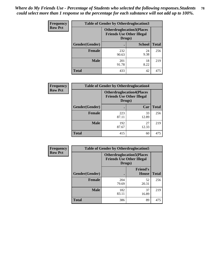| <b>Frequency</b> | <b>Table of Gender by Otherdruglocation3</b> |              |                                                                      |              |
|------------------|----------------------------------------------|--------------|----------------------------------------------------------------------|--------------|
| <b>Row Pct</b>   |                                              | Drugs)       | <b>Otherdruglocation3(Places</b><br><b>Friends Use Other Illegal</b> |              |
|                  | Gender(Gender)                               |              | <b>School</b>                                                        | <b>Total</b> |
|                  | <b>Female</b>                                | 232<br>90.63 | 24<br>9.38                                                           | 256          |
|                  | <b>Male</b>                                  | 201<br>91.78 | 18<br>8.22                                                           | 219          |
|                  | <b>Total</b>                                 | 433          | 42                                                                   | 475          |

| <b>Frequency</b> | <b>Table of Gender by Otherdruglocation4</b> |              |                                                                      |              |
|------------------|----------------------------------------------|--------------|----------------------------------------------------------------------|--------------|
| <b>Row Pct</b>   |                                              | Drugs)       | <b>Otherdruglocation4(Places</b><br><b>Friends Use Other Illegal</b> |              |
|                  | Gender(Gender)                               |              | Car                                                                  | <b>Total</b> |
|                  | Female                                       | 223<br>87.11 | 33<br>12.89                                                          | 256          |
|                  | <b>Male</b>                                  | 192<br>87.67 | 27<br>12.33                                                          | 219          |
|                  | <b>Total</b>                                 | 415          | 60                                                                   | 475          |

| Frequency      | <b>Table of Gender by Otherdruglocation5</b>                                   |              |                                 |              |
|----------------|--------------------------------------------------------------------------------|--------------|---------------------------------|--------------|
| <b>Row Pct</b> | <b>Otherdruglocation5(Places</b><br><b>Friends Use Other Illegal</b><br>Drugs) |              |                                 |              |
|                | Gender(Gender)                                                                 |              | <b>Friend's</b><br><b>House</b> | <b>Total</b> |
|                | <b>Female</b>                                                                  | 204<br>79.69 | 52<br>20.31                     | 256          |
|                | <b>Male</b>                                                                    | 182<br>83.11 | 37<br>16.89                     | 219          |
|                | <b>Total</b>                                                                   | 386          | 89                              | 475          |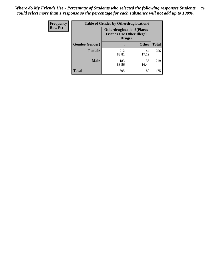| <b>Frequency</b> | <b>Table of Gender by Otherdruglocation6</b> |                                                                                |              |              |
|------------------|----------------------------------------------|--------------------------------------------------------------------------------|--------------|--------------|
| <b>Row Pct</b>   |                                              | <b>Otherdruglocation6(Places</b><br><b>Friends Use Other Illegal</b><br>Drugs) |              |              |
|                  | Gender(Gender)                               |                                                                                | <b>Other</b> | <b>Total</b> |
|                  | <b>Female</b>                                | 212<br>82.81                                                                   | 44<br>17.19  | 256          |
|                  | <b>Male</b>                                  | 183<br>83.56                                                                   | 36<br>16.44  | 219          |
|                  | <b>Total</b>                                 | 395                                                                            | 80           | 475          |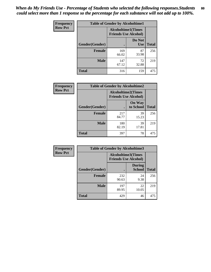| <b>Frequency</b> | <b>Table of Gender by Alcoholtime1</b> |                                                   |                      |              |
|------------------|----------------------------------------|---------------------------------------------------|----------------------|--------------|
| <b>Row Pct</b>   |                                        | Alcoholtime1(Times<br><b>Friends Use Alcohol)</b> |                      |              |
|                  | Gender(Gender)                         | $\bullet$                                         | Do Not<br><b>Use</b> | <b>Total</b> |
|                  | <b>Female</b>                          | 169<br>66.02                                      | 87<br>33.98          | 256          |
|                  | <b>Male</b>                            | 147<br>67.12                                      | 72<br>32.88          | 219          |
|                  | <b>Total</b>                           | 316                                               | 159                  | 475          |

| Frequency      | <b>Table of Gender by Alcoholtime2</b> |                                                          |                            |              |
|----------------|----------------------------------------|----------------------------------------------------------|----------------------------|--------------|
| <b>Row Pct</b> |                                        | <b>Alcoholtime2(Times</b><br><b>Friends Use Alcohol)</b> |                            |              |
|                | Gender(Gender)                         |                                                          | <b>On Way</b><br>to School | <b>Total</b> |
|                | <b>Female</b>                          | 217<br>84.77                                             | 39<br>15.23                | 256          |
|                | <b>Male</b>                            | 180<br>82.19                                             | 39<br>17.81                | 219          |
|                | <b>Total</b>                           | 397                                                      | 78                         | 475          |

| <b>Frequency</b> | <b>Table of Gender by Alcoholtime3</b> |                                                   |                                |              |
|------------------|----------------------------------------|---------------------------------------------------|--------------------------------|--------------|
| <b>Row Pct</b>   |                                        | Alcoholtime3(Times<br><b>Friends Use Alcohol)</b> |                                |              |
|                  | Gender(Gender)                         |                                                   | <b>During</b><br><b>School</b> | <b>Total</b> |
|                  | Female                                 | 232<br>90.63                                      | 24<br>9.38                     | 256          |
|                  | <b>Male</b>                            | 197<br>89.95                                      | 22<br>10.05                    | 219          |
|                  | <b>Total</b>                           | 429                                               | 46                             | 475          |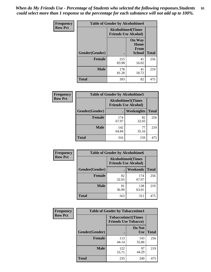*When do My Friends Use - Percentage of Students who selected the following responses.Students could select more than 1 response so the percentage for each substance will not add up to 100%.* **81**

| <b>Frequency</b> | <b>Table of Gender by Alcoholtime4</b> |                                                          |                                                |              |
|------------------|----------------------------------------|----------------------------------------------------------|------------------------------------------------|--------------|
| <b>Row Pct</b>   |                                        | <b>Alcoholtime4(Times</b><br><b>Friends Use Alcohol)</b> |                                                |              |
|                  | Gender(Gender)                         |                                                          | <b>On Way</b><br>Home<br>From<br><b>School</b> | <b>Total</b> |
|                  | <b>Female</b>                          | 215<br>83.98                                             | 41<br>16.02                                    | 256          |
|                  | <b>Male</b>                            | 178<br>81.28                                             | 41<br>18.72                                    | 219          |
|                  | <b>Total</b>                           | 393                                                      | 82                                             | 475          |

| <b>Frequency</b> | <b>Table of Gender by Alcoholtime5</b> |                                                           |             |              |
|------------------|----------------------------------------|-----------------------------------------------------------|-------------|--------------|
| <b>Row Pct</b>   |                                        | <b>Alcoholtime5</b> (Times<br><b>Friends Use Alcohol)</b> |             |              |
|                  | Gender(Gender)                         |                                                           | Weeknights  | <b>Total</b> |
|                  | <b>Female</b>                          | 174<br>67.97                                              | 82<br>32.03 | 256          |
|                  | <b>Male</b>                            | 142<br>64.84                                              | 77<br>35.16 | 219          |
|                  | <b>Total</b>                           | 316                                                       | 159         | 475          |

| <b>Frequency</b> | <b>Table of Gender by Alcoholtime6</b> |             |                                                          |              |
|------------------|----------------------------------------|-------------|----------------------------------------------------------|--------------|
| <b>Row Pct</b>   |                                        |             | <b>Alcoholtime6(Times</b><br><b>Friends Use Alcohol)</b> |              |
|                  | Gender(Gender)                         |             | Weekends                                                 | <b>Total</b> |
|                  | Female                                 | 82<br>32.03 | 174<br>67.97                                             | 256          |
|                  | <b>Male</b>                            | 81<br>36.99 | 138<br>63.01                                             | 219          |
|                  | <b>Total</b>                           | 163         | 312                                                      | 475          |

| Frequency      | <b>Table of Gender by Tobaccotime1</b> |                                                          |                      |              |
|----------------|----------------------------------------|----------------------------------------------------------|----------------------|--------------|
| <b>Row Pct</b> |                                        | <b>Tobaccotime1(Times</b><br><b>Friends Use Tobacco)</b> |                      |              |
|                | Gender(Gender)                         |                                                          | Do Not<br><b>Use</b> | <b>Total</b> |
|                | <b>Female</b>                          | 113<br>44.14                                             | 143<br>55.86         | 256          |
|                | <b>Male</b>                            | 122<br>55.71                                             | 97<br>44.29          | 219          |
|                | <b>Total</b>                           | 235                                                      | 240                  | 475          |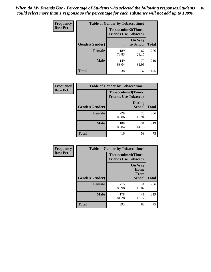| <b>Frequency</b> | <b>Table of Gender by Tobaccotime2</b> |                                                          |                            |              |
|------------------|----------------------------------------|----------------------------------------------------------|----------------------------|--------------|
| <b>Row Pct</b>   |                                        | <b>Tobaccotime2(Times</b><br><b>Friends Use Tobacco)</b> |                            |              |
|                  | <b>Gender</b> (Gender)                 |                                                          | <b>On Way</b><br>to School | <b>Total</b> |
|                  | <b>Female</b>                          | 189<br>73.83                                             | 67<br>26.17                | 256          |
|                  | <b>Male</b>                            | 149<br>68.04                                             | 70<br>31.96                | 219          |
|                  | <b>Total</b>                           | 338                                                      | 137                        | 475          |

| <b>Frequency</b> | <b>Table of Gender by Tobaccotime3</b> |                                                          |                                |              |
|------------------|----------------------------------------|----------------------------------------------------------|--------------------------------|--------------|
| <b>Row Pct</b>   |                                        | <b>Tobaccotime3(Times</b><br><b>Friends Use Tobacco)</b> |                                |              |
|                  | Gender(Gender)                         |                                                          | <b>During</b><br><b>School</b> | <b>Total</b> |
|                  | <b>Female</b>                          | 228<br>89.06                                             | 28<br>10.94                    | 256          |
|                  | <b>Male</b>                            | 188<br>85.84                                             | 31<br>14.16                    | 219          |
|                  | <b>Total</b>                           | 416                                                      | 59                             | 475          |

| <b>Frequency</b> | <b>Table of Gender by Tobaccotime4</b> |                                                          |                                                       |              |
|------------------|----------------------------------------|----------------------------------------------------------|-------------------------------------------------------|--------------|
| <b>Row Pct</b>   |                                        | <b>Tobaccotime4(Times</b><br><b>Friends Use Tobacco)</b> |                                                       |              |
|                  | Gender(Gender)                         |                                                          | <b>On Way</b><br>Home<br><b>From</b><br><b>School</b> | <b>Total</b> |
|                  | <b>Female</b>                          | 215<br>83.98                                             | 41<br>16.02                                           | 256          |
|                  | <b>Male</b>                            | 178<br>81.28                                             | 41<br>18.72                                           | 219          |
|                  | <b>Total</b>                           | 393                                                      | 82                                                    | 475          |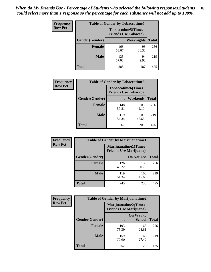| Frequency      | <b>Table of Gender by Tobaccotime5</b> |              |                                                          |              |
|----------------|----------------------------------------|--------------|----------------------------------------------------------|--------------|
| <b>Row Pct</b> |                                        |              | <b>Tobaccotime5(Times</b><br><b>Friends Use Tobacco)</b> |              |
|                | <b>Gender</b> (Gender)                 |              | Weeknights                                               | <b>Total</b> |
|                | <b>Female</b>                          | 163<br>63.67 | 93<br>36.33                                              | 256          |
|                | <b>Male</b>                            | 125<br>57.08 | 94<br>42.92                                              | 219          |
|                | <b>Total</b>                           | 288          | 187                                                      | 475          |

| <b>Frequency</b> | <b>Table of Gender by Tobaccotime6</b> |                                                          |              |              |
|------------------|----------------------------------------|----------------------------------------------------------|--------------|--------------|
| <b>Row Pct</b>   |                                        | <b>Tobaccotime6(Times</b><br><b>Friends Use Tobacco)</b> |              |              |
|                  | Gender(Gender)                         |                                                          | Weekends     | <b>Total</b> |
|                  | Female                                 | 148<br>57.81                                             | 108<br>42.19 | 256          |
|                  | <b>Male</b>                            | 119<br>54.34                                             | 100<br>45.66 | 219          |
|                  | <b>Total</b>                           | 267                                                      | 208          | 475          |

| <b>Frequency</b> | <b>Table of Gender by Marijuanatime1</b> |                                                               |              |              |  |
|------------------|------------------------------------------|---------------------------------------------------------------|--------------|--------------|--|
| <b>Row Pct</b>   |                                          | <b>Marijuanatime1(Times</b><br><b>Friends Use Marijuana</b> ) |              |              |  |
|                  | Gender(Gender)                           |                                                               | Do Not Use   | <b>Total</b> |  |
|                  | <b>Female</b>                            | 126<br>49.22                                                  | 130<br>50.78 | 256          |  |
|                  | <b>Male</b>                              | 119<br>54.34                                                  | 100<br>45.66 | 219          |  |
|                  | <b>Total</b>                             | 245                                                           | 230          | 475          |  |

| <b>Frequency</b> | <b>Table of Gender by Marijuanatime2</b> |                                                        |                            |              |
|------------------|------------------------------------------|--------------------------------------------------------|----------------------------|--------------|
| <b>Row Pct</b>   |                                          | Marijuanatime2(Times<br><b>Friends Use Marijuana</b> ) |                            |              |
|                  | Gender(Gender)                           |                                                        | On Way to<br><b>School</b> | <b>Total</b> |
|                  | <b>Female</b>                            | 193<br>75.39                                           | 63<br>24.61                | 256          |
|                  | <b>Male</b>                              | 159<br>72.60                                           | 60<br>27.40                | 219          |
|                  | <b>Total</b>                             | 352                                                    | 123                        | 475          |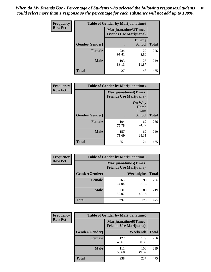*When do My Friends Use - Percentage of Students who selected the following responses.Students could select more than 1 response so the percentage for each substance will not add up to 100%.* **84**

| <b>Frequency</b> | Table of Gender by Marijuanatime3 |                                                        |                                |              |
|------------------|-----------------------------------|--------------------------------------------------------|--------------------------------|--------------|
| <b>Row Pct</b>   |                                   | Marijuanatime3(Times<br><b>Friends Use Marijuana</b> ) |                                |              |
|                  | Gender(Gender)                    |                                                        | <b>During</b><br><b>School</b> | <b>Total</b> |
|                  | <b>Female</b>                     | 234<br>91.41                                           | 22<br>8.59                     | 256          |
|                  | <b>Male</b>                       | 193<br>88.13                                           | 26<br>11.87                    | 219          |
|                  | <b>Total</b>                      | 427                                                    | 48                             | 475          |

| Frequency      | <b>Table of Gender by Marijuanatime4</b> |                                                               |                                                       |              |
|----------------|------------------------------------------|---------------------------------------------------------------|-------------------------------------------------------|--------------|
| <b>Row Pct</b> |                                          | <b>Marijuanatime4(Times</b><br><b>Friends Use Marijuana</b> ) |                                                       |              |
|                | Gender(Gender)                           |                                                               | <b>On Way</b><br>Home<br><b>From</b><br><b>School</b> | <b>Total</b> |
|                | <b>Female</b>                            | 194<br>75.78                                                  | 62<br>24.22                                           | 256          |
|                | <b>Male</b>                              | 157<br>71.69                                                  | 62<br>28.31                                           | 219          |
|                | <b>Total</b>                             | 351                                                           | 124                                                   | 475          |

| Frequency      |                | <b>Table of Gender by Marijuanatime5</b>                       |             |              |
|----------------|----------------|----------------------------------------------------------------|-------------|--------------|
| <b>Row Pct</b> |                | <b>Marijuanatime5</b> (Times<br><b>Friends Use Marijuana</b> ) |             |              |
|                | Gender(Gender) | ٠                                                              | Weeknights  | <b>Total</b> |
|                | <b>Female</b>  | 166<br>64.84                                                   | 90<br>35.16 | 256          |
|                | <b>Male</b>    | 131<br>59.82                                                   | 88<br>40.18 | 219          |
|                | <b>Total</b>   | 297                                                            | 178         | 475          |

| Frequency      | <b>Table of Gender by Marijuanatime6</b> |                                                               |              |              |
|----------------|------------------------------------------|---------------------------------------------------------------|--------------|--------------|
| <b>Row Pct</b> |                                          | <b>Marijuanatime6(Times</b><br><b>Friends Use Marijuana</b> ) |              |              |
|                | Gender(Gender)                           |                                                               | Weekends     | <b>Total</b> |
|                | <b>Female</b>                            | 127<br>49.61                                                  | 129<br>50.39 | 256          |
|                | <b>Male</b>                              | 111<br>50.68                                                  | 108<br>49.32 | 219          |
|                | <b>Total</b>                             | 238                                                           | 237          | 475          |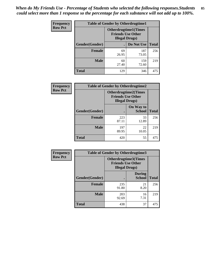*When do My Friends Use - Percentage of Students who selected the following responses.Students could select more than 1 response so the percentage for each substance will not add up to 100%.* **85**

| <b>Frequency</b> | <b>Table of Gender by Otherdrugtime1</b> |                        |                                                          |              |
|------------------|------------------------------------------|------------------------|----------------------------------------------------------|--------------|
| <b>Row Pct</b>   |                                          | <b>Illegal Drugs</b> ) | <b>Otherdrugtime1</b> (Times<br><b>Friends Use Other</b> |              |
|                  | Gender(Gender)                           |                        | Do Not Use                                               | <b>Total</b> |
|                  | <b>Female</b>                            | 69<br>26.95            | 187<br>73.05                                             | 256          |
|                  | <b>Male</b>                              | 60<br>27.40            | 159<br>72.60                                             | 219          |
|                  | <b>Total</b>                             | 129                    | 346                                                      | 475          |

| <b>Frequency</b> | <b>Table of Gender by Otherdrugtime2</b> |                                                                                   |                            |              |
|------------------|------------------------------------------|-----------------------------------------------------------------------------------|----------------------------|--------------|
| <b>Row Pct</b>   |                                          | <b>Otherdrugtime2(Times</b><br><b>Friends Use Other</b><br><b>Illegal Drugs</b> ) |                            |              |
|                  | Gender(Gender)                           |                                                                                   | On Way to<br><b>School</b> | <b>Total</b> |
|                  | <b>Female</b>                            | 223<br>87.11                                                                      | 33<br>12.89                | 256          |
|                  | <b>Male</b>                              | 197<br>89.95                                                                      | 22<br>10.05                | 219          |
|                  | <b>Total</b>                             | 420                                                                               | 55                         | 475          |

| Frequency      | <b>Table of Gender by Otherdrugtime3</b> |                        |                                                  |              |
|----------------|------------------------------------------|------------------------|--------------------------------------------------|--------------|
| <b>Row Pct</b> |                                          | <b>Illegal Drugs</b> ) | Otherdrugtime3(Times<br><b>Friends Use Other</b> |              |
|                | Gender(Gender)                           |                        | <b>During</b><br><b>School</b>                   | <b>Total</b> |
|                | <b>Female</b>                            | 235<br>91.80           | 21<br>8.20                                       | 256          |
|                | <b>Male</b>                              | 203<br>92.69           | 16<br>7.31                                       | 219          |
|                | <b>Total</b>                             | 438                    | 37                                               | 475          |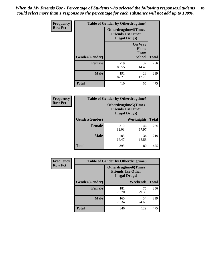*When do My Friends Use - Percentage of Students who selected the following responses.Students could select more than 1 response so the percentage for each substance will not add up to 100%.* **86**

| <b>Frequency</b> | <b>Table of Gender by Otherdrugtime4</b> |                                                                                   |                                                |              |
|------------------|------------------------------------------|-----------------------------------------------------------------------------------|------------------------------------------------|--------------|
| <b>Row Pct</b>   |                                          | <b>Otherdrugtime4(Times</b><br><b>Friends Use Other</b><br><b>Illegal Drugs</b> ) |                                                |              |
|                  | Gender(Gender)                           |                                                                                   | <b>On Way</b><br>Home<br>From<br><b>School</b> | <b>Total</b> |
|                  | Female                                   | 219<br>85.55                                                                      | 37<br>14.45                                    | 256          |
|                  | <b>Male</b>                              | 191<br>87.21                                                                      | 28<br>12.79                                    | 219          |
|                  | <b>Total</b>                             | 410                                                                               | 65                                             | 475          |

| Frequency      | <b>Table of Gender by Otherdrugtime5</b> |                                                                                    |                   |              |
|----------------|------------------------------------------|------------------------------------------------------------------------------------|-------------------|--------------|
| <b>Row Pct</b> |                                          | <b>Otherdrugtime5</b> (Times<br><b>Friends Use Other</b><br><b>Illegal Drugs</b> ) |                   |              |
|                | Gender(Gender)                           |                                                                                    | <b>Weeknights</b> | <b>Total</b> |
|                | <b>Female</b>                            | 210<br>82.03                                                                       | 46<br>17.97       | 256          |
|                | <b>Male</b>                              | 185<br>84.47                                                                       | 34<br>15.53       | 219          |
|                | <b>Total</b>                             | 395                                                                                | 80                | 475          |

| <b>Frequency</b> | <b>Table of Gender by Otherdrugtime6</b> |                                                                                   |             |              |
|------------------|------------------------------------------|-----------------------------------------------------------------------------------|-------------|--------------|
| <b>Row Pct</b>   |                                          | <b>Otherdrugtime6(Times</b><br><b>Friends Use Other</b><br><b>Illegal Drugs</b> ) |             |              |
|                  | Gender(Gender)                           |                                                                                   | Weekends    | <b>Total</b> |
|                  | <b>Female</b>                            | 181<br>70.70                                                                      | 75<br>29.30 | 256          |
|                  | Male                                     | 165<br>75.34                                                                      | 54<br>24.66 | 219          |
|                  | <b>Total</b>                             | 346                                                                               | 129         | 475          |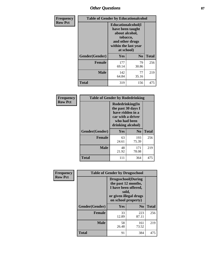# *Other Questions* **87**

| <b>Frequency</b> | <b>Table of Gender by Educationalcohol</b> |                                                                                                                               |                |              |  |
|------------------|--------------------------------------------|-------------------------------------------------------------------------------------------------------------------------------|----------------|--------------|--|
| <b>Row Pct</b>   |                                            | Educationalcohol(I<br>have been taught<br>about alcohol,<br>tobacco,<br>and other drugs<br>within the last year<br>at school) |                |              |  |
|                  | Gender(Gender)                             | <b>Yes</b>                                                                                                                    | N <sub>0</sub> | <b>Total</b> |  |
|                  | <b>Female</b>                              | 177<br>69.14                                                                                                                  | 79<br>30.86    | 256          |  |
|                  | <b>Male</b>                                | 142<br>64.84                                                                                                                  | 77<br>35.16    | 219          |  |
|                  | <b>Total</b>                               | 319                                                                                                                           | 156            | 475          |  |

| Frequency      | <b>Table of Gender by Rodedrinking</b> |                                                                                                                     |              |              |  |
|----------------|----------------------------------------|---------------------------------------------------------------------------------------------------------------------|--------------|--------------|--|
| <b>Row Pct</b> |                                        | Rodedrinking(In<br>the past 30 days I<br>have ridden in a<br>car with a driver<br>who had been<br>drinking alcohol) |              |              |  |
|                | Gender(Gender)                         | Yes                                                                                                                 | $\bf N_0$    | <b>Total</b> |  |
|                | <b>Female</b>                          | 63<br>24.61                                                                                                         | 193<br>75.39 | 256          |  |
|                | <b>Male</b>                            | 48<br>21.92                                                                                                         | 171<br>78.08 | 219          |  |
|                | <b>Total</b>                           | 111                                                                                                                 | 364          | 475          |  |

| Frequency      | <b>Table of Gender by Drugsschool</b> |                                                                                                                                     |                |              |  |
|----------------|---------------------------------------|-------------------------------------------------------------------------------------------------------------------------------------|----------------|--------------|--|
| <b>Row Pct</b> |                                       | <b>Drugsschool</b> (During<br>the past 12 months,<br>I have been offered,<br>sold,<br>or given illegal drugs<br>on school property) |                |              |  |
|                | Gender(Gender)                        | Yes                                                                                                                                 | N <sub>0</sub> | <b>Total</b> |  |
|                | <b>Female</b>                         | 33<br>12.89                                                                                                                         | 223<br>87.11   | 256          |  |
|                | <b>Male</b>                           | 58<br>26.48                                                                                                                         | 161<br>73.52   | 219          |  |
|                | <b>Total</b>                          | 91                                                                                                                                  | 384            | 475          |  |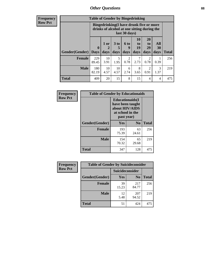# *Other Questions* **88**

**Frequency Row Pct**

| <b>Table of Gender by Bingedrinking</b> |                         |                                                                                                         |                   |                        |                        |                               |                   |              |
|-----------------------------------------|-------------------------|---------------------------------------------------------------------------------------------------------|-------------------|------------------------|------------------------|-------------------------------|-------------------|--------------|
|                                         |                         | Bingedrinking(I have drunk five or more<br>drinks of alcohol at one sitting during the<br>last 30 days) |                   |                        |                        |                               |                   |              |
| <b>Gender</b> (Gender)                  | $\bf{0}$<br><b>Days</b> | 1 or<br>2<br>days                                                                                       | 3 to<br>5<br>days | 6 to<br>9<br>days      | 10<br>to<br>19<br>days | <b>20</b><br>to<br>29<br>days | All<br>30<br>days | <b>Total</b> |
| <b>Female</b>                           | 229<br>89.45            | 10<br>3.91                                                                                              | 5<br>1.95         | $\mathfrak{D}$<br>0.78 | 7<br>2.73              | 2<br>0.78                     | 0.39              | 256          |
| <b>Male</b>                             | 180<br>82.19            | 10<br>4.57                                                                                              | 10<br>4.57        | 6<br>2.74              | 8<br>3.65              | 2<br>0.91                     | 3<br>1.37         | 219          |
| <b>Total</b>                            | 409                     | 20                                                                                                      | 15                | 8                      | 15                     | 4                             | 4                 | 475          |

| Frequency      | <b>Table of Gender by Educationaids</b> |                                                                                                 |                |              |  |
|----------------|-----------------------------------------|-------------------------------------------------------------------------------------------------|----------------|--------------|--|
| <b>Row Pct</b> |                                         | <b>Educationaids</b> (I<br>have been taught<br>about HIV/AIDS<br>at school in the<br>past year) |                |              |  |
|                | Gender(Gender)                          | Yes                                                                                             | $\mathbf{N_0}$ | <b>Total</b> |  |
|                | <b>Female</b>                           | 193<br>75.39                                                                                    | 63<br>24.61    | 256          |  |
|                | <b>Male</b>                             | 154<br>70.32                                                                                    | 65<br>29.68    | 219          |  |
|                | <b>Total</b>                            | 347                                                                                             | 128            | 475          |  |

| <b>Frequency</b> | <b>Table of Gender by Suicideconsider</b> |                 |                |              |  |
|------------------|-------------------------------------------|-----------------|----------------|--------------|--|
| <b>Row Pct</b>   |                                           | Suicideconsider |                |              |  |
|                  | Gender(Gender)                            | Yes             | N <sub>0</sub> | <b>Total</b> |  |
|                  | <b>Female</b>                             | 39<br>15.23     | 217<br>84.77   | 256          |  |
|                  | <b>Male</b>                               | 12<br>5.48      | 207<br>94.52   | 219          |  |
|                  | Total                                     | 51              | 424            | 475          |  |